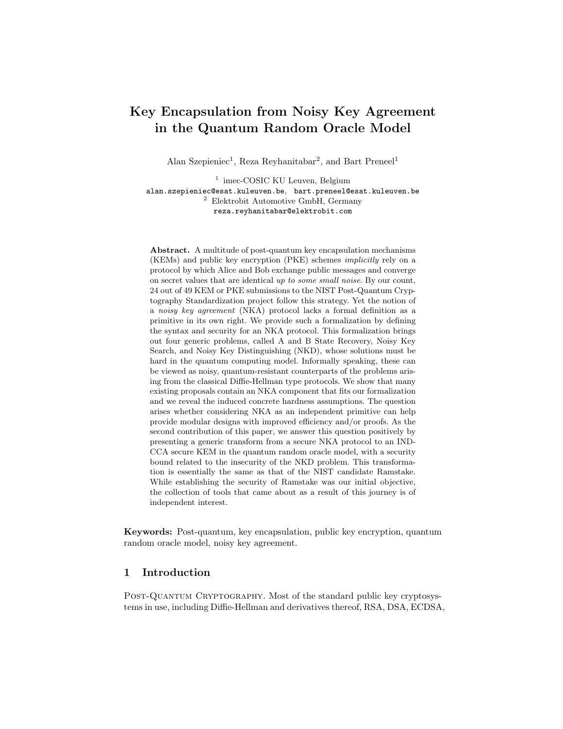# Key Encapsulation from Noisy Key Agreement in the Quantum Random Oracle Model

Alan Szepieniec<sup>1</sup>, Reza Reyhanitabar<sup>2</sup>, and Bart Preneel<sup>1</sup>

<sup>1</sup> imec-COSIC KU Leuven, Belgium alan.szepieniec@esat.kuleuven.be, bart.preneel@esat.kuleuven.be <sup>2</sup> Elektrobit Automotive GmbH, Germany reza.reyhanitabar@elektrobit.com

Abstract. A multitude of post-quantum key encapsulation mechanisms (KEMs) and public key encryption (PKE) schemes implicitly rely on a protocol by which Alice and Bob exchange public messages and converge on secret values that are identical up to some small noise. By our count, 24 out of 49 KEM or PKE submissions to the NIST Post-Quantum Cryptography Standardization project follow this strategy. Yet the notion of a noisy key agreement (NKA) protocol lacks a formal definition as a primitive in its own right. We provide such a formalization by defining the syntax and security for an NKA protocol. This formalization brings out four generic problems, called A and B State Recovery, Noisy Key Search, and Noisy Key Distinguishing (NKD), whose solutions must be hard in the quantum computing model. Informally speaking, these can be viewed as noisy, quantum-resistant counterparts of the problems arising from the classical Diffie-Hellman type protocols. We show that many existing proposals contain an NKA component that fits our formalization and we reveal the induced concrete hardness assumptions. The question arises whether considering NKA as an independent primitive can help provide modular designs with improved efficiency and/or proofs. As the second contribution of this paper, we answer this question positively by presenting a generic transform from a secure NKA protocol to an IND-CCA secure KEM in the quantum random oracle model, with a security bound related to the insecurity of the NKD problem. This transformation is essentially the same as that of the NIST candidate Ramstake. While establishing the security of Ramstake was our initial objective, the collection of tools that came about as a result of this journey is of independent interest.

Keywords: Post-quantum, key encapsulation, public key encryption, quantum random oracle model, noisy key agreement.

# 1 Introduction

POST-QUANTUM CRYPTOGRAPHY. Most of the standard public key cryptosystems in use, including Diffie-Hellman and derivatives thereof, RSA, DSA, ECDSA,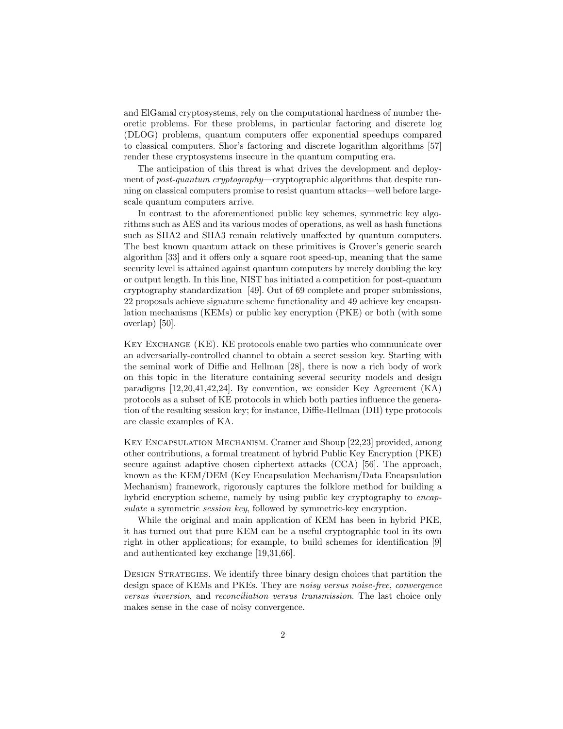and ElGamal cryptosystems, rely on the computational hardness of number theoretic problems. For these problems, in particular factoring and discrete log (DLOG) problems, quantum computers offer exponential speedups compared to classical computers. Shor's factoring and discrete logarithm algorithms [57] render these cryptosystems insecure in the quantum computing era.

The anticipation of this threat is what drives the development and deployment of post-quantum cryptography—cryptographic algorithms that despite running on classical computers promise to resist quantum attacks—well before largescale quantum computers arrive.

In contrast to the aforementioned public key schemes, symmetric key algorithms such as AES and its various modes of operations, as well as hash functions such as SHA2 and SHA3 remain relatively unaffected by quantum computers. The best known quantum attack on these primitives is Grover's generic search algorithm [33] and it offers only a square root speed-up, meaning that the same security level is attained against quantum computers by merely doubling the key or output length. In this line, NIST has initiated a competition for post-quantum cryptography standardization [49]. Out of 69 complete and proper submissions, 22 proposals achieve signature scheme functionality and 49 achieve key encapsulation mechanisms (KEMs) or public key encryption (PKE) or both (with some overlap) [50].

Key Exchange (KE). KE protocols enable two parties who communicate over an adversarially-controlled channel to obtain a secret session key. Starting with the seminal work of Diffie and Hellman [28], there is now a rich body of work on this topic in the literature containing several security models and design paradigms [12,20,41,42,24]. By convention, we consider Key Agreement (KA) protocols as a subset of KE protocols in which both parties influence the generation of the resulting session key; for instance, Diffie-Hellman (DH) type protocols are classic examples of KA.

Key Encapsulation Mechanism. Cramer and Shoup [22,23] provided, among other contributions, a formal treatment of hybrid Public Key Encryption (PKE) secure against adaptive chosen ciphertext attacks (CCA) [56]. The approach, known as the KEM/DEM (Key Encapsulation Mechanism/Data Encapsulation Mechanism) framework, rigorously captures the folklore method for building a hybrid encryption scheme, namely by using public key cryptography to encapsulate a symmetric *session key*, followed by symmetric-key encryption.

While the original and main application of KEM has been in hybrid PKE, it has turned out that pure KEM can be a useful cryptographic tool in its own right in other applications; for example, to build schemes for identification [9] and authenticated key exchange [19,31,66].

Design Strategies. We identify three binary design choices that partition the design space of KEMs and PKEs. They are *noisy versus noise-free, convergence* versus inversion, and reconciliation versus transmission. The last choice only makes sense in the case of noisy convergence.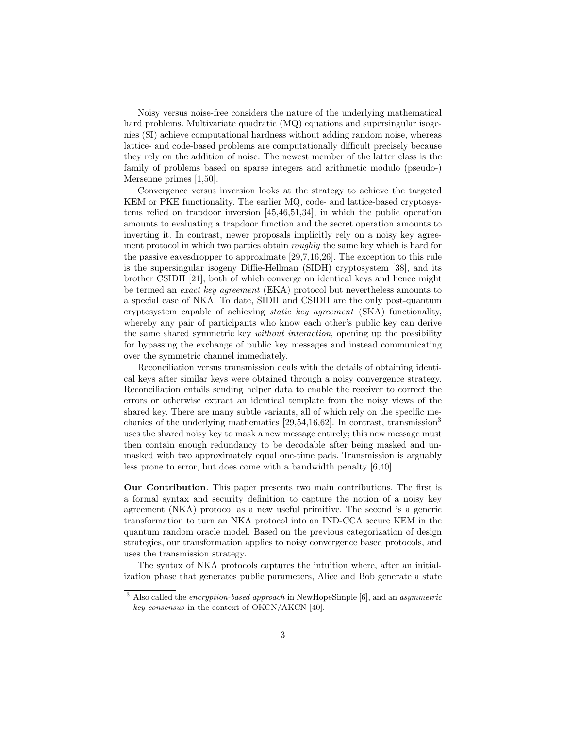Noisy versus noise-free considers the nature of the underlying mathematical hard problems. Multivariate quadratic (MQ) equations and supersingular isogenies (SI) achieve computational hardness without adding random noise, whereas lattice- and code-based problems are computationally difficult precisely because they rely on the addition of noise. The newest member of the latter class is the family of problems based on sparse integers and arithmetic modulo (pseudo-) Mersenne primes [1,50].

Convergence versus inversion looks at the strategy to achieve the targeted KEM or PKE functionality. The earlier MQ, code- and lattice-based cryptosystems relied on trapdoor inversion [45,46,51,34], in which the public operation amounts to evaluating a trapdoor function and the secret operation amounts to inverting it. In contrast, newer proposals implicitly rely on a noisy key agreement protocol in which two parties obtain *roughly* the same key which is hard for the passive eavesdropper to approximate [29,7,16,26]. The exception to this rule is the supersingular isogeny Diffie-Hellman (SIDH) cryptosystem [38], and its brother CSIDH [21], both of which converge on identical keys and hence might be termed an exact key agreement (EKA) protocol but nevertheless amounts to a special case of NKA. To date, SIDH and CSIDH are the only post-quantum cryptosystem capable of achieving static key agreement (SKA) functionality, whereby any pair of participants who know each other's public key can derive the same shared symmetric key without interaction, opening up the possibility for bypassing the exchange of public key messages and instead communicating over the symmetric channel immediately.

Reconciliation versus transmission deals with the details of obtaining identical keys after similar keys were obtained through a noisy convergence strategy. Reconciliation entails sending helper data to enable the receiver to correct the errors or otherwise extract an identical template from the noisy views of the shared key. There are many subtle variants, all of which rely on the specific mechanics of the underlying mathematics  $[29,54,16,62]$ . In contrast, transmission<sup>3</sup> uses the shared noisy key to mask a new message entirely; this new message must then contain enough redundancy to be decodable after being masked and unmasked with two approximately equal one-time pads. Transmission is arguably less prone to error, but does come with a bandwidth penalty [6,40].

Our Contribution. This paper presents two main contributions. The first is a formal syntax and security definition to capture the notion of a noisy key agreement (NKA) protocol as a new useful primitive. The second is a generic transformation to turn an NKA protocol into an IND-CCA secure KEM in the quantum random oracle model. Based on the previous categorization of design strategies, our transformation applies to noisy convergence based protocols, and uses the transmission strategy.

The syntax of NKA protocols captures the intuition where, after an initialization phase that generates public parameters, Alice and Bob generate a state

 $3$  Also called the *encryption-based approach* in NewHopeSimple [6], and an *asymmetric* key consensus in the context of OKCN/AKCN [40].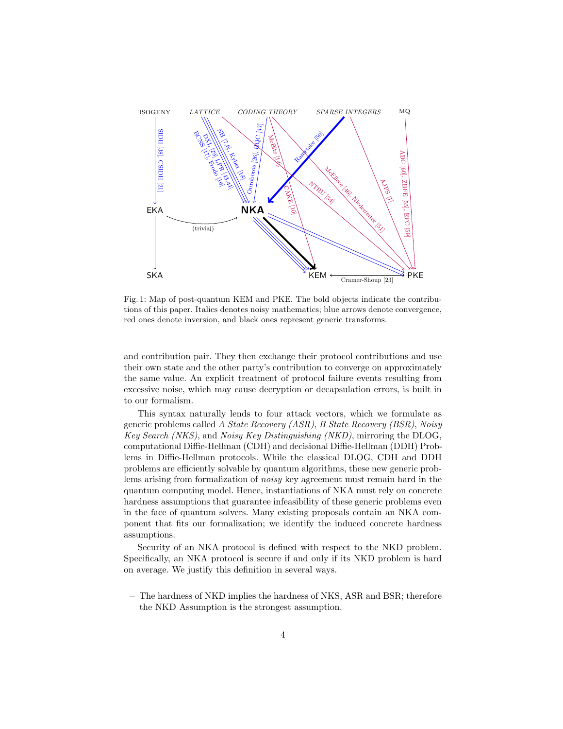

Fig. 1: Map of post-quantum KEM and PKE. The bold objects indicate the contributions of this paper. Italics denotes noisy mathematics; blue arrows denote convergence, red ones denote inversion, and black ones represent generic transforms.

and contribution pair. They then exchange their protocol contributions and use their own state and the other party's contribution to converge on approximately the same value. An explicit treatment of protocol failure events resulting from excessive noise, which may cause decryption or decapsulation errors, is built in to our formalism.

This syntax naturally lends to four attack vectors, which we formulate as generic problems called A State Recovery (ASR), B State Recovery (BSR), Noisy Key Search (NKS), and Noisy Key Distinguishing (NKD), mirroring the DLOG, computational Diffie-Hellman (CDH) and decisional Diffie-Hellman (DDH) Problems in Diffie-Hellman protocols. While the classical DLOG, CDH and DDH problems are efficiently solvable by quantum algorithms, these new generic problems arising from formalization of noisy key agreement must remain hard in the quantum computing model. Hence, instantiations of NKA must rely on concrete hardness assumptions that guarantee infeasibility of these generic problems even in the face of quantum solvers. Many existing proposals contain an NKA component that fits our formalization; we identify the induced concrete hardness assumptions.

Security of an NKA protocol is defined with respect to the NKD problem. Specifically, an NKA protocol is secure if and only if its NKD problem is hard on average. We justify this definition in several ways.

– The hardness of NKD implies the hardness of NKS, ASR and BSR; therefore the NKD Assumption is the strongest assumption.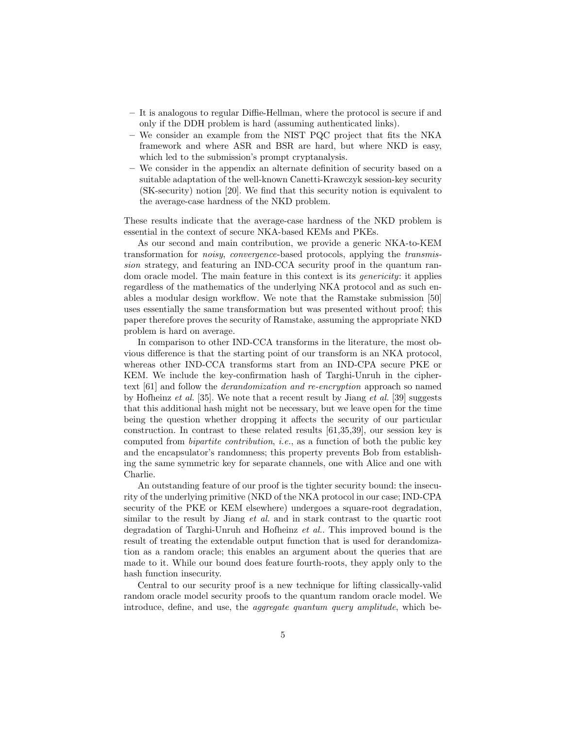- It is analogous to regular Diffie-Hellman, where the protocol is secure if and only if the DDH problem is hard (assuming authenticated links).
- We consider an example from the NIST PQC project that fits the NKA framework and where ASR and BSR are hard, but where NKD is easy, which led to the submission's prompt cryptanalysis.
- We consider in the appendix an alternate definition of security based on a suitable adaptation of the well-known Canetti-Krawczyk session-key security (SK-security) notion [20]. We find that this security notion is equivalent to the average-case hardness of the NKD problem.

These results indicate that the average-case hardness of the NKD problem is essential in the context of secure NKA-based KEMs and PKEs.

As our second and main contribution, we provide a generic NKA-to-KEM transformation for noisy, convergence-based protocols, applying the transmission strategy, and featuring an IND-CCA security proof in the quantum random oracle model. The main feature in this context is its genericity: it applies regardless of the mathematics of the underlying NKA protocol and as such enables a modular design workflow. We note that the Ramstake submission [50] uses essentially the same transformation but was presented without proof; this paper therefore proves the security of Ramstake, assuming the appropriate NKD problem is hard on average.

In comparison to other IND-CCA transforms in the literature, the most obvious difference is that the starting point of our transform is an NKA protocol, whereas other IND-CCA transforms start from an IND-CPA secure PKE or KEM. We include the key-confirmation hash of Targhi-Unruh in the ciphertext [61] and follow the derandomization and re-encryption approach so named by Hofheinz et al. [35]. We note that a recent result by Jiang et al. [39] suggests that this additional hash might not be necessary, but we leave open for the time being the question whether dropping it affects the security of our particular construction. In contrast to these related results [61,35,39], our session key is computed from bipartite contribution, i.e., as a function of both the public key and the encapsulator's randomness; this property prevents Bob from establishing the same symmetric key for separate channels, one with Alice and one with Charlie.

An outstanding feature of our proof is the tighter security bound: the insecurity of the underlying primitive (NKD of the NKA protocol in our case; IND-CPA security of the PKE or KEM elsewhere) undergoes a square-root degradation, similar to the result by Jiang et al. and in stark contrast to the quartic root degradation of Targhi-Unruh and Hofheinz et al.. This improved bound is the result of treating the extendable output function that is used for derandomization as a random oracle; this enables an argument about the queries that are made to it. While our bound does feature fourth-roots, they apply only to the hash function insecurity.

Central to our security proof is a new technique for lifting classically-valid random oracle model security proofs to the quantum random oracle model. We introduce, define, and use, the *aggregate quantum query amplitude*, which be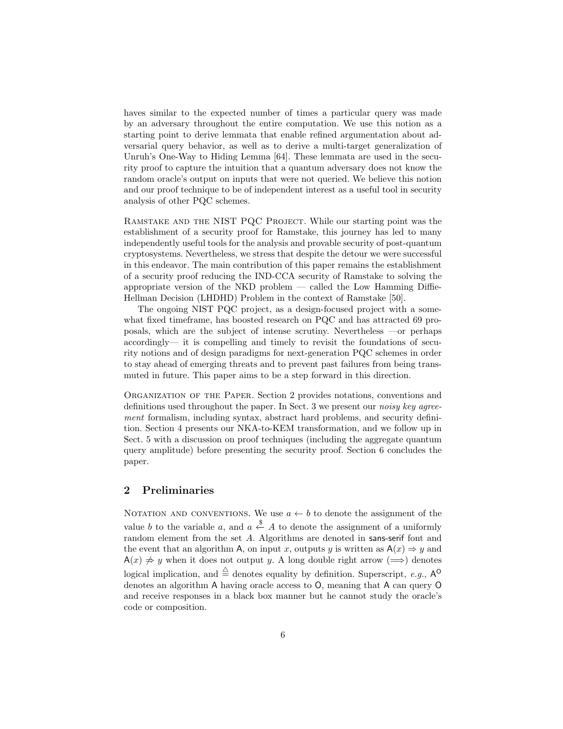haves similar to the expected number of times a particular query was made by an adversary throughout the entire computation. We use this notion as a starting point to derive lemmata that enable refined argumentation about adversarial query behavior, as well as to derive a multi-target generalization of Unruh's One-Way to Hiding Lemma [64]. These lemmata are used in the security proof to capture the intuition that a quantum adversary does not know the random oracle's output on inputs that were not queried. We believe this notion and our proof technique to be of independent interest as a useful tool in security analysis of other PQC schemes.

Ramstake and the NIST PQC Project. While our starting point was the establishment of a security proof for Ramstake, this journey has led to many independently useful tools for the analysis and provable security of post-quantum cryptosystems. Nevertheless, we stress that despite the detour we were successful in this endeavor. The main contribution of this paper remains the establishment of a security proof reducing the IND-CCA security of Ramstake to solving the appropriate version of the NKD problem — called the Low Hamming Diffie-Hellman Decision (LHDHD) Problem in the context of Ramstake [50].

The ongoing NIST PQC project, as a design-focused project with a somewhat fixed timeframe, has boosted research on PQC and has attracted 69 proposals, which are the subject of intense scrutiny. Nevertheless —or perhaps accordingly— it is compelling and timely to revisit the foundations of security notions and of design paradigms for next-generation PQC schemes in order to stay ahead of emerging threats and to prevent past failures from being transmuted in future. This paper aims to be a step forward in this direction.

ORGANIZATION OF THE PAPER. Section 2 provides notations, conventions and definitions used throughout the paper. In Sect. 3 we present our *noisy key agree*ment formalism, including syntax, abstract hard problems, and security definition. Section 4 presents our NKA-to-KEM transformation, and we follow up in Sect. 5 with a discussion on proof techniques (including the aggregate quantum query amplitude) before presenting the security proof. Section 6 concludes the paper.

# 2 Preliminaries

NOTATION AND CONVENTIONS. We use  $a \leftarrow b$  to denote the assignment of the value b to the variable a, and  $a \stackrel{\$}{\leftarrow} A$  to denote the assignment of a uniformly random element from the set A. Algorithms are denoted in sans-serif font and the event that an algorithm A, on input x, outputs y is written as  $A(x) \Rightarrow y$  and  $A(x) \neq y$  when it does not output y. A long double right arrow ( $\implies$ ) denotes logical implication, and  $\stackrel{\triangle}{=}$  denotes equality by definition. Superscript, e.g.,  $A^{\bullet}$ denotes an algorithm A having oracle access to O, meaning that A can query O and receive responses in a black box manner but he cannot study the oracle's code or composition.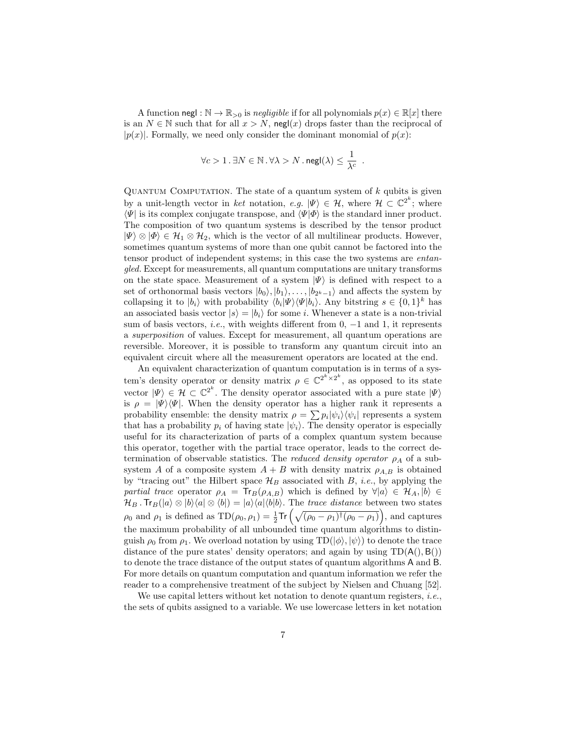A function negl :  $\mathbb{N} \to \mathbb{R}_{\geq 0}$  is negligible if for all polynomials  $p(x) \in \mathbb{R}[x]$  there is an  $N \in \mathbb{N}$  such that for all  $x > N$ , negl(x) drops faster than the reciprocal of  $|p(x)|$ . Formally, we need only consider the dominant monomial of  $p(x)$ :

$$
\forall c > 1 \,.\, \exists N \in \mathbb{N} \,.\, \forall \lambda > N \,.\, \mathsf{negl}(\lambda) \leq \frac{1}{\lambda^c} \enspace.
$$

QUANTUM COMPUTATION. The state of a quantum system of  $k$  qubits is given by a unit-length vector in ket notation, e.g.  $|\Psi\rangle \in \mathcal{H}$ , where  $\mathcal{H} \subset \mathbb{C}^{2^k}$ ; where  $\langle \Psi |$  is its complex conjugate transpose, and  $\langle \Psi | \Phi \rangle$  is the standard inner product. The composition of two quantum systems is described by the tensor product  $|\Psi\rangle \otimes |\Phi\rangle \in \mathcal{H}_1 \otimes \mathcal{H}_2$ , which is the vector of all multilinear products. However, sometimes quantum systems of more than one qubit cannot be factored into the tensor product of independent systems; in this case the two systems are entangled. Except for measurements, all quantum computations are unitary transforms on the state space. Measurement of a system  $|\Psi\rangle$  is defined with respect to a set of orthonormal basis vectors  $|b_0\rangle, |b_1\rangle, \ldots, |b_{2^k-1}\rangle$  and affects the system by collapsing it to  $|b_i\rangle$  with probability  $\langle b_i|\Psi\rangle\langle\Psi|b_i\rangle$ . Any bitstring  $s \in \{0,1\}^k$  has an associated basis vector  $|s\rangle = |b_i\rangle$  for some *i*. Whenever a state is a non-trivial sum of basis vectors, *i.e.*, with weights different from  $0, -1$  and  $1$ , it represents a superposition of values. Except for measurement, all quantum operations are reversible. Moreover, it is possible to transform any quantum circuit into an equivalent circuit where all the measurement operators are located at the end.

An equivalent characterization of quantum computation is in terms of a system's density operator or density matrix  $\rho \in \mathbb{C}^{2^k \times 2^k}$ , as opposed to its state vector  $|\Psi\rangle \in \mathcal{H} \subset \mathbb{C}^{2^k}$ . The density operator associated with a pure state  $|\Psi\rangle$ is  $\rho = |\Psi\rangle\langle\Psi|$ . When the density operator has a higher rank it represents a probability ensemble: the density matrix  $\rho = \sum p_i |\psi_i\rangle\langle\psi_i|$  represents a system that has a probability  $p_i$  of having state  $|\psi_i\rangle$ . The density operator is especially useful for its characterization of parts of a complex quantum system because this operator, together with the partial trace operator, leads to the correct determination of observable statistics. The *reduced density operator*  $\rho_A$  of a subsystem A of a composite system  $A + B$  with density matrix  $\rho_{A,B}$  is obtained by "tracing out" the Hilbert space  $\mathcal{H}_B$  associated with B, *i.e.*, by applying the partial trace operator  $\rho_A = Tr_B(\rho_{A,B})$  which is defined by  $\forall |a\rangle \in \mathcal{H}_A, |b\rangle \in$  $\mathcal{H}_B$ . Tr<sub>B</sub>( $|a\rangle \otimes |b\rangle\langle a| \otimes \langle b|$ ) =  $|a\rangle\langle a|\langle b|b\rangle$ . The trace distance between two states  $\rho_0$  and  $\rho_1$  is defined as  $TD(\rho_0, \rho_1) = \frac{1}{2} Tr \left( \sqrt{(\rho_0 - \rho_1)^{\dagger} (\rho_0 - \rho_1)} \right)$ , and captures the maximum probability of all unbounded time quantum algorithms to distinguish  $\rho_0$  from  $\rho_1$ . We overload notation by using  $TD(|\phi\rangle, |\psi\rangle)$  to denote the trace distance of the pure states' density operators; and again by using  $TD(A(), B())$ to denote the trace distance of the output states of quantum algorithms A and B. For more details on quantum computation and quantum information we refer the reader to a comprehensive treatment of the subject by Nielsen and Chuang [52].

We use capital letters without ket notation to denote quantum registers, *i.e.*, the sets of qubits assigned to a variable. We use lowercase letters in ket notation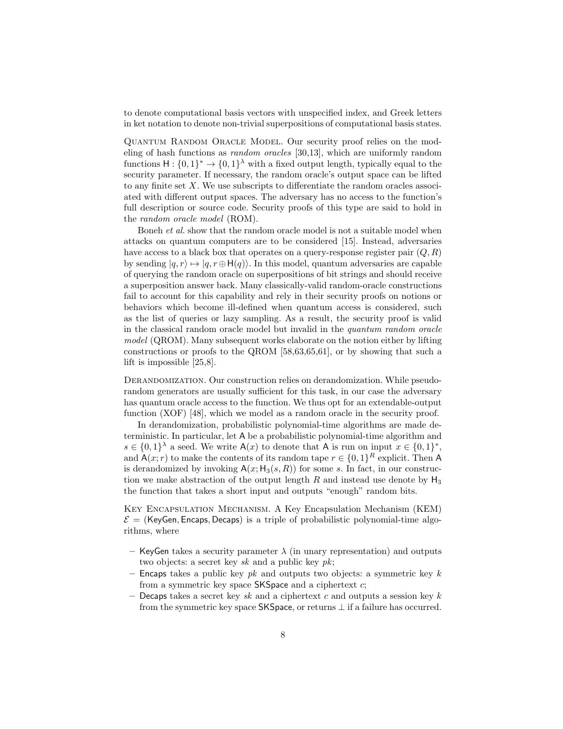to denote computational basis vectors with unspecified index, and Greek letters in ket notation to denote non-trivial superpositions of computational basis states.

Quantum Random Oracle Model. Our security proof relies on the modeling of hash functions as random oracles [30,13], which are uniformly random functions  $H: \{0,1\}^* \to \{0,1\}^{\lambda}$  with a fixed output length, typically equal to the security parameter. If necessary, the random oracle's output space can be lifted to any finite set  $X$ . We use subscripts to differentiate the random oracles associated with different output spaces. The adversary has no access to the function's full description or source code. Security proofs of this type are said to hold in the random oracle model (ROM).

Boneh et al. show that the random oracle model is not a suitable model when attacks on quantum computers are to be considered [15]. Instead, adversaries have access to a black box that operates on a query-response register pair  $(Q, R)$ by sending  $|q, r\rangle \mapsto |q, r \oplus H(q)\rangle$ . In this model, quantum adversaries are capable of querying the random oracle on superpositions of bit strings and should receive a superposition answer back. Many classically-valid random-oracle constructions fail to account for this capability and rely in their security proofs on notions or behaviors which become ill-defined when quantum access is considered, such as the list of queries or lazy sampling. As a result, the security proof is valid in the classical random oracle model but invalid in the quantum random oracle model (QROM). Many subsequent works elaborate on the notion either by lifting constructions or proofs to the QROM [58,63,65,61], or by showing that such a lift is impossible [25,8].

Derandomization. Our construction relies on derandomization. While pseudorandom generators are usually sufficient for this task, in our case the adversary has quantum oracle access to the function. We thus opt for an extendable-output function (XOF) [48], which we model as a random oracle in the security proof.

In derandomization, probabilistic polynomial-time algorithms are made deterministic. In particular, let A be a probabilistic polynomial-time algorithm and  $s \in \{0,1\}^{\lambda}$  a seed. We write  $\mathsf{A}(x)$  to denote that A is run on input  $x \in \{0,1\}^*,$ and  $A(x; r)$  to make the contents of its random tape  $r \in \{0, 1\}^R$  explicit. Then A is derandomized by invoking  $A(x; H_3(s, R))$  for some s. In fact, in our construction we make abstraction of the output length R and instead use denote by  $H_3$ the function that takes a short input and outputs "enough" random bits.

Key Encapsulation Mechanism. A Key Encapsulation Mechanism (KEM)  $\mathcal{E} =$  (KeyGen, Encaps, Decaps) is a triple of probabilistic polynomial-time algorithms, where

- KeyGen takes a security parameter  $\lambda$  (in unary representation) and outputs two objects: a secret key  $sk$  and a public key  $pk$ ;
- Encaps takes a public key  $pk$  and outputs two objects: a symmetric key k from a symmetric key space  $SKSpace$  and a ciphertext c;
- Decaps takes a secret key sk and a ciphertext c and outputs a session key k from the symmetric key space SKSpace, or returns  $\perp$  if a failure has occurred.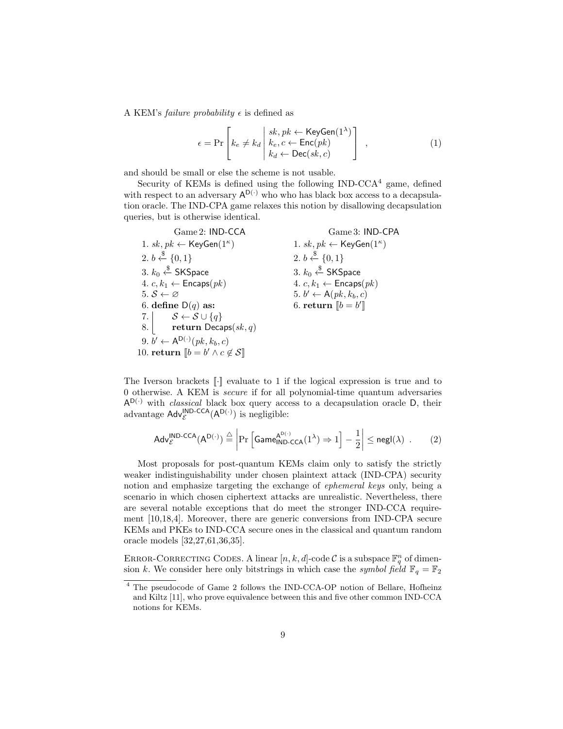A KEM's *failure probability*  $\epsilon$  is defined as

$$
\epsilon = \Pr\left[k_e \neq k_d \middle| \begin{array}{l} sk, pk \leftarrow \text{KeyGen}(1^{\lambda}) \\ k_e, c \leftarrow \text{Enc}(pk) \\ k_d \leftarrow \text{Dec}(sk, c) \end{array}\right] \right],
$$
 (1)

and should be small or else the scheme is not usable.

Security of KEMs is defined using the following  $IND-CCA^4$  game, defined with respect to an adversary  $A^{D(\cdot)}$  who who has black box access to a decapsulation oracle. The IND-CPA game relaxes this notion by disallowing decapsulation queries, but is otherwise identical.

| Game 2: IND-CCA                                                       | Game 3: IND-CPA                                    |
|-----------------------------------------------------------------------|----------------------------------------------------|
| 1. sk, $pk \leftarrow \mathsf{KeyGen}(1^{\kappa})$                    | 1. sk, $pk \leftarrow \mathsf{KeyGen}(1^{\kappa})$ |
| 2. $b \leftarrow \{0, 1\}$                                            | 2. $b \stackrel{\$}{\leftarrow} \{0,1\}$           |
| 3. $k_0 \stackrel{\$}{\leftarrow}$ SKSpace                            | 3. $k_0 \stackrel{\$}{\leftarrow}$ SKSpace         |
| 4. $c, k_1 \leftarrow$ Encaps $(pk)$                                  | 4. $c, k_1 \leftarrow$ Encaps $(pk)$               |
| 5. $S \leftarrow \varnothing$                                         | 5. $b' \leftarrow A(pk, k_b, c)$                   |
| 6. define $D(q)$ as:                                                  | 6. return $\llbracket b = b' \rrbracket$           |
| 7. $\mathcal{S} \leftarrow \mathcal{S} \cup \{q\}$                    |                                                    |
| 8. return Decaps $(sk, q)$                                            |                                                    |
| 9. $b' \leftarrow A^{D(\cdot)}(pk, k_b, c)$                           |                                                    |
| 10. return $\llbracket b = b' \land c \not\in \mathcal{S} \rrbracket$ |                                                    |

The Iverson brackets  $\llbracket \cdot \rrbracket$  evaluate to 1 if the logical expression is true and to 0 otherwise. A KEM is secure if for all polynomial-time quantum adversaries  $A^{D(\cdot)}$  with *classical* black box query access to a decapsulation oracle D, their advantage  $\mathsf{Adv}_{\mathcal{E}}^{\mathsf{IND}\text{-}\mathsf{CCA}}(\mathsf{A}^{\mathsf{D}(\cdot)})$  is negligible:

$$
\mathsf{Adv}_{\mathcal{E}}^{\mathsf{IND}\text{-}\mathsf{CCA}}(\mathsf{A}^{\mathsf{D}(\cdot)}) \stackrel{\triangle}{=} \left| \Pr \left[ \mathsf{Game}_{\mathsf{IND}\text{-}\mathsf{CCA}}^{\mathsf{A}^{\mathsf{D}(\cdot)}}(1^{\lambda}) \Rightarrow 1 \right] - \frac{1}{2} \right| \le \mathsf{negl}(\lambda) \quad . \tag{2}
$$

Most proposals for post-quantum KEMs claim only to satisfy the strictly weaker indistinguishability under chosen plaintext attack (IND-CPA) security notion and emphasize targeting the exchange of ephemeral keys only, being a scenario in which chosen ciphertext attacks are unrealistic. Nevertheless, there are several notable exceptions that do meet the stronger IND-CCA requirement [10,18,4]. Moreover, there are generic conversions from IND-CPA secure KEMs and PKEs to IND-CCA secure ones in the classical and quantum random oracle models [32,27,61,36,35].

ERROR-CORRECTING CODES. A linear  $[n, k, d]$ -code C is a subspace  $\mathbb{F}_q^n$  of dimension k. We consider here only bitstrings in which case the symbol field  $\mathbb{F}_q = \mathbb{F}_2$ 

<sup>4</sup> The pseudocode of Game 2 follows the IND-CCA-OP notion of Bellare, Hofheinz and Kiltz [11], who prove equivalence between this and five other common IND-CCA notions for KEMs.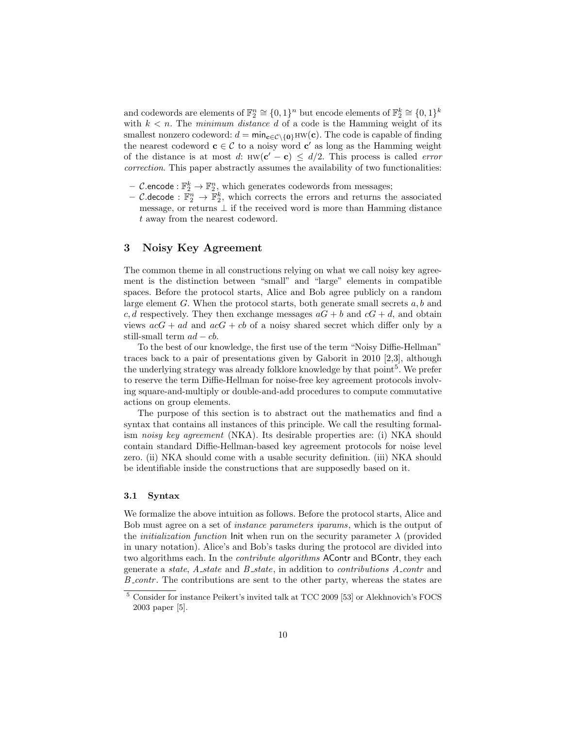and codewords are elements of  $\mathbb{F}_2^n \cong \{0,1\}^n$  but encode elements of  $\mathbb{F}_2^k \cong \{0,1\}^k$ with  $k < n$ . The minimum distance d of a code is the Hamming weight of its smallest nonzero codeword:  $d = \min_{\mathbf{c} \in \mathcal{C} \setminus \{\mathbf{0}\}} \text{HW}(\mathbf{c})$ . The code is capable of finding the nearest codeword  $c \in \mathcal{C}$  to a noisy word  $c'$  as long as the Hamming weight of the distance is at most d:  $HW(c' - c) \leq d/2$ . This process is called *error* correction. This paper abstractly assumes the availability of two functionalities:

- *C*.encode :  $\mathbb{F}_2^k \to \mathbb{F}_2^n$ , which generates codewords from messages;
- C.decode :  $\mathbb{F}_2^n \to \mathbb{F}_2^k$ , which corrects the errors and returns the associated message, or returns  $\perp$  if the received word is more than Hamming distance t away from the nearest codeword.

# 3 Noisy Key Agreement

The common theme in all constructions relying on what we call noisy key agreement is the distinction between "small" and "large" elements in compatible spaces. Before the protocol starts, Alice and Bob agree publicly on a random large element  $G$ . When the protocol starts, both generate small secrets  $a, b$  and c, d respectively. They then exchange messages  $aG + b$  and  $cG + d$ , and obtain views  $acG + ad$  and  $acG + cb$  of a noisy shared secret which differ only by a still-small term  $ad - cb$ .

To the best of our knowledge, the first use of the term "Noisy Diffie-Hellman" traces back to a pair of presentations given by Gaborit in 2010 [2,3], although the underlying strategy was already folklore knowledge by that point<sup>5</sup>. We prefer to reserve the term Diffie-Hellman for noise-free key agreement protocols involving square-and-multiply or double-and-add procedures to compute commutative actions on group elements.

The purpose of this section is to abstract out the mathematics and find a syntax that contains all instances of this principle. We call the resulting formalism noisy key agreement (NKA). Its desirable properties are: (i) NKA should contain standard Diffie-Hellman-based key agreement protocols for noise level zero. (ii) NKA should come with a usable security definition. (iii) NKA should be identifiable inside the constructions that are supposedly based on it.

### 3.1 Syntax

We formalize the above intuition as follows. Before the protocol starts, Alice and Bob must agree on a set of instance parameters iparams, which is the output of the *initialization function* Init when run on the security parameter  $\lambda$  (provided in unary notation). Alice's and Bob's tasks during the protocol are divided into two algorithms each. In the *contribute algorithms* AContr and BContr, they each generate a state,  $A_{\mathcal{A}}$  state and  $B_{\mathcal{A}}$  state, in addition to *contributions*  $A_{\mathcal{A}}$  contrand  $B_{\text{-}contr}$ . The contributions are sent to the other party, whereas the states are

 $^5$  Consider for instance Peikert's invited talk at TCC 2009 [53] or Alekhnovich's FOCS 2003 paper [5].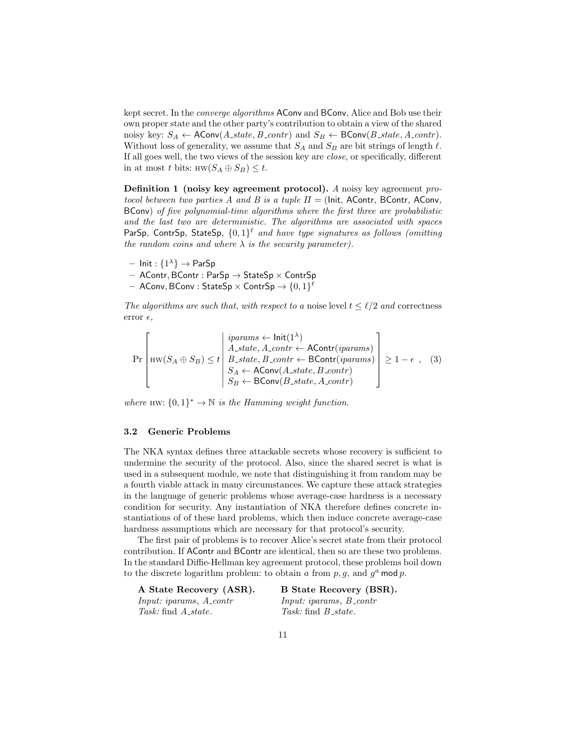kept secret. In the *converge algorithms* AConv and BConv, Alice and Bob use their own proper state and the other party's contribution to obtain a view of the shared noisy key:  $S_A \leftarrow \text{AConv}(A\_state, B\_contr)$  and  $S_B \leftarrow \text{BConv}(B\_state, A\_contr)$ . Without loss of generality, we assume that  $S_A$  and  $S_B$  are bit strings of length  $\ell$ . If all goes well, the two views of the session key are close, or specifically, different in at most t bits:  $HW(S_A \oplus S_B) \leq t$ .

Definition 1 (noisy key agreement protocol). A noisy key agreement protocol between two parties A and B is a tuple  $\Pi =$  (lnit, AContr, BContr, AConv, BConv) of five polynomial-time algorithms where the first three are probabilistic and the last two are deterministic. The algorithms are associated with spaces ParSp, ContrSp, StateSp,  $\{0,1\}^{\ell}$  and have type signatures as follows (omitting the random coins and where  $\lambda$  is the security parameter).

- $-$  Init :  $\{1^{\lambda}\}\rightarrow$  ParSp
- $-$  AContr, BContr : ParSp  $\rightarrow$  StateSp  $\times$  ContrSp
- $-$  AConv, BConv : StateSp  $\times$  ContrSp  $\rightarrow \{0,1\}^{\ell}$

The algorithms are such that, with respect to a noise level  $t \leq \ell/2$  and correctness error  $\epsilon$ ,

$$
\Pr\left[\text{HW}(S_A \oplus S_B) \leq t \middle| \begin{array}{l}\text{iparams} \leftarrow \text{Init}(1^{\lambda})\\ \text{A-state}, \text{A-contr} \leftarrow \text{AContr}(i \text{params})\\ \text{B-state}, \text{B-contr} \leftarrow \text{BContr}(i \text{params})\\ S_A \leftarrow \text{AConv}(A\text{-state}, B\text{-contr})\\ S_B \leftarrow \text{BConv}(B\text{-state}, A\text{-contr})\end{array}\right] \geq 1 - \epsilon , \quad (3)
$$

where HW:  $\{0,1\}^* \to \mathbb{N}$  is the Hamming weight function.

#### 3.2 Generic Problems

The NKA syntax defines three attackable secrets whose recovery is sufficient to undermine the security of the protocol. Also, since the shared secret is what is used in a subsequent module, we note that distinguishing it from random may be a fourth viable attack in many circumstances. We capture these attack strategies in the language of generic problems whose average-case hardness is a necessary condition for security. Any instantiation of NKA therefore defines concrete instantiations of of these hard problems, which then induce concrete average-case hardness assumptions which are necessary for that protocol's security.

The first pair of problems is to recover Alice's secret state from their protocol contribution. If AContr and BContr are identical, then so are these two problems. In the standard Diffie-Hellman key agreement protocol, these problems boil down to the discrete logarithm problem: to obtain a from  $p, g$ , and  $g^a$  mod p.

A State Recovery (ASR). Input: iparams, A\_contr Task: find  $A$ <sub>state</sub>.

B State Recovery (BSR). Input: iparams, B\_contr Task: find  $B$ <sub>-state</sub>.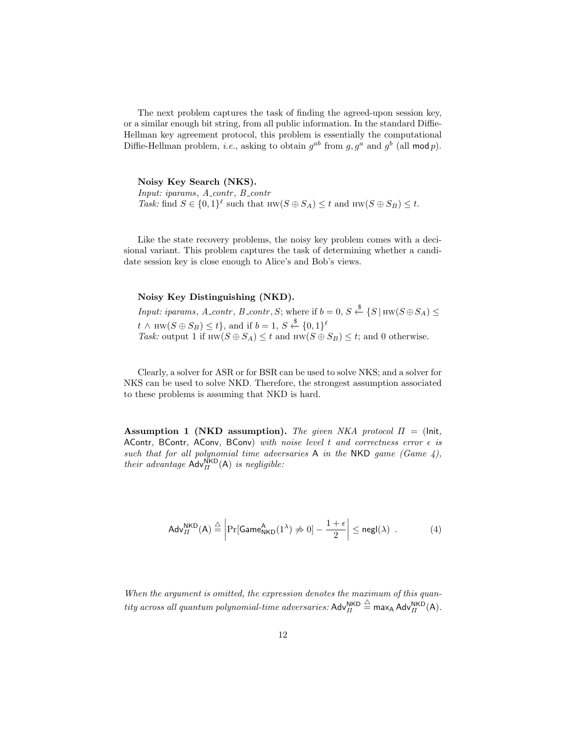The next problem captures the task of finding the agreed-upon session key, or a similar enough bit string, from all public information. In the standard Diffie-Hellman key agreement protocol, this problem is essentially the computational Diffie-Hellman problem, *i.e.*, asking to obtain  $g^{ab}$  from  $g, g^a$  and  $g^b$  (all mod p).

Noisy Key Search (NKS).

Input: iparams,  $A_{\text{-contr}}$ ,  $B_{\text{-contr}}$ Task: find  $S \in \{0,1\}^{\ell}$  such that  $HW(S \oplus S_A) \leq t$  and  $HW(S \oplus S_B) \leq t$ .

Like the state recovery problems, the noisy key problem comes with a decisional variant. This problem captures the task of determining whether a candidate session key is close enough to Alice's and Bob's views.

### Noisy Key Distinguishing (NKD).

Input: iparams, A\_contr, B\_contr, S; where if  $b = 0$ ,  $S \stackrel{\$}{\leftarrow} \{S | H \le (S \oplus S_A) \le$  $t \wedge \text{HW}(S \oplus S_B) \leq t \},$  and if  $b = 1, S \stackrel{\$}{\leftarrow} \{0,1\}^{\ell}$ Task: output 1 if  $HW(S \oplus S_A) \leq t$  and  $HW(S \oplus S_B) \leq t$ ; and 0 otherwise.

Clearly, a solver for ASR or for BSR can be used to solve NKS; and a solver for NKS can be used to solve NKD. Therefore, the strongest assumption associated to these problems is assuming that NKD is hard.

Assumption 1 (NKD assumption). The given NKA protocol  $\Pi =$  (lnit, AContr, BContr, AConv, BConv) with noise level t and correctness error  $\epsilon$  is such that for all polynomial time adversaries A in the NKD game (Game  $4$ ), their advantage  $\mathsf{Adv}_{\Pi}^{\mathsf{NKD}}(\mathsf{A})$  is negligible:

$$
\mathsf{Adv}_{II}^{\mathsf{NKD}}(\mathsf{A}) \stackrel{\triangle}{=} \left| \Pr[\mathsf{Game}_{\mathsf{NKD}}^{\mathsf{A}}(1^{\lambda}) \neq 0] - \frac{1+\epsilon}{2} \right| \leq \mathsf{negl}(\lambda) \quad . \tag{4}
$$

When the argument is omitted, the expression denotes the maximum of this quan- $\it{tity\ across\ all\ quantum\ polynomial\-time\ adversaries: Adv}_{II}^{\sf NKD}$  $\stackrel{\triangle}{=}$  max<sub>A</sub> Adv $_{\Pi}^{\mathsf{NKD}}(\mathsf{A})$ .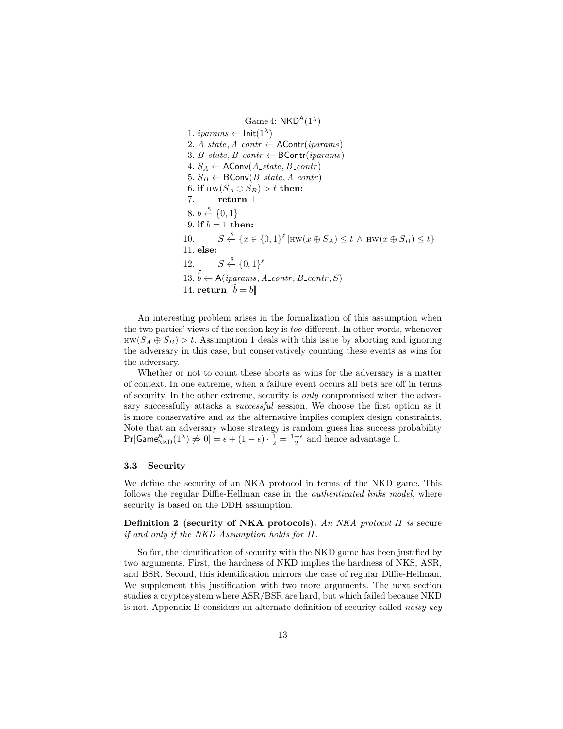Game 4:  $NKD^A(1^{\lambda})$ 1. *iparams*  $\leftarrow$  lnit $(1^{\lambda})$ 2.  $A_{.state, A_{.contr} \leftarrow \text{AContr}(iparams)$ 3. B\_state, B\_contr  $\leftarrow$  BContr(*iparams*)  $4. S_A \leftarrow \text{AConv}(A\_state, B\_contr)$ 5.  $S_B \leftarrow \text{BConv}(B_{\text{-}state}, A_{\text{-}contr})$ 6. if  $\text{HW}(S_A \oplus S_B) > t$  then: 7.  $|$  return  $\perp$ 8.  $b \stackrel{\$}{\leftarrow} \{0,1\}$ 9. if  $b = 1$  then: 10.  $S \stackrel{\$}{\leftarrow} \{x \in \{0,1\}^{\ell} | \text{HW}(x \oplus S_A) \leq t \land \text{HW}(x \oplus S_B) \leq t\}$ 11. else:  $12.$  $\xleftarrow{\$}$  {0,1}<sup>ℓ</sup> 13.  $\hat{b} \leftarrow A(iparams, A_{contr}, B_{contr}, S)$ 14. return  $\|\hat{b}=b\|$ 

An interesting problem arises in the formalization of this assumption when the two parties' views of the session key is too different. In other words, whenever  $HW(S_A \oplus S_B) > t$ . Assumption 1 deals with this issue by aborting and ignoring the adversary in this case, but conservatively counting these events as wins for the adversary.

Whether or not to count these aborts as wins for the adversary is a matter of context. In one extreme, when a failure event occurs all bets are off in terms of security. In the other extreme, security is only compromised when the adversary successfully attacks a *successful* session. We choose the first option as it is more conservative and as the alternative implies complex design constraints. Note that an adversary whose strategy is random guess has success probability  $Pr[\text{Game}_{\text{NKD}}^{\text{A}}(1^{\lambda}) \neq 0] = \epsilon + (1 - \epsilon) \cdot \frac{1}{2} = \frac{1 + \epsilon}{2}$  and hence advantage 0.

### 3.3 Security

We define the security of an NKA protocol in terms of the NKD game. This follows the regular Diffie-Hellman case in the *authenticated links model*, where security is based on the DDH assumption.

Definition 2 (security of NKA protocols). An NKA protocol  $\Pi$  is secure if and only if the NKD Assumption holds for Π.

So far, the identification of security with the NKD game has been justified by two arguments. First, the hardness of NKD implies the hardness of NKS, ASR, and BSR. Second, this identification mirrors the case of regular Diffie-Hellman. We supplement this justification with two more arguments. The next section studies a cryptosystem where ASR/BSR are hard, but which failed because NKD is not. Appendix B considers an alternate definition of security called noisy key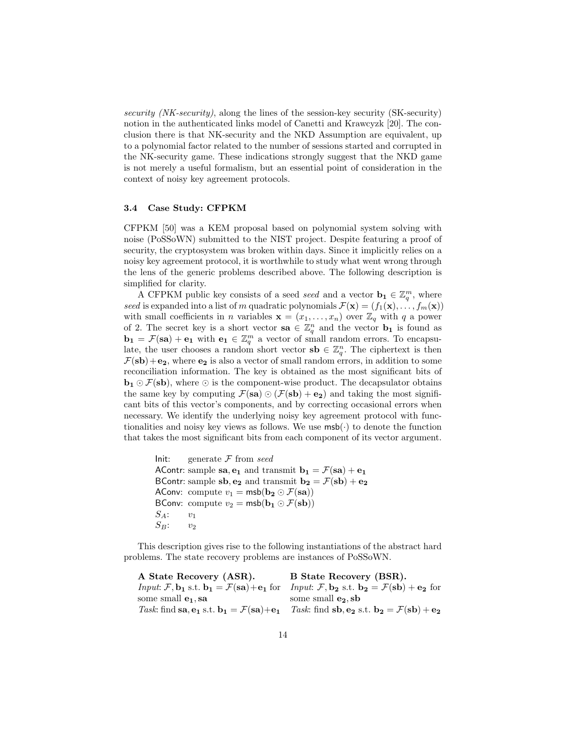security (NK-security), along the lines of the session-key security (SK-security) notion in the authenticated links model of Canetti and Krawcyzk [20]. The conclusion there is that NK-security and the NKD Assumption are equivalent, up to a polynomial factor related to the number of sessions started and corrupted in the NK-security game. These indications strongly suggest that the NKD game is not merely a useful formalism, but an essential point of consideration in the context of noisy key agreement protocols.

### 3.4 Case Study: CFPKM

CFPKM [50] was a KEM proposal based on polynomial system solving with noise (PoSSoWN) submitted to the NIST project. Despite featuring a proof of security, the cryptosystem was broken within days. Since it implicitly relies on a noisy key agreement protocol, it is worthwhile to study what went wrong through the lens of the generic problems described above. The following description is simplified for clarity.

A CFPKM public key consists of a seed seed and a vector  $\mathbf{b}_1 \in \mathbb{Z}_q^m$ , where seed is expanded into a list of m quadratic polynomials  $\mathcal{F}(\mathbf{x}) = (f_1(\mathbf{x}), \dots, f_m(\mathbf{x}))$ with small coefficients in *n* variables  $\mathbf{x} = (x_1, \ldots, x_n)$  over  $\mathbb{Z}_q$  with q a power of 2. The secret key is a short vector  $\mathbf{sa} \in \mathbb{Z}_q^n$  and the vector  $\mathbf{b}_1$  is found as  $\mathbf{b_1} = \mathcal{F}(\mathbf{s}\mathbf{a}) + \mathbf{e_1}$  with  $\mathbf{e_1} \in \mathbb{Z}_q^m$  a vector of small random errors. To encapsulate, the user chooses a random short vector  $\mathbf{sb} \in \mathbb{Z}_q^n$ . The ciphertext is then  $\mathcal{F}(\mathbf{s}\mathbf{b})+\mathbf{e_2}$ , where  $\mathbf{e_2}$  is also a vector of small random errors, in addition to some reconciliation information. The key is obtained as the most significant bits of  $\mathbf{b_1} \odot \mathcal{F}(\mathbf{s}\mathbf{b})$ , where  $\odot$  is the component-wise product. The decapsulator obtains the same key by computing  $\mathcal{F}(\mathbf{sa}) \odot (\mathcal{F}(\mathbf{sb}) + \mathbf{e_2})$  and taking the most significant bits of this vector's components, and by correcting occasional errors when necessary. We identify the underlying noisy key agreement protocol with functionalities and noisy key views as follows. We use  $\mathsf{msb}(\cdot)$  to denote the function that takes the most significant bits from each component of its vector argument.

Init: generate  $\mathcal F$  from seed AContr: sample sa,  $\mathbf{e}_1$  and transmit  $\mathbf{b}_1 = \mathcal{F}(\mathbf{s}\mathbf{a}) + \mathbf{e}_1$ BContr: sample  $sb, e_2$  and transmit  $b_2 = \mathcal{F}(sb) + e_2$ AConv: compute  $v_1 = \text{msb}(\mathbf{b_2} \odot \mathcal{F}(\mathbf{sa}))$ BConv: compute  $v_2 = \text{msb}(\mathbf{b_1} \odot \mathcal{F}(\mathbf{s}\mathbf{b}))$  $S_A:$   $v_1$  $S_B:$   $v_2$ 

This description gives rise to the following instantiations of the abstract hard problems. The state recovery problems are instances of PoSSoWN.

| A State Recovery (ASR).                                 | B State Recovery (BSR).                                                                                                                                                                                                                   |
|---------------------------------------------------------|-------------------------------------------------------------------------------------------------------------------------------------------------------------------------------------------------------------------------------------------|
|                                                         | <i>Input:</i> $\mathcal{F}, \mathbf{b_1}$ s.t. $\mathbf{b_1} = \mathcal{F}(\mathbf{s}\mathbf{a}) + \mathbf{e_1}$ for <i>Input:</i> $\mathcal{F}, \mathbf{b_2}$ s.t. $\mathbf{b_2} = \mathcal{F}(\mathbf{s}\mathbf{b}) + \mathbf{e_2}$ for |
| some small $e_1$ , sa                                   | some small $e_2$ , sb                                                                                                                                                                                                                     |
| Task: find sa, $e_1$ s.t. $b_1 = \mathcal{F}(sa) + e_1$ | Task: find sb, e <sub>2</sub> s.t. b <sub>2</sub> = $\mathcal{F}(\mathbf{s}\mathbf{b}) + \mathbf{e}_2$                                                                                                                                    |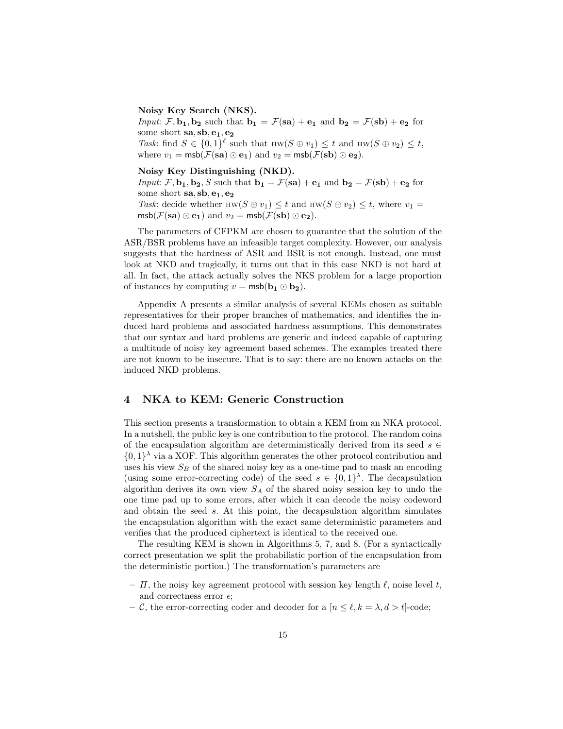Noisy Key Search (NKS).

Input:  $\mathcal{F}, \mathbf{b_1}, \mathbf{b_2}$  such that  $\mathbf{b_1} = \mathcal{F}(\mathbf{s}\mathbf{a}) + \mathbf{e_1}$  and  $\mathbf{b_2} = \mathcal{F}(\mathbf{s}\mathbf{b}) + \mathbf{e_2}$  for some short  $sa, sb, e_1, e_2$ Task: find  $S \in \{0,1\}^{\ell}$  such that  $HW(S \oplus v_1) \leq t$  and  $HW(S \oplus v_2) \leq t$ , where  $v_1 = \text{msb}(\mathcal{F}(sa) \odot e_1)$  and  $v_2 = \text{msb}(\mathcal{F}(sb) \odot e_2)$ .

Noisy Key Distinguishing (NKD).

Input:  $\mathcal{F}, \mathbf{b_1}, \mathbf{b_2}, S$  such that  $\mathbf{b_1} = \mathcal{F}(\mathbf{s}\mathbf{a}) + \mathbf{e_1}$  and  $\mathbf{b_2} = \mathcal{F}(\mathbf{s}\mathbf{b}) + \mathbf{e_2}$  for some short  $sa, sb, e_1, e_2$ Task: decide whether HW( $S \oplus v_1$ )  $\leq t$  and HW( $S \oplus v_2$ )  $\leq t$ , where  $v_1 =$  $\text{msb}(\mathcal{F}(\textbf{sa}) \odot \textbf{e}_1)$  and  $v_2 = \text{msb}(\mathcal{F}(\textbf{sb}) \odot \textbf{e}_2)$ .

The parameters of CFPKM are chosen to guarantee that the solution of the ASR/BSR problems have an infeasible target complexity. However, our analysis suggests that the hardness of ASR and BSR is not enough. Instead, one must look at NKD and tragically, it turns out that in this case NKD is not hard at all. In fact, the attack actually solves the NKS problem for a large proportion of instances by computing  $v = \text{msb}(\mathbf{b}_1 \odot \mathbf{b}_2)$ .

Appendix A presents a similar analysis of several KEMs chosen as suitable representatives for their proper branches of mathematics, and identifies the induced hard problems and associated hardness assumptions. This demonstrates that our syntax and hard problems are generic and indeed capable of capturing a multitude of noisy key agreement based schemes. The examples treated there are not known to be insecure. That is to say: there are no known attacks on the induced NKD problems.

# 4 NKA to KEM: Generic Construction

This section presents a transformation to obtain a KEM from an NKA protocol. In a nutshell, the public key is one contribution to the protocol. The random coins of the encapsulation algorithm are deterministically derived from its seed  $s \in$  $\{0,1\}^{\lambda}$  via a XOF. This algorithm generates the other protocol contribution and uses his view  $S_B$  of the shared noisy key as a one-time pad to mask an encoding (using some error-correcting code) of the seed  $s \in \{0,1\}^{\lambda}$ . The decapsulation algorithm derives its own view  $S_A$  of the shared noisy session key to undo the one time pad up to some errors, after which it can decode the noisy codeword and obtain the seed s. At this point, the decapsulation algorithm simulates the encapsulation algorithm with the exact same deterministic parameters and verifies that the produced ciphertext is identical to the received one.

The resulting KEM is shown in Algorithms 5, 7, and 8. (For a syntactically correct presentation we split the probabilistic portion of the encapsulation from the deterministic portion.) The transformation's parameters are

- $\Pi$ , the noisy key agreement protocol with session key length  $\ell$ , noise level t, and correctness error  $\epsilon$ ;
- C, the error-correcting coder and decoder for a  $[n \leq \ell, k = \lambda, d > t]$ -code;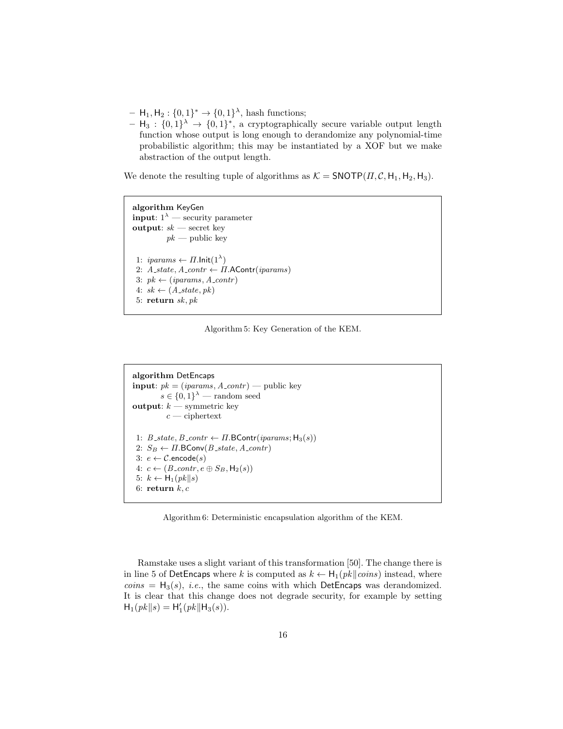- $H_1, H_2: \{0,1\}^* \to \{0,1\}^{\lambda},$  hash functions;
- $H_3: \{0,1\}^{\lambda} \rightarrow \{0,1\}^*$ , a cryptographically secure variable output length function whose output is long enough to derandomize any polynomial-time probabilistic algorithm; this may be instantiated by a XOF but we make abstraction of the output length.

We denote the resulting tuple of algorithms as  $K = \text{SNOTP}(H, C, H_1, H_2, H_3)$ .

```
algorithm KeyGen
input: 1^{\lambda} — security parameter
output: sk — secret key
           pk — public key
 1: iparams \leftarrow \Pi.lnit(1^{\lambda})2: A_{\text{.}state, A_{\text{.}contr \leftarrow \Pi.\text{AContr}(iparams) }3: pk \leftarrow (iparams, A_{contr})4: sk \leftarrow (A\_state, pk)5: return sk, pk
```
Algorithm 5: Key Generation of the KEM.

```
algorithm DetEncaps
input: pk = (iparams, A_{contr}) — public key
          s \in \{0,1\}^{\lambda} — random seed
output: k — symmetric key
           c — ciphertext
 1: B_{\text{-}state}, B_{\text{-}contr} \leftarrow \Pi \cdot \text{BContr}(i \text{params}; H_3(s))2: S_B \leftarrow \Pi. BConv(B\_state, A\_contr)3: e \leftarrow C.\text{encode}(s)4: c \leftarrow (B\_{contr}, e \oplus S_B, H_2(s))5: k \leftarrow H_1(pk||s)6: return k, c
```
Algorithm 6: Deterministic encapsulation algorithm of the KEM.

Ramstake uses a slight variant of this transformation [50]. The change there is in line 5 of DetEncaps where k is computed as  $k \leftarrow H_1(pk||\text{cos})$  instead, where  $coins = H_3(s), i.e.,$  the same coins with which DetEncaps was derandomized. It is clear that this change does not degrade security, for example by setting  $H_1(pk||s) = H'_1(pk||H_3(s)).$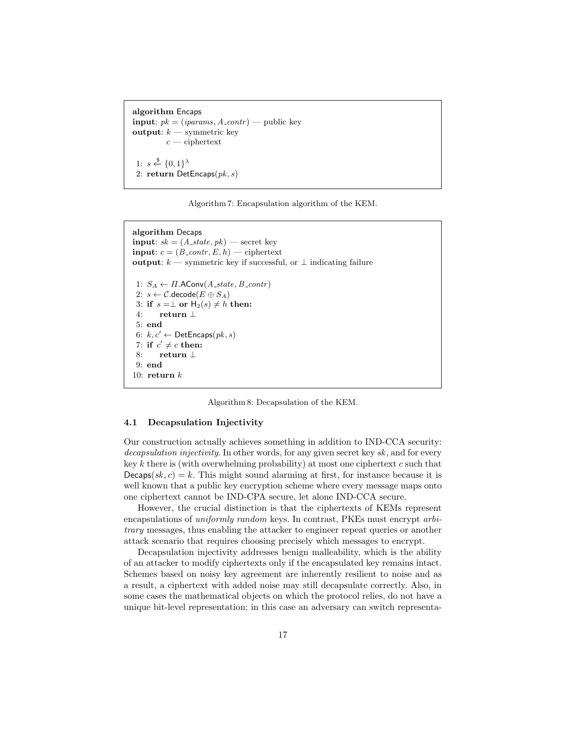```
algorithm Encaps
input: pk = (iparams, A_{contr}) — public key
output: k — symmetric key
          c — ciphertext
 1: s \stackrel{\$}{\leftarrow} \{0,1\}^{\lambda}2: return DetEncaps(pk, s)
```
Algorithm 7: Encapsulation algorithm of the KEM.

```
algorithm Decaps
input: sk = (A\_state, pk) — secret key
input: c = (B\_{contr}, E, h) — ciphertext
output: k — symmetric key if successful, or \perp indicating failure
 1: S_A \leftarrow \Pi. AConv(A\_state, B\_contr)2: s \leftarrow \mathcal{C}.\mathsf{decode}(E \oplus S_A)3: if s = \perp or H_2(s) \neq h then:
 4: return ⊥
 5: end
 6: k, c' \leftarrow DetEncaps(pk, s)7: if c' \neq c then:
 8: return ⊥
 9: end
10: return k
```
Algorithm 8: Decapsulation of the KEM.

#### 4.1 Decapsulation Injectivity

Our construction actually achieves something in addition to IND-CCA security: decapsulation injectivity. In other words, for any given secret key sk, and for every key k there is (with overwhelming probability) at most one ciphertext c such that  $Decaps(sk, c) = k$ . This might sound alarming at first, for instance because it is well known that a public key encryption scheme where every message maps onto one ciphertext cannot be IND-CPA secure, let alone IND-CCA secure.

However, the crucial distinction is that the ciphertexts of KEMs represent encapsulations of uniformly random keys. In contrast, PKEs must encrypt arbitrary messages, thus enabling the attacker to engineer repeat queries or another attack scenario that requires choosing precisely which messages to encrypt.

Decapsulation injectivity addresses benign malleability, which is the ability of an attacker to modify ciphertexts only if the encapsulated key remains intact. Schemes based on noisy key agreement are inherently resilient to noise and as a result, a ciphertext with added noise may still decapsulate correctly. Also, in some cases the mathematical objects on which the protocol relies, do not have a unique bit-level representation; in this case an adversary can switch representa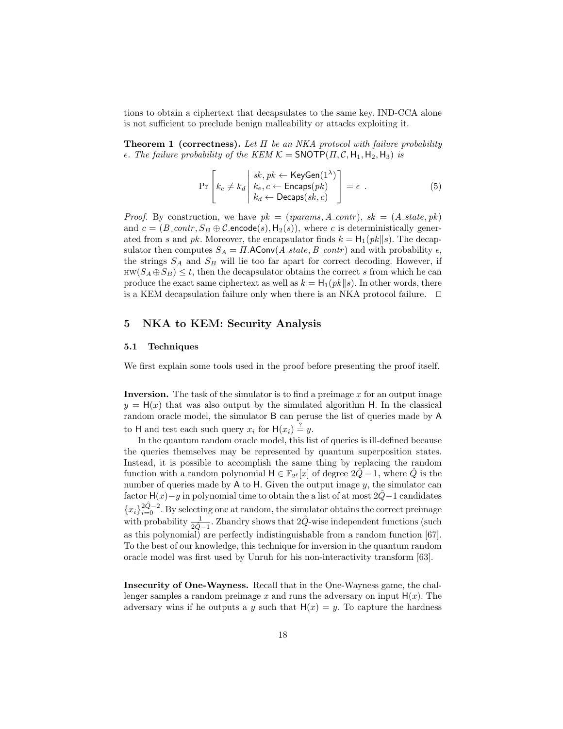tions to obtain a ciphertext that decapsulates to the same key. IND-CCA alone is not sufficient to preclude benign malleability or attacks exploiting it.

**Theorem 1 (correctness).** Let  $\Pi$  be an NKA protocol with failure probability  $\epsilon$ . The failure probability of the KEM  $\mathcal{K} =$  SNOTP( $\Pi, \mathcal{C}, H_1, H_2, H_3$ ) is

$$
\Pr\left[k_c \neq k_d \middle| \begin{array}{l} sk, pk \leftarrow \text{KeyGen}(1^{\lambda}) \\ k_e, c \leftarrow \text{Encaps}(pk) \\ k_d \leftarrow \text{Decaps}(sk, c) \end{array}\right] = \epsilon \tag{5}
$$

*Proof.* By construction, we have  $pk = (iparams, A_{contr})$ ,  $sk = (A_{state}, pk)$ and  $c = (B_{\text{1}}\text{constr}, S_B \oplus \mathcal{C}.\text{encode}(s), \mathsf{H}_2(s)),$  where c is deterministically generated from s and pk. Moreover, the encapsulator finds  $k = H_1(pk||s)$ . The decapsulator then computes  $S_A = \Pi$ . AConv $(A\_state, B\_contr)$  and with probability  $\epsilon$ , the strings  $S_A$  and  $S_B$  will lie too far apart for correct decoding. However, if  $HW(S_A \oplus S_B) \leq t$ , then the decapsulator obtains the correct s from which he can produce the exact same ciphertext as well as  $k = H_1(pk||s)$ . In other words, there is a KEM decapsulation failure only when there is an NKA protocol failure.  $\square$ 

# 5 NKA to KEM: Security Analysis

#### 5.1 Techniques

We first explain some tools used in the proof before presenting the proof itself.

Inversion. The task of the simulator is to find a preimage  $x$  for an output image  $y = H(x)$  that was also output by the simulated algorithm H. In the classical random oracle model, the simulator B can peruse the list of queries made by A to H and test each such query  $x_i$  for  $H(x_i) \stackrel{?}{=} y$ .

In the quantum random oracle model, this list of queries is ill-defined because the queries themselves may be represented by quantum superposition states. Instead, it is possible to accomplish the same thing by replacing the random function with a random polynomial  $H \in \mathbb{F}_{2^{\ell}}[x]$  of degree  $2\hat{Q} - 1$ , where  $\hat{Q}$  is the number of queries made by  $A$  to  $H$ . Given the output image  $y$ , the simulator can factor H(x)−y in polynomial time to obtain the a list of at most  $2\hat{Q}$ −1 candidates  ${x_i}_{i=0}^{2\hat{Q}-2}$ . By selecting one at random, the simulator obtains the correct preimage with probability  $\frac{1}{2\hat{Q}-1}$ . Zhandry shows that  $2\hat{Q}$ -wise independent functions (such as this polynomial) are perfectly indistinguishable from a random function [67]. To the best of our knowledge, this technique for inversion in the quantum random oracle model was first used by Unruh for his non-interactivity transform [63].

Insecurity of One-Wayness. Recall that in the One-Wayness game, the challenger samples a random preimage x and runs the adversary on input  $H(x)$ . The adversary wins if he outputs a y such that  $H(x) = y$ . To capture the hardness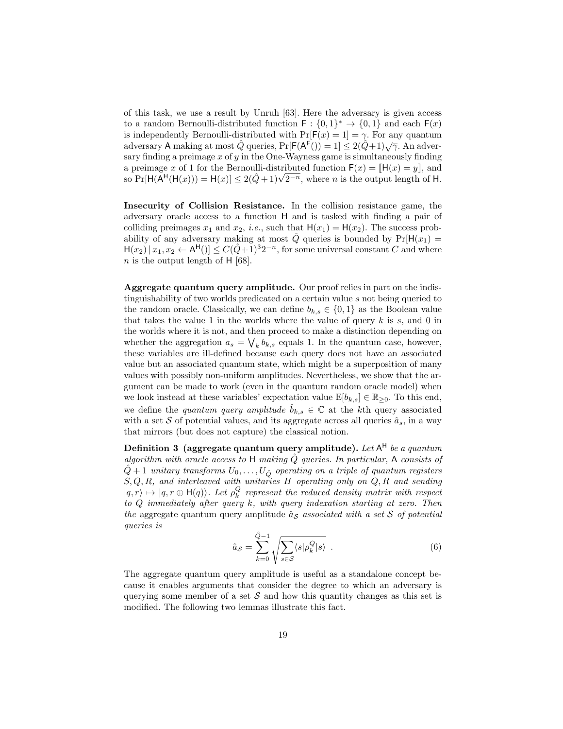of this task, we use a result by Unruh [63]. Here the adversary is given access to a random Bernoulli-distributed function  $F: \{0,1\}^* \to \{0,1\}$  and each  $F(x)$ is independently Bernoulli-distributed with  $Pr[F(x) = 1] = \gamma$ . For any quantum adversary A making at most  $\hat{Q}$  queries,  $Pr[F(A^F())] = 1] \leq 2(\hat{Q}+1)\sqrt{\gamma}$ . An adversary finding a preimage  $x$  of  $y$  in the One-Wayness game is simultaneously finding a preimage x of 1 for the Bernoulli-distributed function  $F(x) = ||H(x) = y||$ , and a preimage x of 1 for the Bernoulli-distributed function  $\mathsf{F}(x) = \mathsf{H}(x) = y\mathsf{H}$ , and so  $\Pr[\mathsf{H}(\mathsf{H}^{\mathsf{H}}(\mathsf{H}(x))) = \mathsf{H}(x)] \leq 2(\hat{Q}+1)\sqrt{2^{-n}}$ , where n is the output length of H.

Insecurity of Collision Resistance. In the collision resistance game, the adversary oracle access to a function H and is tasked with finding a pair of colliding preimages  $x_1$  and  $x_2$ , *i.e.*, such that  $H(x_1) = H(x_2)$ . The success probability of any adversary making at most  $\hat{Q}$  queries is bounded by  $Pr[H(x_1) =$  $H(x_2)|x_1, x_2 \leftarrow A^{\mathsf{H}}(x_2) \leq C(\hat{Q}+1)^3 2^{-n}$ , for some universal constant C and where  $n$  is the output length of H [68].

Aggregate quantum query amplitude. Our proof relies in part on the indistinguishability of two worlds predicated on a certain value s not being queried to the random oracle. Classically, we can define  $b_{k,s} \in \{0,1\}$  as the Boolean value that takes the value 1 in the worlds where the value of query  $k$  is  $s$ , and 0 in the worlds where it is not, and then proceed to make a distinction depending on whether the aggregation  $a_s = \bigvee_k b_{k,s}$  equals 1. In the quantum case, however, these variables are ill-defined because each query does not have an associated value but an associated quantum state, which might be a superposition of many values with possibly non-uniform amplitudes. Nevertheless, we show that the argument can be made to work (even in the quantum random oracle model) when we look instead at these variables' expectation value  $E[b_{k,s}] \in \mathbb{R}_{\geq 0}$ . To this end, we define the quantum query amplitude  $\hat{b}_{k,s} \in \mathbb{C}$  at the kth query associated with a set S of potential values, and its aggregate across all queries  $\hat{a}_s$ , in a way that mirrors (but does not capture) the classical notion.

Definition 3 (aggregate quantum query amplitude).  $\emph{Let}$  A<sup>H</sup> be a quantum algorithm with oracle access to H making  $\hat{Q}$  queries. In particular, A consists of  $\hat{Q+1}$  unitary transforms  $U_0,\ldots,U_{\hat{Q}}$  operating on a triple of quantum registers  $S, Q, R$ , and interleaved with unitaries H operating only on  $Q, R$  and sending  $|q, r\rangle \mapsto |q, r \oplus H(q)\rangle$ . Let  $\rho_k^Q$  represent the reduced density matrix with respect to Q immediately after query k, with query indexation starting at zero. Then the aggregate quantum query amplitude  $\hat{a}_s$  associated with a set S of potential queries is

$$
\hat{a}_{\mathcal{S}} = \sum_{k=0}^{\hat{Q}-1} \sqrt{\sum_{s \in \mathcal{S}} \langle s | \rho_k^Q | s \rangle} . \tag{6}
$$

The aggregate quantum query amplitude is useful as a standalone concept because it enables arguments that consider the degree to which an adversary is querying some member of a set  $S$  and how this quantity changes as this set is modified. The following two lemmas illustrate this fact.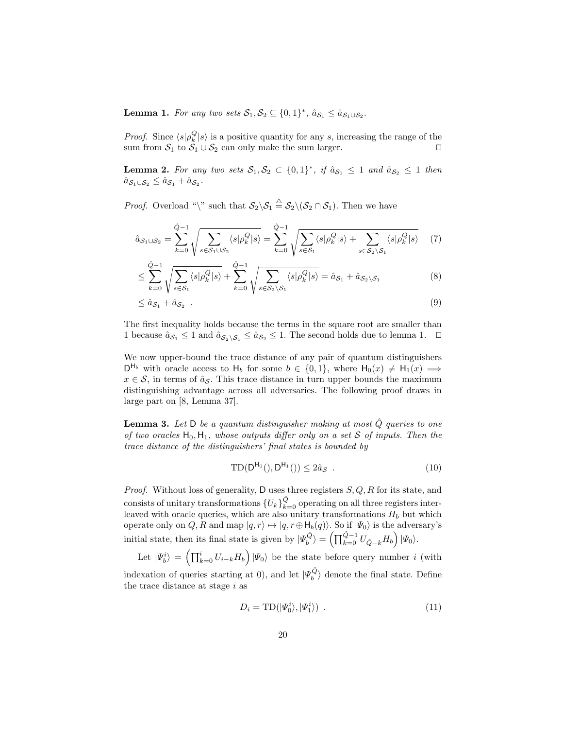**Lemma 1.** For any two sets  $S_1, S_2 \subseteq \{0, 1\}^*$ ,  $\hat{a}_{S_1} \leq \hat{a}_{S_1 \cup S_2}$ .

*Proof.* Since  $\langle s | \rho_k^Q | s \rangle$  is a positive quantity for any s, increasing the range of the sum from  $S_1$  to  $S_1 \cup S_2$  can only make the sum larger.

**Lemma 2.** For any two sets  $S_1, S_2 \subset \{0, 1\}^*$ , if  $\hat{a}_{S_1} \leq 1$  and  $\hat{a}_{S_2} \leq 1$  then  $\hat{a}_{\mathcal{S}_1\cup\mathcal{S}_2} \leq \hat{a}_{\mathcal{S}_1} + \hat{a}_{\mathcal{S}_2}.$ 

*Proof.* Overload "\" such that  $S_2 \setminus S_1 \stackrel{\triangle}{=} S_2 \setminus (S_2 \cap S_1)$ . Then we have

$$
\hat{a}_{\mathcal{S}_1 \cup \mathcal{S}_2} = \sum_{k=0}^{\hat{Q}-1} \sqrt{\sum_{s \in \mathcal{S}_1 \cup \mathcal{S}_2} \langle s | \rho_k^Q | s \rangle} = \sum_{k=0}^{\hat{Q}-1} \sqrt{\sum_{s \in \mathcal{S}_1} \langle s | \rho_k^Q | s \rangle + \sum_{s \in \mathcal{S}_2 \setminus \mathcal{S}_1} \langle s | \rho_k^Q | s \rangle} \tag{7}
$$

$$
\leq \sum_{k=0}^{\hat{Q}-1} \sqrt{\sum_{s \in S_1} \langle s | \rho_k^Q | s \rangle} + \sum_{k=0}^{\hat{Q}-1} \sqrt{\sum_{s \in S_2 \setminus S_1} \langle s | \rho_k^Q | s \rangle} = \hat{a}_{S_1} + \hat{a}_{S_2 \setminus S_1} \tag{8}
$$

$$
\leq \hat{a}_{\mathcal{S}_1} + \hat{a}_{\mathcal{S}_2} \tag{9}
$$

The first inequality holds because the terms in the square root are smaller than 1 because  $\hat{a}_{\mathcal{S}_1} \leq 1$  and  $\hat{a}_{\mathcal{S}_2 \setminus \mathcal{S}_1} \leq \hat{a}_{\mathcal{S}_2} \leq 1$ . The second holds due to lemma 1.  $\Box$ 

We now upper-bound the trace distance of any pair of quantum distinguishers  $D^{H_b}$  with oracle access to  $H_b$  for some  $b \in \{0,1\}$ , where  $H_0(x) \neq H_1(x) \implies$  $x \in \mathcal{S}$ , in terms of  $\hat{a}_{\mathcal{S}}$ . This trace distance in turn upper bounds the maximum distinguishing advantage across all adversaries. The following proof draws in large part on [8, Lemma 37].

**Lemma 3.** Let D be a quantum distinguisher making at most  $\hat{Q}$  queries to one of two oracles  $H_0, H_1$ , whose outputs differ only on a set S of inputs. Then the trace distance of the distinguishers' final states is bounded by

$$
TD(D^{H_0}(), D^{H_1}()) \le 2\hat{a}_{\mathcal{S}} . \tag{10}
$$

*Proof.* Without loss of generality, D uses three registers  $S, Q, R$  for its state, and consists of unitary transformations  ${U_k}_{k=0}^{\hat{Q}}$  operating on all three registers interleaved with oracle queries, which are also unitary transformations  $H_b$  but which operate only on Q, R and map  $|q, r\rangle \mapsto |q, r \oplus \mathsf{H}_b(q)\rangle$ . So if  $|\Psi_0\rangle$  is the adversary's initial state, then its final state is given by  $|\Psi_b^{\hat{Q}}\rangle = \left(\prod_{k=0}^{\hat{Q}-1} U_{\hat{Q}-k} H_b\right) |\Psi_0\rangle$ .

Let  $|\Psi_b^i\rangle = \left(\prod_{k=0}^i U_{i-k}H_b\right)|\Psi_0\rangle$  be the state before query number i (with indexation of queries starting at 0), and let  $|\Psi_b^{\hat{Q}}\rangle$  denote the final state. Define the trace distance at stage  $i$  as

$$
D_i = TD(|\Psi_0^i\rangle, |\Psi_1^i\rangle) \tag{11}
$$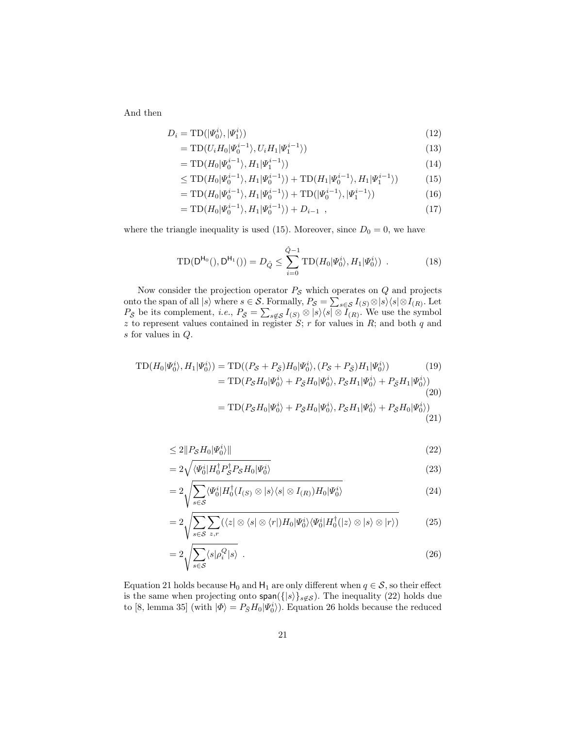And then

$$
D_i = \text{TD}(|\Psi_0^i\rangle, |\Psi_1^i\rangle) \tag{12}
$$

$$
= TD(U_i H_0 | \Psi_0^{i-1} \rangle, U_i H_1 | \Psi_1^{i-1} \rangle)
$$
\n
$$
\tag{13}
$$

$$
= TD(H_0|\Psi_0^{i-1}\rangle, H_1|\Psi_1^{i-1}\rangle)
$$
\n(14)

$$
\leq TD(H_0|\Psi_0^{i-1}\rangle, H_1|\Psi_0^{i-1}\rangle) + TD(H_1|\Psi_0^{i-1}\rangle, H_1|\Psi_1^{i-1}\rangle) \tag{15}
$$

$$
= TD(H_0|\Psi_0^{i-1}\rangle, H_1|\Psi_0^{i-1}\rangle) + TD(|\Psi_0^{i-1}\rangle, |\Psi_1^{i-1}\rangle)
$$
\n(16)

$$
= TD(H_0|\Psi_0^{i-1}\rangle, H_1|\Psi_0^{i-1}\rangle) + D_{i-1} , \qquad (17)
$$

where the triangle inequality is used (15). Moreover, since  $D_0 = 0$ , we have

$$
TD(D^{H_0}(), D^{H_1}()) = D_{\hat{Q}} \le \sum_{i=0}^{\hat{Q}-1} TD(H_0 | \Psi_0^i \rangle, H_1 | \Psi_0^i \rangle) . \tag{18}
$$

Now consider the projection operator  $P_{\mathcal{S}}$  which operates on  $Q$  and projects onto the span of all  $|s\rangle$  where  $s \in \mathcal{S}$ . Formally,  $P_{\mathcal{S}} = \sum_{s \in \mathcal{S}} I_{(S)} \otimes |s\rangle\langle s| \otimes I_{(R)}$ . Let  $P_{\bar{S}}$  be its complement, *i.e.*,  $P_{\bar{S}} = \sum_{s \notin S} I_{(S)} \otimes |s\rangle\langle s| \otimes I_{(R)}$ . We use the symbol z to represent values contained in register  $S$ ; r for values in  $R$ ; and both  $q$  and s for values in Q.

$$
\begin{split} \text{TD}(H_0|\Psi_0^i\rangle, H_1|\Psi_0^i\rangle) &= \text{TD}((P_S + P_{\bar{S}})H_0|\Psi_0^i\rangle, (P_S + P_{\bar{S}})H_1|\Psi_0^i\rangle) \tag{19} \\ &= \text{TD}(P_S H_0|\Psi_0^i\rangle + P_{\bar{S}}H_0|\Psi_0^i\rangle, P_S H_1|\Psi_0^i\rangle + P_{\bar{S}}H_1|\Psi_0^i\rangle) \tag{20} \\ &= \text{TD}(P_S H_0|\Psi_0^i\rangle + P_{\bar{S}}H_0|\Psi_0^i\rangle, P_S H_1|\Psi_0^i\rangle + P_{\bar{S}}H_0|\Psi_0^i\rangle) \tag{21} \end{split}
$$

$$
\leq 2\|P_{\mathcal{S}}H_0|\Psi_0^i\rangle\| \tag{22}
$$

$$
=2\sqrt{\langle\Psi_0^i|H_0^\dagger P_S^\dagger P_S H_0|\Psi_0^i\rangle}\tag{23}
$$

$$
=2\sqrt{\sum_{s\in\mathcal{S}}\langle\Psi_0^i|H_0^{\dagger}(I_{(S)}\otimes|s\rangle\langle s|\otimes I_{(R)})H_0|\Psi_0^i\rangle}\tag{24}
$$

$$
=2\sqrt{\sum_{s\in\mathcal{S}}\sum_{z,r}(\langle z|\otimes\langle s|\otimes\langle r|)H_0|\Psi_0^i\rangle\langle\Psi_0^i|H_0^\dagger(|z\rangle\otimes|s\rangle\otimes|r\rangle)}\tag{25}
$$

$$
=2\sqrt{\sum_{s\in\mathcal{S}}\langle s|\rho_i^Q|s\rangle} \tag{26}
$$

Equation 21 holds because  $H_0$  and  $H_1$  are only different when  $q \in \mathcal{S}$ , so their effect is the same when projecting onto  $\text{span}(\{|s\rangle\}_{s\not\in\mathcal{S}})$ . The inequality (22) holds due to [8, lemma 35] (with  $|\Phi\rangle = P_{\bar{S}}H_0|\Psi_0^i\rangle$ ). Equation 26 holds because the reduced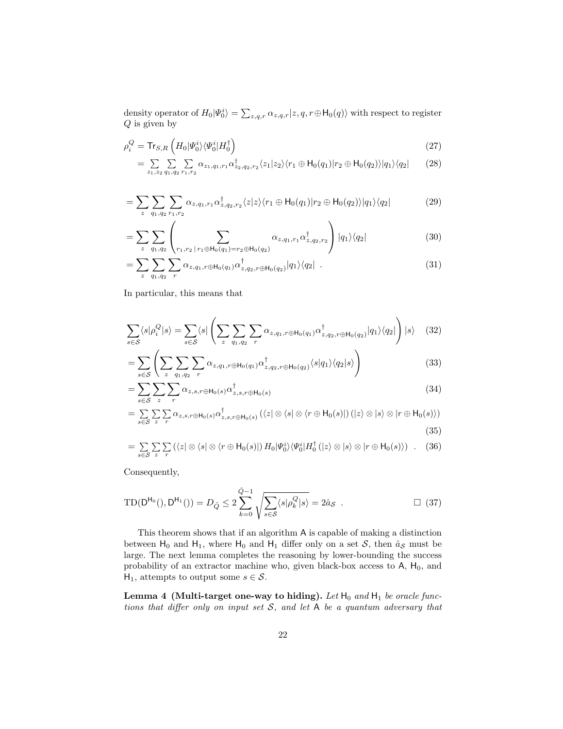density operator of  $H_0|\Psi_0^i\rangle = \sum_{z,q,r} \alpha_{z,q,r}|z,q,r \oplus \mathsf{H}_0(q)\rangle$  with respect to register  $Q$  is given by

$$
\rho_i^Q = \text{Tr}_{S,R} \left( H_0 | \Psi_0^i \rangle \langle \Psi_0^i | H_0^\dagger \right) \tag{27}
$$
\n
$$
= \sum \sum \sum \alpha_{\zeta_1, \zeta_2, \zeta_3} \alpha_{\zeta_2}^{\dagger} \alpha_{\zeta_3} \alpha_{\zeta_4}^{\dagger} \gamma_{\zeta_5} \left( z_1 | z_2 \rangle \langle r_1 \oplus \text{H}_0(q_1) | r_2 \oplus \text{H}_0(q_2) \rangle | q_1 \rangle \langle q_2 | \right) \tag{28}
$$

$$
= \sum_{z_1, z_2} \sum_{q_1, q_2} \sum_{r_1, r_2} \alpha_{z_1, q_1, r_1} \alpha_{z_2, q_2, r_2}^{\dagger} \langle z_1 | z_2 \rangle \langle r_1 \oplus \mathsf{H}_0(q_1) | r_2 \oplus \mathsf{H}_0(q_2) \rangle | q_1 \rangle \langle q_2 | \qquad (28)
$$

$$
= \sum_{z} \sum_{q_1, q_2} \sum_{r_1, r_2} \alpha_{z, q_1, r_1} \alpha_{z, q_2, r_2}^{\dagger} \langle z | z \rangle \langle r_1 \oplus \mathsf{H}_0(q_1) | r_2 \oplus \mathsf{H}_0(q_2) \rangle | q_1 \rangle \langle q_2 | \tag{29}
$$

$$
= \sum_{z} \sum_{q_1, q_2} \left( \sum_{r_1, r_2 \, | \, r_1 \oplus \mathsf{H}_0(q_1) = r_2 \oplus \mathsf{H}_0(q_2)} \alpha_{z, q_1, r_1} \alpha_{z, q_2, r_2}^{\dagger} \right) |q_1\rangle\langle q_2| \tag{30}
$$

$$
=\sum_{z}\sum_{q_1,q_2}\sum_{r}\alpha_{z,q_1,r\oplus\mathsf{H}_0(q_1)}\alpha^{\dagger}_{z,q_2,r\oplus\mathsf{H}_0(q_2)}|q_1\rangle\langle q_2|.
$$
\n(31)

In particular, this means that

$$
\sum_{s \in \mathcal{S}} \langle s | \rho_i^Q | s \rangle = \sum_{s \in \mathcal{S}} \langle s | \left( \sum_z \sum_{q_1, q_2} \sum_r \alpha_{z, q_1, r \oplus \mathsf{H}_0(q_1)} \alpha_{z, q_2, r \oplus \mathsf{H}_0(q_2)}^{\dagger} | q_1 \rangle \langle q_2 | \right) | s \rangle \tag{32}
$$

$$
= \sum_{s \in \mathcal{S}} \left( \sum_{z} \sum_{q_1, q_2} \sum_{r} \alpha_{z, q_1, r \oplus \mathsf{H}_0(q_1)} \alpha_{z, q_2, r \oplus \mathsf{H}_0(q_2)}^{\dagger} \langle s | q_1 \rangle \langle q_2 | s \rangle \right) \tag{33}
$$

$$
=\sum_{s\in\mathcal{S}}\sum_{z}\sum_{r}\alpha_{z,s,r\oplus\mathsf{H}_{0}(s)}\alpha_{z,s,r\oplus\mathsf{H}_{0}(s)}^{\dagger}\tag{34}
$$

$$
= \sum_{s \in \mathcal{S}} \sum_{z} \sum_{r} \alpha_{z,s,r \oplus \mathsf{H}_{0}(s)} \alpha_{z,s,r \oplus \mathsf{H}_{0}(s)}^{\dagger} \left( \langle z | \otimes \langle s | \otimes \langle r \oplus \mathsf{H}_{0}(s) | \right) (|z\rangle \otimes |s\rangle \otimes |r \oplus \mathsf{H}_{0}(s) \rangle \right)
$$
(35)

$$
= \sum_{s \in \mathcal{S}} \sum_{z} \sum_{r} (\langle z | \otimes \langle s | \otimes \langle r \oplus H_0(s) |) H_0 | \Psi_0^i \rangle \langle \Psi_0^i | H_0^{\dagger} (|z \rangle \otimes |s \rangle \otimes |r \oplus H_0(s) \rangle) \quad . \quad (36)
$$

Consequently,

$$
TD(D^{H_0}(), D^{H_1}()) = D_{\hat{Q}} \le 2 \sum_{k=0}^{\hat{Q}-1} \sqrt{\sum_{s \in S} \langle s | \rho_k^Q | s \rangle} = 2 \hat{a}_{S} . \qquad \Box (37)
$$

This theorem shows that if an algorithm A is capable of making a distinction between  $H_0$  and  $H_1$ , where  $H_0$  and  $H_1$  differ only on a set S, then  $\hat{a}_\mathcal{S}$  must be large. The next lemma completes the reasoning by lower-bounding the success probability of an extractor machine who, given black-box access to  $A$ ,  $H_0$ , and H<sub>1</sub>, attempts to output some  $s \in \mathcal{S}$ .

Lemma 4 (Multi-target one-way to hiding). Let  $H_0$  and  $H_1$  be oracle functions that differ only on input set  $S$ , and let  $A$  be a quantum adversary that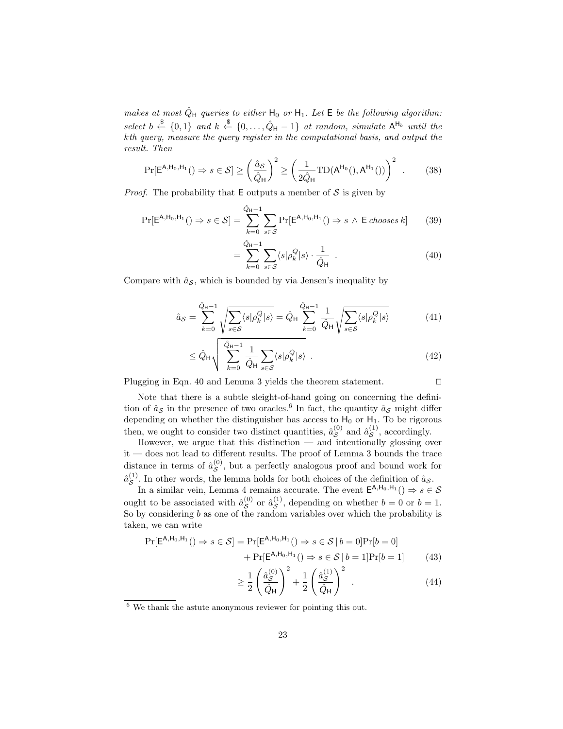makes at most  $\hat{Q}_{\mathsf{H}}$  queries to either  $\mathsf{H}_{0}$  or  $\mathsf{H}_{1}$ . Let  $\mathsf{E}$  be the following algorithm: select  $b \stackrel{\$}{\leftarrow} \{0,1\}$  and  $k \stackrel{\$}{\leftarrow} \{0,\ldots,\hat{Q}_{\mathsf{H}}-1\}$  at random, simulate  $\mathsf{A}^{\mathsf{H}_{b}}$  until the kth query, measure the query register in the computational basis, and output the result. Then

$$
\Pr[\mathsf{E}^{\mathsf{A},\mathsf{H}_0,\mathsf{H}_1}(t) \Rightarrow s \in \mathcal{S}] \ge \left(\frac{\hat{a}_{\mathcal{S}}}{\hat{Q}_{\mathsf{H}}}\right)^2 \ge \left(\frac{1}{2\hat{Q}_{\mathsf{H}}}\mathrm{TD}(\mathsf{A}^{\mathsf{H}_0}(t),\mathsf{A}^{\mathsf{H}_1}(t))\right)^2. \tag{38}
$$

*Proof.* The probability that  $E$  outputs a member of  $S$  is given by

$$
\Pr[\mathsf{E}^{\mathsf{A},\mathsf{H}_0,\mathsf{H}_1}(\mathbf{0}) \Rightarrow s \in \mathcal{S}] = \sum_{k=0}^{\hat{Q}_{\mathsf{H}}-1} \sum_{s \in \mathcal{S}} \Pr[\mathsf{E}^{\mathsf{A},\mathsf{H}_0,\mathsf{H}_1}(\mathbf{0}) \Rightarrow s \land \mathsf{E} \text{ chooses } k] \tag{39}
$$

$$
= \sum_{k=0}^{\hat{Q}_{\mathsf{H}}-1} \sum_{s \in \mathcal{S}} \langle s | \rho_k^Q | s \rangle \cdot \frac{1}{\hat{Q}_{\mathsf{H}}} \quad . \tag{40}
$$

Compare with  $\hat{a}_{\mathcal{S}}$ , which is bounded by via Jensen's inequality by

=

$$
\hat{a}_{\mathcal{S}} = \sum_{k=0}^{\hat{Q}_{\mathsf{H}}-1} \sqrt{\sum_{s \in \mathcal{S}} \langle s | \rho_k^Q | s \rangle} = \hat{Q}_{\mathsf{H}} \sum_{k=0}^{\hat{Q}_{\mathsf{H}}-1} \frac{1}{\hat{Q}_{\mathsf{H}}} \sqrt{\sum_{s \in \mathcal{S}} \langle s | \rho_k^Q | s \rangle}
$$
(41)

$$
\leq \hat{Q}_{\mathsf{H}} \sqrt{\sum_{k=0}^{\hat{Q}_{\mathsf{H}}-1} \frac{1}{\hat{Q}_{\mathsf{H}}} \sum_{s \in \mathcal{S}} \langle s | \rho_k^Q | s \rangle} . \tag{42}
$$

Plugging in Eqn. 40 and Lemma 3 yields the theorem statement.  $\Box$ 

$$
\mathbf{L}^{\mathbf{L}}
$$

Note that there is a subtle sleight-of-hand going on concerning the definition of  $\hat{a}_{\mathcal{S}}$  in the presence of two oracles.<sup>6</sup> In fact, the quantity  $\hat{a}_{\mathcal{S}}$  might differ depending on whether the distinguisher has access to  $H_0$  or  $H_1$ . To be rigorous then, we ought to consider two distinct quantities,  $\hat{a}_{\mathcal{S}}^{(0)}$  $\overset{(0)}{\mathcal{S}}$  and  $\hat{a}^{(1)}_{\mathcal{S}}$  $\mathcal{S}^{(1)}$ , accordingly.

However, we argue that this distinction — and intentionally glossing over  $\it it$  — does not lead to different results. The proof of Lemma 3 bounds the trace distance in terms of  $\hat{a}_{S}^{(0)}$  $S^{(0)}$ , but a perfectly analogous proof and bound work for  $\hat{a}_{\mathcal{S}}^{(1)}$  $\mathcal{S}^{(1)}$ . In other words, the lemma holds for both choices of the definition of  $\hat{a}_{\mathcal{S}}$ .

In a similar vein, Lemma 4 remains accurate. The event  $\mathsf{E}^{\mathsf{A},\mathsf{H}_0,\mathsf{H}_1}$  ()  $\Rightarrow s \in \mathcal{S}$ ought to be associated with  $\hat{a}_{S}^{(0)}$  $\stackrel{(0)}{\mathcal{S}}$  or  $\hat{a}^{(1)}_{\mathcal{S}}$  $S^{(1)}$ , depending on whether  $b = 0$  or  $b = 1$ . So by considering  $b$  as one of the random variables over which the probability is taken, we can write

$$
\Pr[\mathsf{E}^{\mathsf{A},\mathsf{H}_0,\mathsf{H}_1}(\mathsf{A}) \Rightarrow s \in \mathcal{S}] = \Pr[\mathsf{E}^{\mathsf{A},\mathsf{H}_0,\mathsf{H}_1}(\mathsf{A}) \Rightarrow s \in \mathcal{S} \mid b = 0] \Pr[b = 0] \\
+ \Pr[\mathsf{E}^{\mathsf{A},\mathsf{H}_0,\mathsf{H}_1}(\mathsf{A}) \Rightarrow s \in \mathcal{S} \mid b = 1] \Pr[b = 1] \tag{43}
$$

$$
\geq \frac{1}{2} \left( \frac{\hat{a}_{\mathcal{S}}^{(0)}}{\hat{Q}_{\mathsf{H}}} \right)^2 + \frac{1}{2} \left( \frac{\hat{a}_{\mathcal{S}}^{(1)}}{\hat{Q}_{\mathsf{H}}} \right)^2 \tag{44}
$$

<sup>6</sup> We thank the astute anonymous reviewer for pointing this out.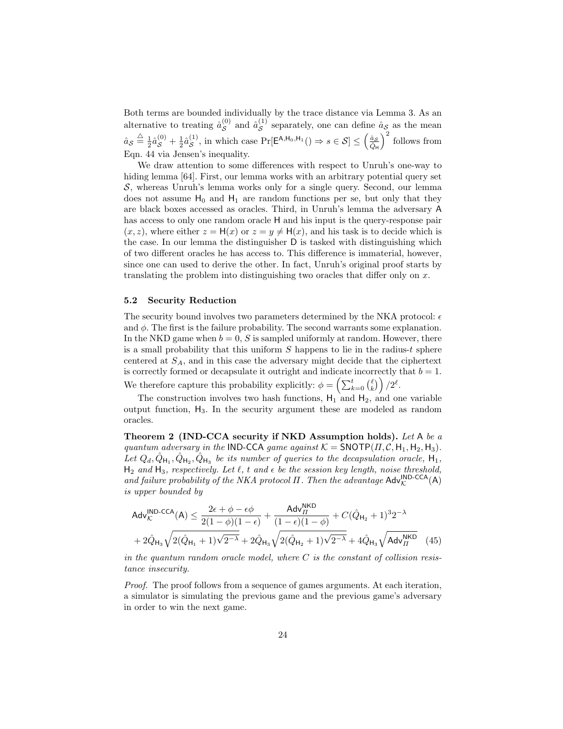Both terms are bounded individually by the trace distance via Lemma 3. As an alternative to treating  $\hat{a}_{\mathcal{S}}^{(0)}$  $\overset{(0)}{\mathcal{S}}$  and  $\hat{a}^{(1)}_{\mathcal{S}}$  $\mathcal{S}^{(1)}$  separately, one can define  $\hat{a}_{\mathcal{S}}$  as the mean  $\hat{a}_{\mathcal{S}} \stackrel{\triangle}{=} \frac{1}{2} \hat{a}_{\mathcal{S}}^{(0)} + \frac{1}{2} \hat{a}_{\mathcal{S}}^{(1)}$  $S(S^1)$ , in which case Pr[E<sup>A,H<sub>0</sub>,H<sub>1</sub>()  $\Rightarrow$   $s \in S$ ]  $\leq \left(\frac{\hat{a}_S}{\hat{Q}_H}\right)$ </sup>  $\big)^2$  follows from Eqn. 44 via Jensen's inequality.

We draw attention to some differences with respect to Unruh's one-way to hiding lemma [64]. First, our lemma works with an arbitrary potential query set  $S$ , whereas Unruh's lemma works only for a single query. Second, our lemma does not assume  $H_0$  and  $H_1$  are random functions per se, but only that they are black boxes accessed as oracles. Third, in Unruh's lemma the adversary A has access to only one random oracle H and his input is the query-response pair  $(x, z)$ , where either  $z = H(x)$  or  $z = y \neq H(x)$ , and his task is to decide which is the case. In our lemma the distinguisher D is tasked with distinguishing which of two different oracles he has access to. This difference is immaterial, however, since one can used to derive the other. In fact, Unruh's original proof starts by translating the problem into distinguishing two oracles that differ only on x.

#### 5.2 Security Reduction

The security bound involves two parameters determined by the NKA protocol:  $\epsilon$ and  $\phi$ . The first is the failure probability. The second warrants some explanation. In the NKD game when  $b = 0$ , S is sampled uniformly at random. However, there is a small probability that this uniform  $S$  happens to lie in the radius- $t$  sphere centered at  $S_A$ , and in this case the adversary might decide that the ciphertext is correctly formed or decapsulate it outright and indicate incorrectly that  $b = 1$ . We therefore capture this probability explicitly:  $\phi = \left(\sum_{k=0}^t \binom{\ell}{k}\right)/2^{\ell}$ .

The construction involves two hash functions,  $H_1$  and  $H_2$ , and one variable output function, H3. In the security argument these are modeled as random oracles.

Theorem 2 (IND-CCA security if NKD Assumption holds). Let A be a quantum adversary in the IND-CCA game against  $K = \text{SNOTP}(H, C, H_1, H_2, H_3)$ . Let  $Q_d, \hat{Q}_{H_1}, \hat{Q}_{H_2}, \hat{Q}_{H_3}$  be its number of queries to the decapsulation oracle,  $H_1$ ,  $H_2$  and  $H_3$ , respectively. Let  $\ell$ , t and  $\epsilon$  be the session key length, noise threshold, and failure probability of the NKA protocol  $\Pi$ . Then the advantage  $\mathsf{Adv}_{\mathcal{K}}^{\mathsf{IND}\text{-}\mathsf{CCA}}(\mathsf{A})$ is upper bounded by

$$
\mathsf{Adv}_{\mathcal{K}}^{\mathsf{IND}\text{-}\mathsf{CCA}}(\mathsf{A}) \leq \frac{2\epsilon + \phi - \epsilon\phi}{2(1-\phi)(1-\epsilon)} + \frac{\mathsf{Adv}_{\mathsf{II}}^{\mathsf{NKD}}}{(1-\epsilon)(1-\phi)} + C(\hat{Q}_{\mathsf{H}_2} + 1)^3 2^{-\lambda} + 2\hat{Q}_{\mathsf{H}_3}\sqrt{2(\hat{Q}_{\mathsf{H}_1} + 1)\sqrt{2^{-\lambda}} + 2\hat{Q}_{\mathsf{H}_3}\sqrt{2(\hat{Q}_{\mathsf{H}_2} + 1)\sqrt{2^{-\lambda}} + 4\hat{Q}_{\mathsf{H}_3}\sqrt{\mathsf{Adv}_{\mathsf{II}}^{\mathsf{NKD}}}} \tag{45}
$$

in the quantum random oracle model, where  $C$  is the constant of collision resistance insecurity.

Proof. The proof follows from a sequence of games arguments. At each iteration, a simulator is simulating the previous game and the previous game's adversary in order to win the next game.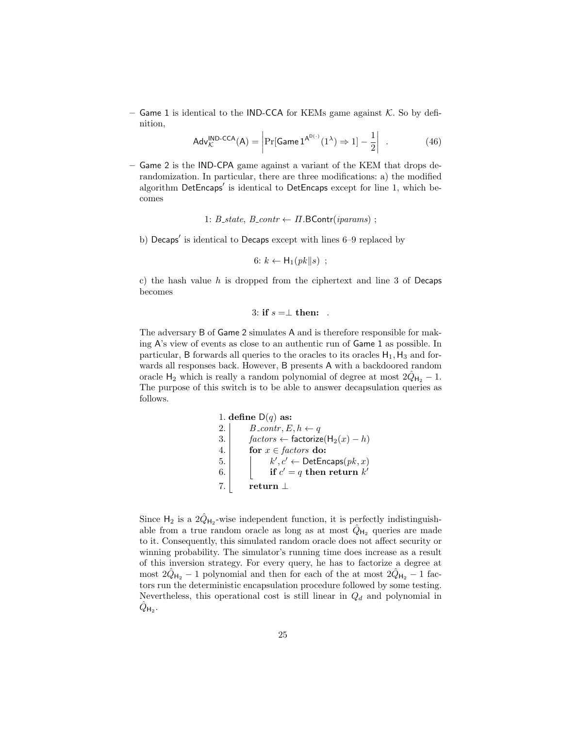– Game 1 is identical to the IND-CCA for KEMs game against  $K$ . So by definition,

$$
Adv_{\mathcal{K}}^{\text{IND-CCA}}(A) = \left| \Pr[\text{Game 1}^{\mathsf{A}^{\text{D}(\cdot)}}(1^{\lambda}) \Rightarrow 1] - \frac{1}{2} \right| \tag{46}
$$

– Game 2 is the IND-CPA game against a variant of the KEM that drops derandomization. In particular, there are three modifications: a) the modified algorithm DetEncaps' is identical to DetEncaps except for line 1, which becomes

1:  $B_{\text{.}state, B_{\text{.}contr \leftarrow \Pi \cdot B\text{Contr}(iparams)$ ;

b) Decaps' is identical to Decaps except with lines 6–9 replaced by

$$
6: k \leftarrow H_1(pk||s) ;
$$

c) the hash value  $h$  is dropped from the ciphertext and line 3 of Decaps becomes

3: if  $s = \perp$  then: .

The adversary B of Game 2 simulates A and is therefore responsible for making A's view of events as close to an authentic run of Game 1 as possible. In particular, B forwards all queries to the oracles to its oracles  $H_1$ ,  $H_3$  and forwards all responses back. However, B presents A with a backdoored random oracle  $H_2$  which is really a random polynomial of degree at most  $2\hat{Q}_{H_2} - 1$ . The purpose of this switch is to be able to answer decapsulation queries as follows.

> 1. define  $D(q)$  as: 2.  $B_{\text{-contr}}$ ,  $E, h \leftarrow q$ 3.  $\int$  factors ← factorize(H<sub>2</sub>(x) – h) 4. for  $x \in factors$  do: 5. k  $\ell', c' \leftarrow$  DetEncaps $(pk, x)$ 6. if  $c' = q$  then return  $k'$ 7. return  $\perp$

Since  $H_2$  is a  $2\hat{Q}_{H_2}$ -wise independent function, it is perfectly indistinguishable from a true random oracle as long as at most  $\hat{Q}_{H_2}$  queries are made to it. Consequently, this simulated random oracle does not affect security or winning probability. The simulator's running time does increase as a result of this inversion strategy. For every query, he has to factorize a degree at most  $2\hat{Q}_{H_2} - 1$  polynomial and then for each of the at most  $2\hat{Q}_{H_2} - 1$  factors run the deterministic encapsulation procedure followed by some testing. Nevertheless, this operational cost is still linear in  $Q_d$  and polynomial in  $\hat{Q}_{\mathsf{H}_2}$  .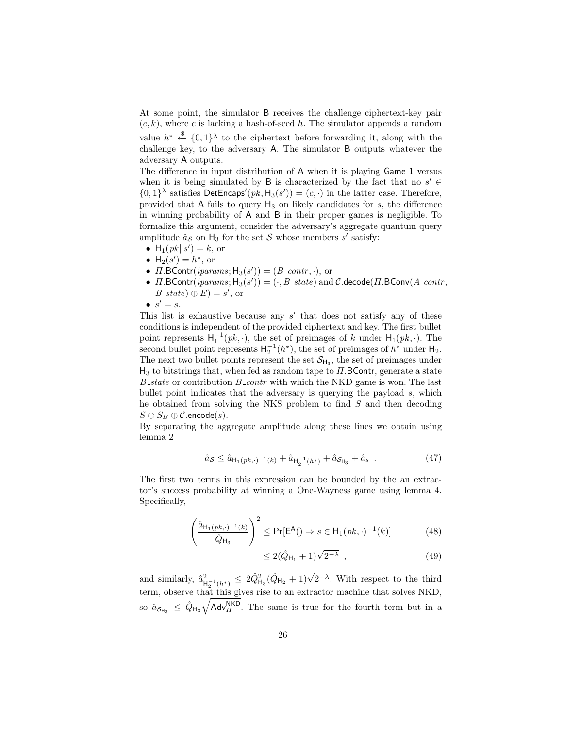At some point, the simulator B receives the challenge ciphertext-key pair  $(c, k)$ , where c is lacking a hash-of-seed h. The simulator appends a random value  $h^* \stackrel{\$}{\leftarrow} \{0,1\}^{\lambda}$  to the ciphertext before forwarding it, along with the challenge key, to the adversary A. The simulator B outputs whatever the adversary A outputs.

The difference in input distribution of A when it is playing Game 1 versus when it is being simulated by B is characterized by the fact that no  $s' \in$  $\{0,1\}^{\lambda}$  satisfies DetEncaps' $(pk, H_3(s')) = (c, \cdot)$  in the latter case. Therefore, provided that A fails to query  $H_3$  on likely candidates for s, the difference in winning probability of A and B in their proper games is negligible. To formalize this argument, consider the adversary's aggregate quantum query amplitude  $\hat{a}_{\mathcal{S}}$  on  $H_3$  for the set  $\mathcal{S}$  whose members  $s'$  satisfy:

- $H_1(pk \mid s') = k$ , or
- $H_2(s') = h^*$ , or
- $\Pi$ . BContr(*iparams*;  $H_3(s')$ ) = ( $B_{\text{1}}$  *contr*, ·), or
- $\Pi$ . BContr $(params; H_3(s')) = ( \cdot, B\_state)$  and  $\mathcal C$ . decode $(\Pi$ . BConv $(A\_contr,$  $B_{\mathcal{L}}$ state $) \oplus E$  $= s'$ , or
- $\bullet \ \ s' = s.$

This list is exhaustive because any  $s'$  that does not satisfy any of these conditions is independent of the provided ciphertext and key. The first bullet point represents  $H_1^{-1}(pk, \cdot)$ , the set of preimages of k under  $H_1(pk, \cdot)$ . The second bullet point represents  $H_2^{-1}(h^*)$ , the set of preimages of  $h^*$  under  $H_2$ . The next two bullet points represent the set  $\mathcal{S}_{H_3}$ , the set of preimages under  $H_3$  to bitstrings that, when fed as random tape to  $\Pi$ . BContr, generate a state  $B$ <sub>-state</sub> or contribution  $B$ <sub>-contr</sub> with which the NKD game is won. The last bullet point indicates that the adversary is querying the payload s, which he obtained from solving the NKS problem to find S and then decoding  $S \oplus S_B \oplus \mathcal{C}$ .encode $(s)$ .

By separating the aggregate amplitude along these lines we obtain using lemma 2

$$
\hat{a}_{\mathcal{S}} \le \hat{a}_{\mathsf{H}_1(pk,\cdot)^{-1}(k)} + \hat{a}_{\mathsf{H}_2^{-1}(h^*)} + \hat{a}_{\mathcal{S}_{\mathsf{H}_3}} + \hat{a}_{s} \tag{47}
$$

The first two terms in this expression can be bounded by the an extractor's success probability at winning a One-Wayness game using lemma 4. Specifically,

$$
\left(\frac{\hat{a}_{\mathsf{H}_1(pk,\cdot)^{-1}(k)}}{\hat{Q}_{\mathsf{H}_3}}\right)^2 \le \Pr[\mathsf{E}^{\mathsf{A}}(\mathsf{I}) \Rightarrow s \in \mathsf{H}_1(pk,\cdot)^{-1}(k)]\tag{48}
$$

$$
\leq 2(\hat{Q}_{H_1} + 1)\sqrt{2^{-\lambda}} , \qquad (49)
$$

and similarly,  $\hat{a}^2_{\mu}$  $\mu_{H_2^{-1}(h^*)}^2 \leq 2\hat{Q}_{H_3}^2(\hat{Q}_{H_2}+1)\sqrt{2^{-\lambda}}$ . With respect to the third term, observe that this gives rise to an extractor machine that solves NKD, so  $\hat{a}_{S_{H_3}} \leq \hat{Q}_{H_3} \sqrt{\mathsf{Adv}_{\Pi}^{\text{NKD}}}.$  The same is true for the fourth term but in a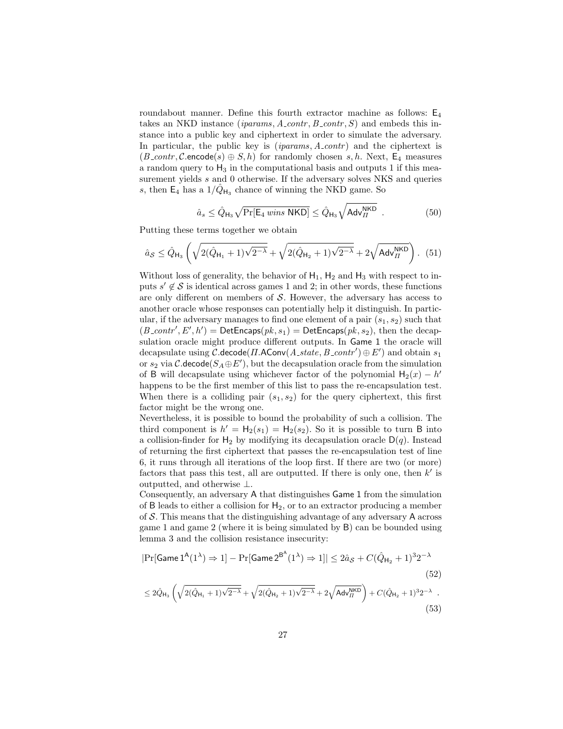roundabout manner. Define this fourth extractor machine as follows:  $E_4$ takes an NKD instance (*iparams*,  $A_{\text{1}}\text{contr}, B_{\text{2}}\text{contr}, S$ ) and embeds this instance into a public key and ciphertext in order to simulate the adversary. In particular, the public key is  $(iparams, A_{\text{cont}})$  and the ciphertext is  $(B_{\text{-}contr}, \mathcal{C}.\text{encode}(s) \oplus S, h)$  for randomly chosen s, h. Next,  $E_4$  measures a random query to  $H_3$  in the computational basis and outputs 1 if this measurement yields s and 0 otherwise. If the adversary solves NKS and queries s, then  $\mathsf{E}_4$  has a  $1/\hat{Q}_{\mathsf{H}_3}$  chance of winning the NKD game. So

$$
\hat{a}_s \le \hat{Q}_{\mathsf{H}_3} \sqrt{\Pr[\mathsf{E}_4 \text{ wins NKD}]} \le \hat{Q}_{\mathsf{H}_3} \sqrt{\mathsf{Adv}_{\Pi}^{\mathsf{NKD}}} \tag{50}
$$

Putting these terms together we obtain

$$
\hat{a}_{\mathcal{S}} \leq \hat{Q}_{\mathsf{H}_3} \left( \sqrt{2(\hat{Q}_{\mathsf{H}_1} + 1)\sqrt{2^{-\lambda}}} + \sqrt{2(\hat{Q}_{\mathsf{H}_2} + 1)\sqrt{2^{-\lambda}}} + 2\sqrt{\mathsf{Adv}_{\varPi}^{\mathsf{NKD}}}\right).
$$
 (51)

Without loss of generality, the behavior of  $H_1$ ,  $H_2$  and  $H_3$  with respect to inputs  $s' \notin \mathcal{S}$  is identical across games 1 and 2; in other words, these functions are only different on members of  $S$ . However, the adversary has access to another oracle whose responses can potentially help it distinguish. In particular, if the adversary manages to find one element of a pair  $(s_1, s_2)$  such that  $(B\_contr', E', h') =$  DetEncaps $(pk, s_1) =$  DetEncaps $(pk, s_2)$ , then the decapsulation oracle might produce different outputs. In Game 1 the oracle will decapsulate using  $\mathcal{C}.\mathsf{decode}(H.\mathsf{AConv}(A\_state, B\_contr') \oplus E')$  and obtain  $s_1$ or  $s_2$  via  $\mathcal{C}.\mathsf{decode}(S_A \oplus E'),$  but the decapsulation oracle from the simulation of B will decapsulate using whichever factor of the polynomial  $H_2(x) - h'$ happens to be the first member of this list to pass the re-encapsulation test. When there is a colliding pair  $(s_1, s_2)$  for the query ciphertext, this first factor might be the wrong one.

Nevertheless, it is possible to bound the probability of such a collision. The third component is  $h' = H_2(s_1) = H_2(s_2)$ . So it is possible to turn B into a collision-finder for  $H_2$  by modifying its decapsulation oracle  $D(q)$ . Instead of returning the first ciphertext that passes the re-encapsulation test of line 6, it runs through all iterations of the loop first. If there are two (or more) factors that pass this test, all are outputted. If there is only one, then  $k'$  is outputted, and otherwise ⊥.

Consequently, an adversary A that distinguishes Game 1 from the simulation of B leads to either a collision for  $H_2$ , or to an extractor producing a member of  $S$ . This means that the distinguishing advantage of any adversary A across game 1 and game 2 (where it is being simulated by B) can be bounded using lemma 3 and the collision resistance insecurity:

$$
|\Pr[\text{Game 1}^{\mathsf{A}}(1^{\lambda}) \Rightarrow 1] - \Pr[\text{Game 2}^{\mathsf{B}^{\mathsf{A}}}(1^{\lambda}) \Rightarrow 1]| \le 2\hat{a}_{\mathcal{S}} + C(\hat{Q}_{\mathsf{H}_2} + 1)^3 2^{-\lambda}
$$
\n
$$
\le 2\hat{Q}_{\mathsf{H}_3} \left(\sqrt{2(\hat{Q}_{\mathsf{H}_1} + 1)\sqrt{2^{-\lambda}}} + \sqrt{2(\hat{Q}_{\mathsf{H}_2} + 1)\sqrt{2^{-\lambda}}} + 2\sqrt{\mathsf{Adv}_{\varPi}^{\mathsf{NKD}}}\right) + C(\hat{Q}_{\mathsf{H}_2} + 1)^3 2^{-\lambda} \tag{53}
$$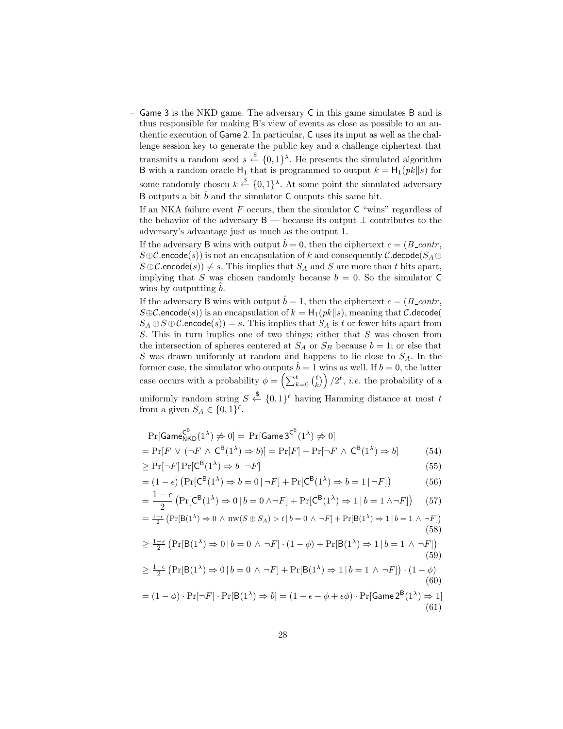– Game 3 is the NKD game. The adversary C in this game simulates B and is thus responsible for making B's view of events as close as possible to an authentic execution of Game 2. In particular, C uses its input as well as the challenge session key to generate the public key and a challenge ciphertext that transmits a random seed  $s \stackrel{\$}{\leftarrow} \{0,1\}^{\lambda}$ . He presents the simulated algorithm B with a random oracle  $H_1$  that is programmed to output  $k = H_1(pk||s)$  for some randomly chosen  $k \stackrel{\$}{\leftarrow} \{0,1\}^{\lambda}$ . At some point the simulated adversary B outputs a bit  $\hat{b}$  and the simulator C outputs this same bit.

If an NKA failure event  $F$  occurs, then the simulator  $C$  "wins" regardless of the behavior of the adversary B — because its output  $\perp$  contributes to the adversary's advantage just as much as the output 1.

If the adversary B wins with output  $\hat{b} = 0$ , then the ciphertext  $c = (B\_{contr},$  $S \oplus C$ .encode(s)) is not an encapsulation of k and consequently C.decode( $S_A \oplus$  $S \oplus C$  encode $(s)$ )  $\neq s$ . This implies that  $S_A$  and S are more than t bits apart, implying that S was chosen randomly because  $b = 0$ . So the simulator C wins by outputting  $b$ .

If the adversary B wins with output  $\dot{b} = 1$ , then the ciphertext  $c = (B_{\sim}$  $S \oplus C$ .encode(s)) is an encapsulation of  $k = H_1(pk||s)$ , meaning that C.decode(  $S_A \oplus S \oplus C$ . encode $(s)$ ) = s. This implies that  $S_A$  is t or fewer bits apart from S. This in turn implies one of two things; either that  $S$  was chosen from the intersection of spheres centered at  $S_A$  or  $S_B$  because  $b = 1$ ; or else that S was drawn uniformly at random and happens to lie close to  $S_A$ . In the former case, the simulator who outputs  $\hat{b} = 1$  wins as well. If  $b = 0$ , the latter case occurs with a probability  $\phi = \left(\sum_{k=0}^t {(\ell) \choose k}\right) / 2^{\ell}$ , *i.e.* the probability of a uniformly random string  $S \stackrel{\$}{\leftarrow} \{0,1\}^{\ell}$  having Hamming distance at most t from a given  $S_A \in \{0,1\}^{\ell}$ .

$$
\Pr[\text{Game}_{\text{NKD}}^{\text{C}^B}(1^{\lambda}) \neq 0] = \Pr[\text{Game } 3^{\text{C}^B}(1^{\lambda}) \neq 0]
$$
\n
$$
= \Pr[F \lor (\neg F \land \text{C}^B(1^{\lambda}) \Rightarrow b)] = \Pr[F] + \Pr[\neg F \land \text{C}^B(1^{\lambda}) \Rightarrow b] \qquad (54)
$$
\n
$$
\geq \Pr[\neg F] \Pr[\text{C}^B(1^{\lambda}) \Rightarrow b | \neg F] \qquad (55)
$$
\n
$$
= (1 - \epsilon) \left( \Pr[\text{C}^B(1^{\lambda}) \Rightarrow b = 0 | \neg F] + \Pr[\text{C}^B(1^{\lambda}) \Rightarrow b = 1 | \neg F] \right) \qquad (56)
$$
\n
$$
= \frac{1 - \epsilon}{2} \left( \Pr[\text{C}^B(1^{\lambda}) \Rightarrow 0 | b = 0 \land \neg F] + \Pr[\text{C}^B(1^{\lambda}) \Rightarrow 1 | b = 1 \land \neg F] \right) \qquad (57)
$$
\n
$$
= \frac{1 - \epsilon}{2} \left( \Pr[\text{B}(1^{\lambda}) \Rightarrow 0 \land \text{HW}(S \oplus S_A) > t | b = 0 \land \neg F] + \Pr[\text{B}(1^{\lambda}) \Rightarrow 1 | b = 1 \land \neg F] \right) \qquad (58)
$$
\n
$$
\geq \frac{1 - \epsilon}{2} \left( \Pr[\text{B}(1^{\lambda}) \Rightarrow 0 | b = 0 \land \neg F] \cdot (1 - \phi) + \Pr[\text{B}(1^{\lambda}) \Rightarrow 1 | b = 1 \land \neg F] \right) \qquad (59)
$$
\n
$$
\geq \frac{1 - \epsilon}{2} \left( \Pr[\text{B}(1^{\lambda}) \Rightarrow 0 | b = 0 \land \neg F] + \Pr[\text{B}(1^{\lambda}) \Rightarrow 1 | b = 1 \land \neg F] \right) \cdot (1 - \phi) \qquad (60)
$$
\n
$$
= (1 - \phi) \cdot \Pr[\neg F] \cdot \Pr[\text{B}(1^{\lambda}) \Rightarrow b] = (1 - \epsilon - \phi + \epsilon \phi) \cdot \Pr[\text{Game } 2^B(1^{\lambda}) \Rightarrow 1] \qquad (61)
$$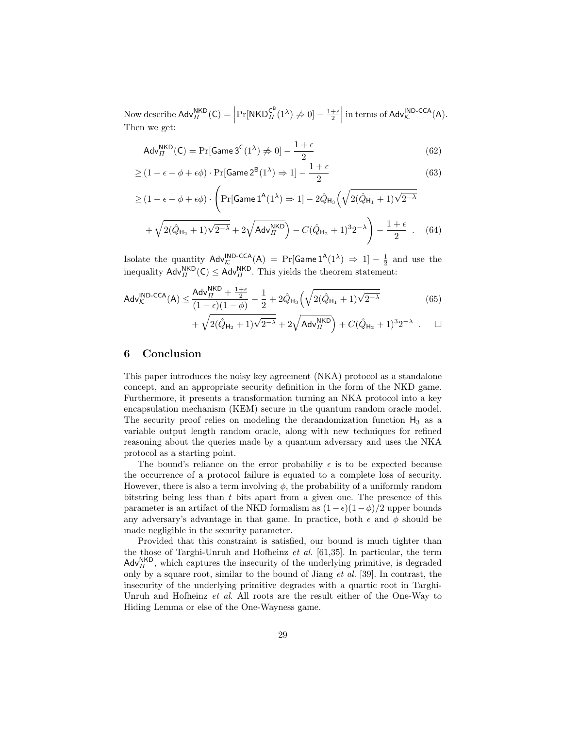Now describe  $\mathsf{Adv}_{\Pi}^{\mathsf{NKD}}(\mathsf{C}) = \left|\Pr[\mathsf{NKD}_{\Pi}^{\mathsf{C}^{\mathsf{B}}}(1^{\lambda}) \neq 0] - \frac{1+\epsilon}{2} \right|$  in terms of  $\mathsf{Adv}_{\mathcal{K}}^{\mathsf{IND-CCA}}(\mathsf{A}).$ Then we get:

$$
Adv_{II}^{NKD}(C) = Pr[Game 3^{C}(1^{\lambda}) \neq 0] - \frac{1+\epsilon}{2}
$$
\n(62)

$$
\geq (1 - \epsilon - \phi + \epsilon \phi) \cdot \Pr[\text{Game 2}^{\mathsf{B}}(1^{\lambda}) \Rightarrow 1] - \frac{1 + \epsilon}{2}
$$
\n(63)

$$
\geq (1 - \epsilon - \phi + \epsilon \phi) \cdot \left( \Pr[\text{Game 1}^{\mathsf{A}}(1^{\lambda}) \Rightarrow 1] - 2\hat{Q}_{\mathsf{H}_3} \left( \sqrt{2(\hat{Q}_{\mathsf{H}_1} + 1)\sqrt{2^{-\lambda}}} + \sqrt{2(\hat{Q}_{\mathsf{H}_2} + 1)\sqrt{2^{-\lambda}}} + 2\sqrt{\text{Adv}_{II}^{\mathsf{NKD}}} \right) - C(\hat{Q}_{\mathsf{H}_2} + 1)^3 2^{-\lambda} \right) - \frac{1 + \epsilon}{2} \quad . \tag{64}
$$

Isolate the quantity  $\mathsf{Adv}_{\mathcal{K}}^{\mathsf{IND}\text{-}\mathsf{CCA}}(\mathsf{A}) = \Pr[\mathsf{Game1}^{\mathsf{A}}(1^{\lambda}) \Rightarrow 1] - \frac{1}{2}$  and use the inequality  $\mathsf{Adv}_{\Pi}^{\mathsf{NKD}}(\mathsf{C}) \leq \mathsf{Adv}_{\Pi}^{\mathsf{NKD}}$ . This yields the theorem statement:

$$
Adv_{\mathcal{K}}^{\text{IND-CCA}}(A) \le \frac{Adv_{II}^{\text{NKD}} + \frac{1+\epsilon}{2}}{(1-\epsilon)(1-\phi)} - \frac{1}{2} + 2\hat{Q}_{H_3} \left(\sqrt{2(\hat{Q}_{H_1}+1)\sqrt{2^{-\lambda}}}\right)
$$
(65)

$$
~~+ \sqrt{2(\hat{Q}_{\rm H_2}+1)\sqrt{2^{-\lambda}}} + 2\sqrt{{\rm{Adv}}_H^{\rm{NKD}}}\Big) + C(\hat{Q}_{\rm H_2}+1)^3 2^{-\lambda}~~.~~\Box
$$

### 6 Conclusion

This paper introduces the noisy key agreement (NKA) protocol as a standalone concept, and an appropriate security definition in the form of the NKD game. Furthermore, it presents a transformation turning an NKA protocol into a key encapsulation mechanism (KEM) secure in the quantum random oracle model. The security proof relies on modeling the derandomization function  $H_3$  as a variable output length random oracle, along with new techniques for refined reasoning about the queries made by a quantum adversary and uses the NKA protocol as a starting point.

The bound's reliance on the error probability  $\epsilon$  is to be expected because the occurrence of a protocol failure is equated to a complete loss of security. However, there is also a term involving  $\phi$ , the probability of a uniformly random bitstring being less than  $t$  bits apart from a given one. The presence of this parameter is an artifact of the NKD formalism as  $(1 - \epsilon)(1 - \phi)/2$  upper bounds any adversary's advantage in that game. In practice, both  $\epsilon$  and  $\phi$  should be made negligible in the security parameter.

Provided that this constraint is satisfied, our bound is much tighter than the those of Targhi-Unruh and Hofheinz  $et$  al. [61,35]. In particular, the term  $\mathsf{Adv}_{II}^{\mathsf{NKD}}$ , which captures the insecurity of the underlying primitive, is degraded only by a square root, similar to the bound of Jiang et al. [39]. In contrast, the insecurity of the underlying primitive degrades with a quartic root in Targhi-Unruh and Hofheinz et al. All roots are the result either of the One-Way to Hiding Lemma or else of the One-Wayness game.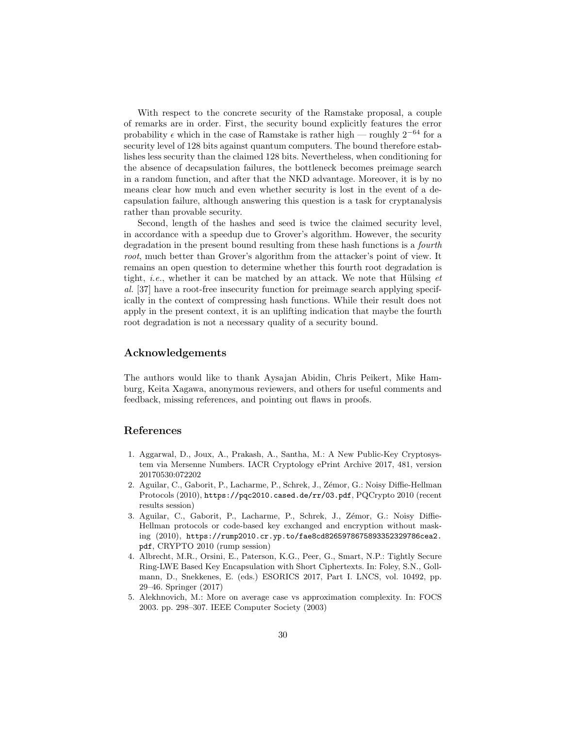With respect to the concrete security of the Ramstake proposal, a couple of remarks are in order. First, the security bound explicitly features the error probability  $\epsilon$  which in the case of Ramstake is rather high — roughly 2<sup>−64</sup> for a security level of 128 bits against quantum computers. The bound therefore establishes less security than the claimed 128 bits. Nevertheless, when conditioning for the absence of decapsulation failures, the bottleneck becomes preimage search in a random function, and after that the NKD advantage. Moreover, it is by no means clear how much and even whether security is lost in the event of a decapsulation failure, although answering this question is a task for cryptanalysis rather than provable security.

Second, length of the hashes and seed is twice the claimed security level, in accordance with a speedup due to Grover's algorithm. However, the security degradation in the present bound resulting from these hash functions is a fourth root, much better than Grover's algorithm from the attacker's point of view. It remains an open question to determine whether this fourth root degradation is tight, *i.e.*, whether it can be matched by an attack. We note that Hülsing  $et$ al. [37] have a root-free insecurity function for preimage search applying specifically in the context of compressing hash functions. While their result does not apply in the present context, it is an uplifting indication that maybe the fourth root degradation is not a necessary quality of a security bound.

# Acknowledgements

The authors would like to thank Aysajan Abidin, Chris Peikert, Mike Hamburg, Keita Xagawa, anonymous reviewers, and others for useful comments and feedback, missing references, and pointing out flaws in proofs.

# References

- 1. Aggarwal, D., Joux, A., Prakash, A., Santha, M.: A New Public-Key Cryptosystem via Mersenne Numbers. IACR Cryptology ePrint Archive 2017, 481, version 20170530:072202
- 2. Aguilar, C., Gaborit, P., Lacharme, P., Schrek, J., Zémor, G.: Noisy Diffie-Hellman Protocols (2010), https://pqc2010.cased.de/rr/03.pdf, PQCrypto 2010 (recent results session)
- 3. Aguilar, C., Gaborit, P., Lacharme, P., Schrek, J., Zémor, G.: Noisy Diffie-Hellman protocols or code-based key exchanged and encryption without masking (2010), https://rump2010.cr.yp.to/fae8cd8265978675893352329786cea2. pdf, CRYPTO 2010 (rump session)
- 4. Albrecht, M.R., Orsini, E., Paterson, K.G., Peer, G., Smart, N.P.: Tightly Secure Ring-LWE Based Key Encapsulation with Short Ciphertexts. In: Foley, S.N., Gollmann, D., Snekkenes, E. (eds.) ESORICS 2017, Part I. LNCS, vol. 10492, pp. 29–46. Springer (2017)
- 5. Alekhnovich, M.: More on average case vs approximation complexity. In: FOCS 2003. pp. 298–307. IEEE Computer Society (2003)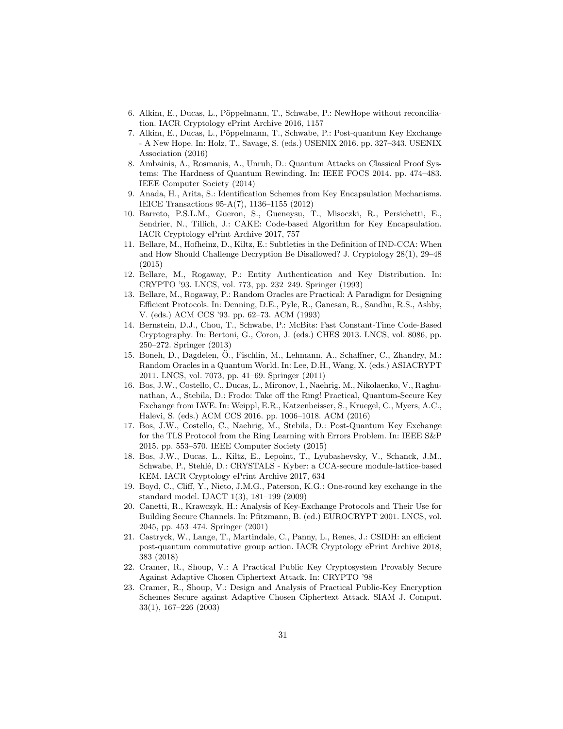- 6. Alkim, E., Ducas, L., Pöppelmann, T., Schwabe, P.: NewHope without reconciliation. IACR Cryptology ePrint Archive 2016, 1157
- 7. Alkim, E., Ducas, L., Pöppelmann, T., Schwabe, P.: Post-quantum Key Exchange - A New Hope. In: Holz, T., Savage, S. (eds.) USENIX 2016. pp. 327–343. USENIX Association (2016)
- 8. Ambainis, A., Rosmanis, A., Unruh, D.: Quantum Attacks on Classical Proof Systems: The Hardness of Quantum Rewinding. In: IEEE FOCS 2014. pp. 474–483. IEEE Computer Society (2014)
- 9. Anada, H., Arita, S.: Identification Schemes from Key Encapsulation Mechanisms. IEICE Transactions 95-A(7), 1136–1155 (2012)
- 10. Barreto, P.S.L.M., Gueron, S., Gueneysu, T., Misoczki, R., Persichetti, E., Sendrier, N., Tillich, J.: CAKE: Code-based Algorithm for Key Encapsulation. IACR Cryptology ePrint Archive 2017, 757
- 11. Bellare, M., Hofheinz, D., Kiltz, E.: Subtleties in the Definition of IND-CCA: When and How Should Challenge Decryption Be Disallowed? J. Cryptology 28(1), 29–48 (2015)
- 12. Bellare, M., Rogaway, P.: Entity Authentication and Key Distribution. In: CRYPTO '93. LNCS, vol. 773, pp. 232–249. Springer (1993)
- 13. Bellare, M., Rogaway, P.: Random Oracles are Practical: A Paradigm for Designing Efficient Protocols. In: Denning, D.E., Pyle, R., Ganesan, R., Sandhu, R.S., Ashby, V. (eds.) ACM CCS '93. pp. 62–73. ACM (1993)
- 14. Bernstein, D.J., Chou, T., Schwabe, P.: McBits: Fast Constant-Time Code-Based Cryptography. In: Bertoni, G., Coron, J. (eds.) CHES 2013. LNCS, vol. 8086, pp. 250–272. Springer (2013)
- 15. Boneh, D., Dagdelen, O., Fischlin, M., Lehmann, A., Schaffner, C., Zhandry, M.: ¨ Random Oracles in a Quantum World. In: Lee, D.H., Wang, X. (eds.) ASIACRYPT 2011. LNCS, vol. 7073, pp. 41–69. Springer (2011)
- 16. Bos, J.W., Costello, C., Ducas, L., Mironov, I., Naehrig, M., Nikolaenko, V., Raghunathan, A., Stebila, D.: Frodo: Take off the Ring! Practical, Quantum-Secure Key Exchange from LWE. In: Weippl, E.R., Katzenbeisser, S., Kruegel, C., Myers, A.C., Halevi, S. (eds.) ACM CCS 2016. pp. 1006–1018. ACM (2016)
- 17. Bos, J.W., Costello, C., Naehrig, M., Stebila, D.: Post-Quantum Key Exchange for the TLS Protocol from the Ring Learning with Errors Problem. In: IEEE S&P 2015. pp. 553–570. IEEE Computer Society (2015)
- 18. Bos, J.W., Ducas, L., Kiltz, E., Lepoint, T., Lyubashevsky, V., Schanck, J.M., Schwabe, P., Stehlé, D.: CRYSTALS - Kyber: a CCA-secure module-lattice-based KEM. IACR Cryptology ePrint Archive 2017, 634
- 19. Boyd, C., Cliff, Y., Nieto, J.M.G., Paterson, K.G.: One-round key exchange in the standard model. IJACT 1(3), 181–199 (2009)
- 20. Canetti, R., Krawczyk, H.: Analysis of Key-Exchange Protocols and Their Use for Building Secure Channels. In: Pfitzmann, B. (ed.) EUROCRYPT 2001. LNCS, vol. 2045, pp. 453–474. Springer (2001)
- 21. Castryck, W., Lange, T., Martindale, C., Panny, L., Renes, J.: CSIDH: an efficient post-quantum commutative group action. IACR Cryptology ePrint Archive 2018, 383 (2018)
- 22. Cramer, R., Shoup, V.: A Practical Public Key Cryptosystem Provably Secure Against Adaptive Chosen Ciphertext Attack. In: CRYPTO '98
- 23. Cramer, R., Shoup, V.: Design and Analysis of Practical Public-Key Encryption Schemes Secure against Adaptive Chosen Ciphertext Attack. SIAM J. Comput. 33(1), 167–226 (2003)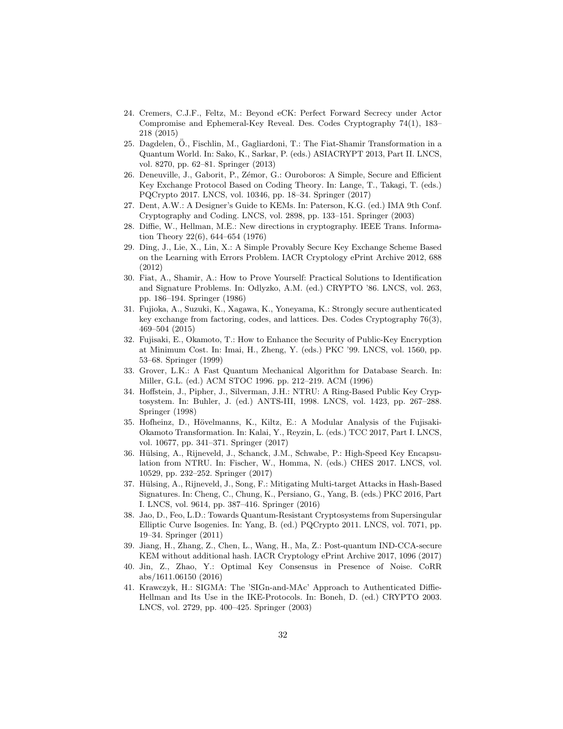- 24. Cremers, C.J.F., Feltz, M.: Beyond eCK: Perfect Forward Secrecy under Actor Compromise and Ephemeral-Key Reveal. Des. Codes Cryptography 74(1), 183– 218 (2015)
- 25. Dagdelen, O., Fischlin, M., Gagliardoni, T.: The Fiat-Shamir Transformation in a ¨ Quantum World. In: Sako, K., Sarkar, P. (eds.) ASIACRYPT 2013, Part II. LNCS, vol. 8270, pp. 62–81. Springer (2013)
- 26. Deneuville, J., Gaborit, P., Zémor, G.: Ouroboros: A Simple, Secure and Efficient Key Exchange Protocol Based on Coding Theory. In: Lange, T., Takagi, T. (eds.) PQCrypto 2017. LNCS, vol. 10346, pp. 18–34. Springer (2017)
- 27. Dent, A.W.: A Designer's Guide to KEMs. In: Paterson, K.G. (ed.) IMA 9th Conf. Cryptography and Coding. LNCS, vol. 2898, pp. 133–151. Springer (2003)
- 28. Diffie, W., Hellman, M.E.: New directions in cryptography. IEEE Trans. Information Theory 22(6), 644–654 (1976)
- 29. Ding, J., Lie, X., Lin, X.: A Simple Provably Secure Key Exchange Scheme Based on the Learning with Errors Problem. IACR Cryptology ePrint Archive 2012, 688 (2012)
- 30. Fiat, A., Shamir, A.: How to Prove Yourself: Practical Solutions to Identification and Signature Problems. In: Odlyzko, A.M. (ed.) CRYPTO '86. LNCS, vol. 263, pp. 186–194. Springer (1986)
- 31. Fujioka, A., Suzuki, K., Xagawa, K., Yoneyama, K.: Strongly secure authenticated key exchange from factoring, codes, and lattices. Des. Codes Cryptography 76(3), 469–504 (2015)
- 32. Fujisaki, E., Okamoto, T.: How to Enhance the Security of Public-Key Encryption at Minimum Cost. In: Imai, H., Zheng, Y. (eds.) PKC '99. LNCS, vol. 1560, pp. 53–68. Springer (1999)
- 33. Grover, L.K.: A Fast Quantum Mechanical Algorithm for Database Search. In: Miller, G.L. (ed.) ACM STOC 1996. pp. 212–219. ACM (1996)
- 34. Hoffstein, J., Pipher, J., Silverman, J.H.: NTRU: A Ring-Based Public Key Cryptosystem. In: Buhler, J. (ed.) ANTS-III, 1998. LNCS, vol. 1423, pp. 267–288. Springer (1998)
- 35. Hofheinz, D., H¨ovelmanns, K., Kiltz, E.: A Modular Analysis of the Fujisaki-Okamoto Transformation. In: Kalai, Y., Reyzin, L. (eds.) TCC 2017, Part I. LNCS, vol. 10677, pp. 341–371. Springer (2017)
- 36. Hülsing, A., Rijneveld, J., Schanck, J.M., Schwabe, P.: High-Speed Key Encapsulation from NTRU. In: Fischer, W., Homma, N. (eds.) CHES 2017. LNCS, vol. 10529, pp. 232–252. Springer (2017)
- 37. Hülsing, A., Rijneveld, J., Song, F.: Mitigating Multi-target Attacks in Hash-Based Signatures. In: Cheng, C., Chung, K., Persiano, G., Yang, B. (eds.) PKC 2016, Part I. LNCS, vol. 9614, pp. 387–416. Springer (2016)
- 38. Jao, D., Feo, L.D.: Towards Quantum-Resistant Cryptosystems from Supersingular Elliptic Curve Isogenies. In: Yang, B. (ed.) PQCrypto 2011. LNCS, vol. 7071, pp. 19–34. Springer (2011)
- 39. Jiang, H., Zhang, Z., Chen, L., Wang, H., Ma, Z.: Post-quantum IND-CCA-secure KEM without additional hash. IACR Cryptology ePrint Archive 2017, 1096 (2017)
- 40. Jin, Z., Zhao, Y.: Optimal Key Consensus in Presence of Noise. CoRR abs/1611.06150 (2016)
- 41. Krawczyk, H.: SIGMA: The 'SIGn-and-MAc' Approach to Authenticated Diffie-Hellman and Its Use in the IKE-Protocols. In: Boneh, D. (ed.) CRYPTO 2003. LNCS, vol. 2729, pp. 400–425. Springer (2003)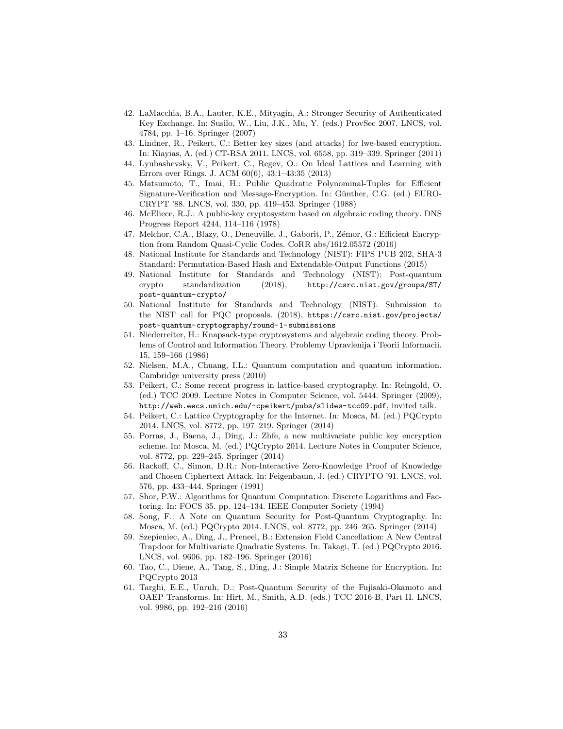- 42. LaMacchia, B.A., Lauter, K.E., Mityagin, A.: Stronger Security of Authenticated Key Exchange. In: Susilo, W., Liu, J.K., Mu, Y. (eds.) ProvSec 2007. LNCS, vol. 4784, pp. 1–16. Springer (2007)
- 43. Lindner, R., Peikert, C.: Better key sizes (and attacks) for lwe-based encryption. In: Kiayias, A. (ed.) CT-RSA 2011. LNCS, vol. 6558, pp. 319–339. Springer (2011)
- 44. Lyubashevsky, V., Peikert, C., Regev, O.: On Ideal Lattices and Learning with Errors over Rings. J. ACM 60(6), 43:1–43:35 (2013)
- 45. Matsumoto, T., Imai, H.: Public Quadratic Polynominal-Tuples for Efficient Signature-Verification and Message-Encryption. In: G¨unther, C.G. (ed.) EURO-CRYPT '88. LNCS, vol. 330, pp. 419–453. Springer (1988)
- 46. McEliece, R.J.: A public-key cryptosystem based on algebraic coding theory. DNS Progress Report 4244, 114–116 (1978)
- 47. Melchor, C.A., Blazy, O., Deneuville, J., Gaborit, P., Zémor, G.: Efficient Encryption from Random Quasi-Cyclic Codes. CoRR abs/1612.05572 (2016)
- 48. National Institute for Standards and Technology (NIST): FIPS PUB 202, SHA-3 Standard: Permutation-Based Hash and Extendable-Output Functions (2015)
- 49. National Institute for Standards and Technology (NIST): Post-quantum crypto standardization (2018), http://csrc.nist.gov/groups/ST/ post-quantum-crypto/
- 50. National Institute for Standards and Technology (NIST): Submission to the NIST call for PQC proposals. (2018), https://csrc.nist.gov/projects/ post-quantum-cryptography/round-1-submissions
- 51. Niederreiter, H.: Knapsack-type cryptosystems and algebraic coding theory. Problems of Control and Information Theory. Problemy Upravlenija i Teorii Informacii. 15, 159–166 (1986)
- 52. Nielsen, M.A., Chuang, I.L.: Quantum computation and quantum information. Cambridge university press (2010)
- 53. Peikert, C.: Some recent progress in lattice-based cryptography. In: Reingold, O. (ed.) TCC 2009. Lecture Notes in Computer Science, vol. 5444. Springer (2009), http://web.eecs.umich.edu/~cpeikert/pubs/slides-tcc09.pdf, invited talk.
- 54. Peikert, C.: Lattice Cryptography for the Internet. In: Mosca, M. (ed.) PQCrypto 2014. LNCS, vol. 8772, pp. 197–219. Springer (2014)
- 55. Porras, J., Baena, J., Ding, J.: Zhfe, a new multivariate public key encryption scheme. In: Mosca, M. (ed.) PQCrypto 2014. Lecture Notes in Computer Science, vol. 8772, pp. 229–245. Springer (2014)
- 56. Rackoff, C., Simon, D.R.: Non-Interactive Zero-Knowledge Proof of Knowledge and Chosen Ciphertext Attack. In: Feigenbaum, J. (ed.) CRYPTO '91. LNCS, vol. 576, pp. 433–444. Springer (1991)
- 57. Shor, P.W.: Algorithms for Quantum Computation: Discrete Logarithms and Factoring. In: FOCS 35. pp. 124–134. IEEE Computer Society (1994)
- 58. Song, F.: A Note on Quantum Security for Post-Quantum Cryptography. In: Mosca, M. (ed.) PQCrypto 2014. LNCS, vol. 8772, pp. 246–265. Springer (2014)
- 59. Szepieniec, A., Ding, J., Preneel, B.: Extension Field Cancellation: A New Central Trapdoor for Multivariate Quadratic Systems. In: Takagi, T. (ed.) PQCrypto 2016. LNCS, vol. 9606, pp. 182–196. Springer (2016)
- 60. Tao, C., Diene, A., Tang, S., Ding, J.: Simple Matrix Scheme for Encryption. In: PQCrypto 2013
- 61. Targhi, E.E., Unruh, D.: Post-Quantum Security of the Fujisaki-Okamoto and OAEP Transforms. In: Hirt, M., Smith, A.D. (eds.) TCC 2016-B, Part II. LNCS, vol. 9986, pp. 192–216 (2016)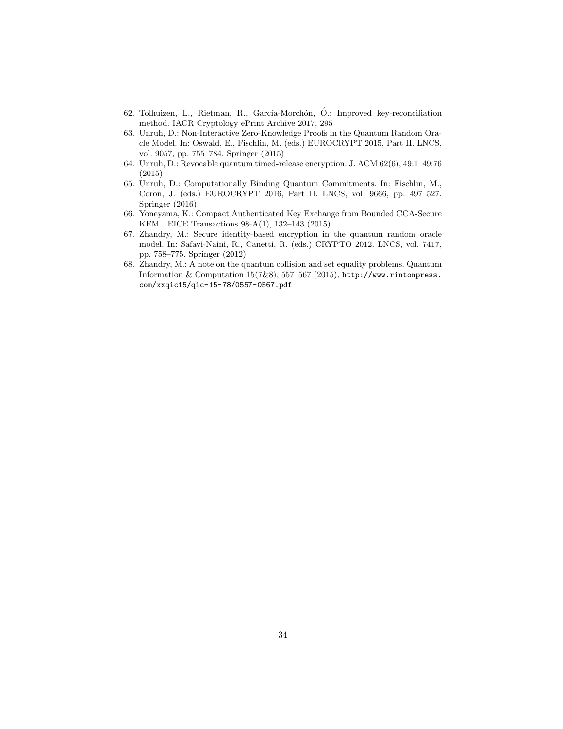- 62. Tolhuizen, L., Rietman, R., García-Morchón, Ó.: Improved key-reconciliation method. IACR Cryptology ePrint Archive 2017, 295
- 63. Unruh, D.: Non-Interactive Zero-Knowledge Proofs in the Quantum Random Oracle Model. In: Oswald, E., Fischlin, M. (eds.) EUROCRYPT 2015, Part II. LNCS, vol. 9057, pp. 755–784. Springer (2015)
- 64. Unruh, D.: Revocable quantum timed-release encryption. J. ACM 62(6), 49:1–49:76 (2015)
- 65. Unruh, D.: Computationally Binding Quantum Commitments. In: Fischlin, M., Coron, J. (eds.) EUROCRYPT 2016, Part II. LNCS, vol. 9666, pp. 497–527. Springer (2016)
- 66. Yoneyama, K.: Compact Authenticated Key Exchange from Bounded CCA-Secure KEM. IEICE Transactions 98-A(1), 132–143 (2015)
- 67. Zhandry, M.: Secure identity-based encryption in the quantum random oracle model. In: Safavi-Naini, R., Canetti, R. (eds.) CRYPTO 2012. LNCS, vol. 7417, pp. 758–775. Springer (2012)
- 68. Zhandry, M.: A note on the quantum collision and set equality problems. Quantum Information & Computation 15(7&8), 557–567 (2015), http://www.rintonpress. com/xxqic15/qic-15-78/0557-0567.pdf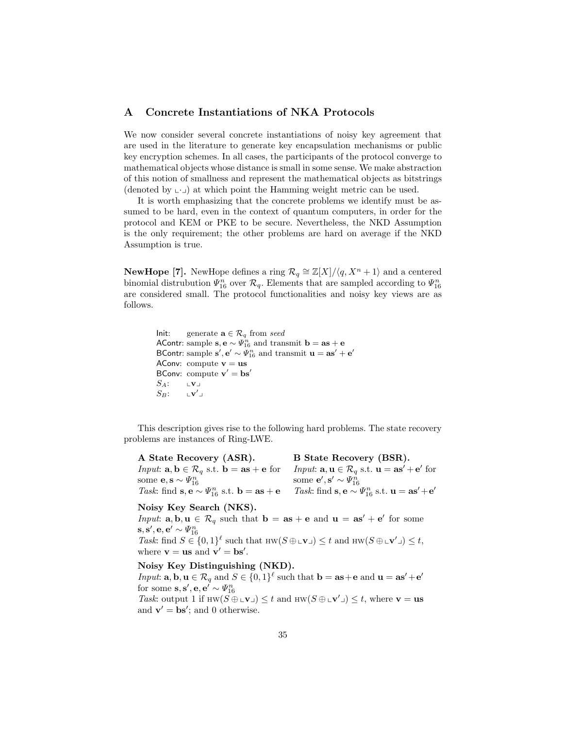# A Concrete Instantiations of NKA Protocols

We now consider several concrete instantiations of noisy key agreement that are used in the literature to generate key encapsulation mechanisms or public key encryption schemes. In all cases, the participants of the protocol converge to mathematical objects whose distance is small in some sense. We make abstraction of this notion of smallness and represent the mathematical objects as bitstrings (denoted by  $\cup$ ) at which point the Hamming weight metric can be used.

It is worth emphasizing that the concrete problems we identify must be assumed to be hard, even in the context of quantum computers, in order for the protocol and KEM or PKE to be secure. Nevertheless, the NKD Assumption is the only requirement; the other problems are hard on average if the NKD Assumption is true.

**NewHope [7].** NewHope defines a ring  $\mathcal{R}_q \cong \mathbb{Z}[X]/\langle q, X^n + 1 \rangle$  and a centered binomial distrubution  $\Psi_{16}^n$  over  $\mathcal{R}_q$ . Elements that are sampled according to  $\Psi_{16}^n$ are considered small. The protocol functionalities and noisy key views are as follows.

> Init: generate  $\mathbf{a} \in \mathcal{R}_q$  from seed AContr: sample  $\mathbf{s}, \mathbf{e} \sim \Psi_{16}^n$  and transmit  $\mathbf{b} = \mathbf{a}\mathbf{s} + \mathbf{e}$ BContr: sample  $\mathbf{s}', \mathbf{e}' \sim \Psi_{16}^n$  and transmit  $\mathbf{u} = \mathbf{a}\mathbf{s}' + \mathbf{e}'$ AConv: compute  $v = us$ BConv: compute  $\mathbf{v}' = \mathbf{bs}'$  $S_A: \qquad \mathbf{v}$  $S_B$ :  $\overline{a}$

This description gives rise to the following hard problems. The state recovery problems are instances of Ring-LWE.

| A State Recovery (ASR).                                                                                    | B State Recovery (BSR).                                                                                               |
|------------------------------------------------------------------------------------------------------------|-----------------------------------------------------------------------------------------------------------------------|
| <i>Input</i> : $\mathbf{a}, \mathbf{b} \in \mathcal{R}_q$ s.t. $\mathbf{b} = \mathbf{as} + \mathbf{e}$ for | <i>Input</i> : $\mathbf{a}, \mathbf{u} \in \mathcal{R}_q$ s.t. $\mathbf{u} = \mathbf{a}\mathbf{s}' + \mathbf{e}'$ for |
| some $\mathbf{e}, \mathbf{s} \sim \Psi_{16}^n$                                                             | some ${\bf e}', {\bf s}' \sim \Psi_{16}^n$                                                                            |
| Task: find $\mathbf{s}, \mathbf{e} \sim \Psi_{16}^n$ s.t. $\mathbf{b} = \mathbf{a}\mathbf{s} + \mathbf{e}$ | Task: find $\mathbf{s}, \mathbf{e} \sim \Psi_{16}^n$ s.t. $\mathbf{u} = \mathbf{a}\mathbf{s}' + \mathbf{e}'$          |

#### Noisy Key Search (NKS).

*Input*:  $\mathbf{a}, \mathbf{b}, \mathbf{u} \in \mathcal{R}_q$  such that  $\mathbf{b} = \mathbf{a}\mathbf{s} + \mathbf{e}$  and  $\mathbf{u} = \mathbf{a}\mathbf{s}' + \mathbf{e}'$  for some  $\mathbf{s},\mathbf{s}',\mathbf{e},\mathbf{e}'\sim \varPsi_{16}^n$ Task: find  $S \in \{0,1\}^{\ell}$  such that  $HW(S \oplus L\mathbf{v}) \leq t$  and  $HW(S \oplus L\mathbf{v}') \leq t$ , where  $\mathbf{v} = \mathbf{u}\mathbf{s}$  and  $\mathbf{v}' = \mathbf{b}\mathbf{s}'$ .

### Noisy Key Distinguishing (NKD).

*Input*:  $\mathbf{a}, \mathbf{b}, \mathbf{u} \in \mathcal{R}_q$  and  $S \in \{0,1\}^{\ell}$  such that  $\mathbf{b} = \mathbf{as} + \mathbf{e}$  and  $\mathbf{u} = \mathbf{as'} + \mathbf{e'}$ for some  $\mathbf{s}, \mathbf{s}', \mathbf{e}, \mathbf{e}' \sim \Psi_{16}^n$ Task: output 1 if  $HW(S \oplus L\mathbf{v}) \leq t$  and  $HW(S \oplus L\mathbf{v}') \leq t$ , where  $\mathbf{v} = \mathbf{u}\mathbf{s}$ and  $\mathbf{v}' = \mathbf{bs}'$ ; and 0 otherwise.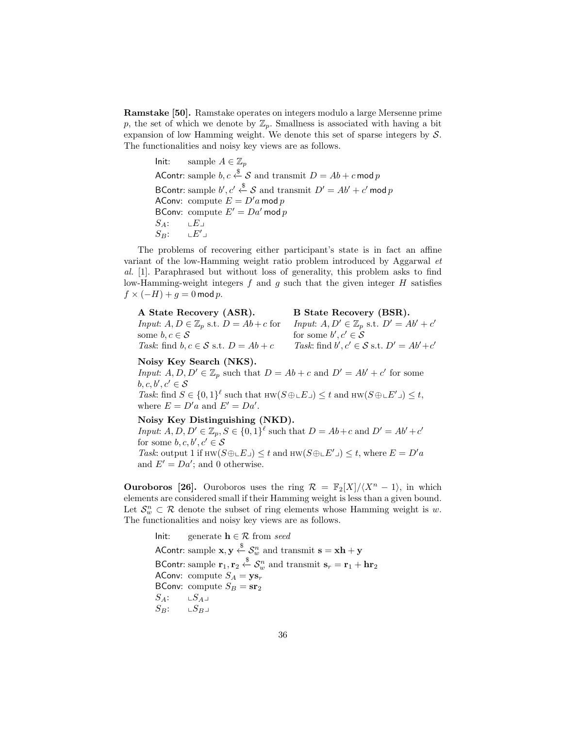Ramstake [50]. Ramstake operates on integers modulo a large Mersenne prime p, the set of which we denote by  $\mathbb{Z}_p$ . Smallness is associated with having a bit expansion of low Hamming weight. We denote this set of sparse integers by  $S$ . The functionalities and noisy key views are as follows.

Init: sample  $A \in \mathbb{Z}_p$ AContr: sample  $b, c \stackrel{\$}{\leftarrow} S$  and transmit  $D = Ab + c \mod p$ BContr: sample  $b', c' \stackrel{\$}{\leftarrow} \mathcal{S}$  and transmit  $D' = Ab' + c'$  mod  $p$ AConv: compute  $E = D'a \mod p$ BConv: compute  $E' = Da' \mod p$  $S_A: \qquad \mathbf{L}E \lrcorner$  $S_B: LE'$ 

The problems of recovering either participant's state is in fact an affine variant of the low-Hamming weight ratio problem introduced by Aggarwal et al. [1]. Paraphrased but without loss of generality, this problem asks to find low-Hamming-weight integers  $f$  and  $g$  such that the given integer  $H$  satisfies  $f \times (-H) + g = 0$  mod p.

| A State Recovery (ASR).                              | B State Recovery (BSR).                              |
|------------------------------------------------------|------------------------------------------------------|
| Input: $A, D \in \mathbb{Z}_p$ s.t. $D = Ab + c$ for | Input: $A, D' \in \mathbb{Z}_p$ s.t. $D' = Ab' + c'$ |
| some $b, c \in \mathcal{S}$                          | for some $b', c' \in \mathcal{S}$                    |
| Task: find $b, c \in S$ s.t. $D = Ab + c$            | Task: find b', $c' \in S$ s.t. $D' = Ab' + c'$       |

### Noisy Key Search (NKS).

Input:  $A, D, D' \in \mathbb{Z}_p$  such that  $D = Ab + c$  and  $D' = Ab' + c'$  for some  $b, c, b', c' \in \mathcal{S}$ Task: find  $S \in \{0,1\}^{\ell}$  such that  $HW(S \oplus L E) \leq t$  and  $HW(S \oplus L E') \leq t$ ,

where  $E = D'a$  and  $E' = Da'$ .

# Noisy Key Distinguishing (NKD).

Input:  $A, D, D' \in \mathbb{Z}_p$ ,  $S \in \{0,1\}^{\ell}$  such that  $D = Ab + c$  and  $D' = Ab' + c'$ for some  $b, c, b', c' \in \mathcal{S}$ Task: output 1 if HW( $S \oplus L E \cup \leq t$  and HW( $S \oplus L E' \cup \leq t$ , where  $E = D'a$ and  $E' = Da'$ ; and 0 otherwise.

**Ouroboros [26].** Ouroboros uses the ring  $\mathcal{R} = \mathbb{F}_2[X]/\langle X^n - 1 \rangle$ , in which elements are considered small if their Hamming weight is less than a given bound. Let  $\mathcal{S}_w^n \subset \mathcal{R}$  denote the subset of ring elements whose Hamming weight is w. The functionalities and noisy key views are as follows.

Init: generate  $h \in \mathcal{R}$  from seed AContr: sample  $\mathbf{x},\mathbf{y} \overset{\$}{\leftarrow} \mathcal{S}^n_w$  and transmit  $\mathbf{s} = \mathbf{x}\mathbf{h} + \mathbf{y}$ BContr: sample  $\mathbf{r}_1, \mathbf{r}_2 \overset{\$}{\leftarrow} \mathcal{S}_w^n$  and transmit  $\mathbf{s}_r = \mathbf{r}_1 + \mathbf{h} \mathbf{r}_2$ AConv: compute  $S_A = \mathbf{y} \mathbf{s}_r$ BConv: compute  $S_B = \mathbf{sr}_2$  $S_A: \qquad \sqcup S_A \lrcorner$  $S_B: \qquad \Box S_B \Box$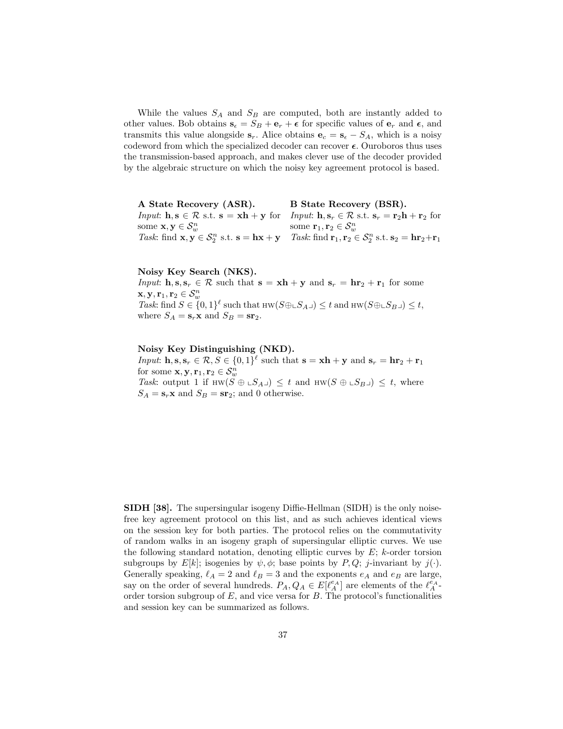While the values  $S_A$  and  $S_B$  are computed, both are instantly added to other values. Bob obtains  $\mathbf{s}_{\epsilon} = S_B + \mathbf{e}_r + \epsilon$  for specific values of  $\mathbf{e}_r$  and  $\epsilon$ , and transmits this value alongside  $s_r$ . Alice obtains  $e_c = s_\epsilon - S_A$ , which is a noisy codeword from which the specialized decoder can recover  $\epsilon$ . Ouroboros thus uses the transmission-based approach, and makes clever use of the decoder provided by the algebraic structure on which the noisy key agreement protocol is based.

A State Recovery (ASR). *Input*:  $\mathbf{h}, \mathbf{s} \in \mathcal{R}$  s.t.  $\mathbf{s} = \mathbf{x}\mathbf{h} + \mathbf{y}$  for *Input*:  $\mathbf{h}, \mathbf{s}_r \in \mathcal{R}$  s.t.  $\mathbf{s}_r = \mathbf{r}_2\mathbf{h} + \mathbf{r}_2$  for some  $\mathbf{x}, \mathbf{y} \in \mathcal{S}_{w}^{n}$ <br>Task: find  $\mathbf{x}, \mathbf{y} \in \mathcal{S}_{2}^{n}$  s.t.  $\mathbf{s} = \mathbf{h}\mathbf{x} + \mathbf{y}$ B State Recovery (BSR). some  $\mathbf{r}_1, \mathbf{r}_2 \in \mathcal{S}_w^n$ <br>Task: find  $\mathbf{r}_1, \mathbf{r}_2 \in \mathcal{S}_2^n$  s.t.  $\mathbf{s}_2 = \mathbf{hr}_2 + \mathbf{r}_1$ 

#### Noisy Key Search (NKS).

*Input*:  $\mathbf{h}, \mathbf{s}, \mathbf{s}_r \in \mathcal{R}$  such that  $\mathbf{s} = \mathbf{x}\mathbf{h} + \mathbf{y}$  and  $\mathbf{s}_r = \mathbf{h}\mathbf{r}_2 + \mathbf{r}_1$  for some  $\mathbf{x},\mathbf{y},\mathbf{r}_1,\mathbf{r}_2\in\mathcal{S}_w^n$ Task: find  $S \in \{0,1\}^{\ell}$  such that  $HW(S \oplus \Delta_{A} \cup \Delta) \leq t$  and  $HW(S \oplus \Delta_{B} \cup \Delta) \leq t$ , where  $S_A = \mathbf{s}_r \mathbf{x}$  and  $S_B = \mathbf{sr}_2$ .

### Noisy Key Distinguishing (NKD).

*Input*:  $\mathbf{h}, \mathbf{s}, \mathbf{s}_r \in \mathcal{R}, S \in \{0, 1\}^{\ell}$  such that  $\mathbf{s} = \mathbf{x}\mathbf{h} + \mathbf{y}$  and  $\mathbf{s}_r = \mathbf{h}\mathbf{r}_2 + \mathbf{r}_1$ for some  $\mathbf{x}, \mathbf{y}, \mathbf{r}_1, \mathbf{r}_2 \in \mathcal{S}_{w}^n$ Task: output 1 if HW( $S \oplus LS_A$ )  $\leq t$  and HW( $S \oplus LS_B$ )  $\leq t$ , where  $S_A = \mathbf{s}_r \mathbf{x}$  and  $S_B = \mathbf{sr}_2$ ; and 0 otherwise.

SIDH [38]. The supersingular isogeny Diffie-Hellman (SIDH) is the only noisefree key agreement protocol on this list, and as such achieves identical views on the session key for both parties. The protocol relies on the commutativity of random walks in an isogeny graph of supersingular elliptic curves. We use the following standard notation, denoting elliptic curves by  $E$ ;  $k$ -order torsion subgroups by  $E[k]$ ; isogenies by  $\psi, \phi$ ; base points by  $P, Q$ ; j-invariant by j(·). Generally speaking,  $\ell_A = 2$  and  $\ell_B = 3$  and the exponents  $e_A$  and  $e_B$  are large, say on the order of several hundreds.  $P_A, Q_A \in E[\ell_A^{\epsilon_A}]$  are elements of the  $\ell_A^{\epsilon_A}$ order torsion subgroup of  $E$ , and vice versa for  $B$ . The protocol's functionalities and session key can be summarized as follows.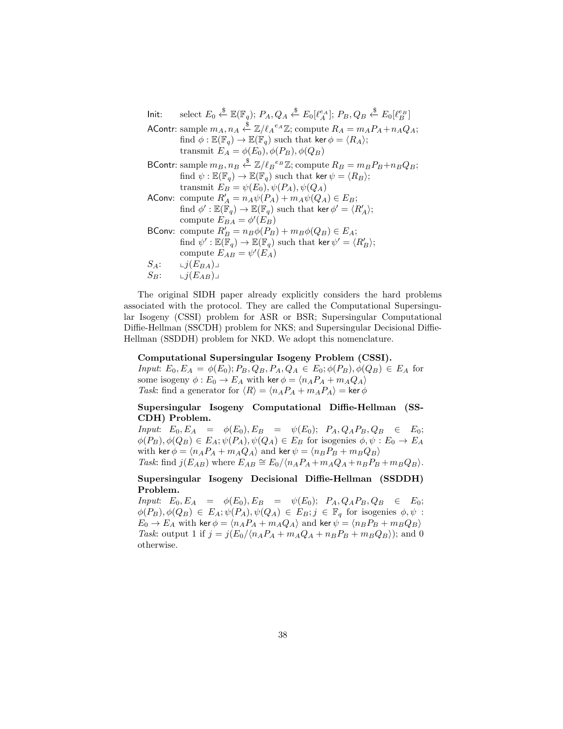lnit: select  $E_0 \stackrel{\$}{\leftarrow} \mathbb{E}(\mathbb{F}_q)$ ;  $P_A, Q_A \stackrel{\$}{\leftarrow} E_0[\ell_A^{e_A}]; P_B, Q_B \stackrel{\$}{\leftarrow} E_0[\ell_B^{e_B}]$ AContr: sample  $m_A, n_A \stackrel{\$}{\leftarrow} \mathbb{Z}/\ell_A{}^{e_A}\mathbb{Z}$ ; compute  $R_A = m_A P_A + n_A Q_A;$ find  $\phi : \mathbb{E}(\mathbb{F}_q) \to \mathbb{E}(\mathbb{F}_q)$  such that ker  $\phi = \langle R_A \rangle$ ; transmit  $E_A = \phi(E_0), \phi(P_B), \phi(Q_B)$  $\mathsf{BContr}\colon \mathrm{sample}\, m_B, n_B \overset{\$}{\leftarrow} \mathbb{Z}/\ell_B^{\,e_B}\mathbb{Z}; \mathrm{\,compute}\, R_B = m_B P_B + n_B Q_B;$ find  $\psi : \mathbb{E}(\mathbb{F}_q) \to \mathbb{E}(\mathbb{F}_q)$  such that ker  $\psi = \langle R_B \rangle$ ; transmit  $E_B = \psi(E_0), \psi(P_A), \psi(Q_A)$ AConv: compute  $R'_A = n_A \psi(P_A) + m_A \psi(Q_A) \in E_B;$  $\text{find } \phi': \mathbb{E}(\mathbb{F}_q) \to \mathbb{E}(\mathbb{F}_q) \text{ such that } \text{ker } \phi' = \langle R'_A \rangle;$ compute  $E_{BA} = \phi'(E_B)$ BConv: compute  $R'_B = n_B \phi(P_B) + m_B \phi(Q_B) \in E_A$ ;  $\text{find }\psi':\mathbb{E}(\overline{\mathbb{F}}_q)\to\mathbb{E}(\mathbb{F}_q) \text{ such that } \text{ker }\psi'=\langle R_B'\rangle;$ compute  $E_{AB} = \psi'(E_A)$  $S_A: \qquad \iota j(E_{BA}) \lrcorner$  $S_B$ :  $\qquad \qquad \iota j(E_{AB}) \lrcorner$ 

The original SIDH paper already explicitly considers the hard problems associated with the protocol. They are called the Computational Supersingular Isogeny (CSSI) problem for ASR or BSR; Supersingular Computational Diffie-Hellman (SSCDH) problem for NKS; and Supersingular Decisional Diffie-Hellman (SSDDH) problem for NKD. We adopt this nomenclature.

### Computational Supersingular Isogeny Problem (CSSI).

Input:  $E_0, E_A = \phi(E_0); P_B, Q_B, P_A, Q_A \in E_0; \phi(P_B), \phi(Q_B) \in E_A$  for some isogeny  $\phi: E_0 \to E_A$  with ker  $\phi = \langle n_A P_A + m_A Q_A \rangle$ Task: find a generator for  $\langle R \rangle = \langle n_A P_A + m_A P_A \rangle = \text{ker } \phi$ 

# Supersingular Isogeny Computational Diffie-Hellman (SS-CDH) Problem.

Input:  $E_0, E_A = \phi(E_0), E_B = \psi(E_0); P_A, Q_A P_B, Q_B \in E_0;$  $\phi(P_B), \phi(Q_B) \in E_A; \psi(P_A), \psi(Q_A) \in E_B$  for isogenies  $\phi, \psi : E_0 \to E_A$ with ker  $\phi = \langle n_A P_A + m_A Q_A \rangle$  and ker  $\psi = \langle n_B P_B + m_B Q_B \rangle$ Task: find  $j(E_{AB})$  where  $E_{AB} \cong E_0/(n_A P_A + m_A Q_A + n_B P_B + m_B Q_B)$ .

Supersingular Isogeny Decisional Diffie-Hellman (SSDDH) Problem.

Input:  $E_0, E_A = \phi(E_0), E_B = \psi(E_0); P_A, Q_A P_B, Q_B \in E_0;$  $\phi(P_B), \phi(Q_B) \in E_A; \psi(P_A), \psi(Q_A) \in E_B; j \in \mathbb{F}_q$  for isogenies  $\phi, \psi$ :  $E_0 \rightarrow E_A$  with ker  $\phi = \langle n_A P_A + m_A Q_A \rangle$  and ker  $\psi = \langle n_B P_B + m_B Q_B \rangle$ Task: output 1 if  $j = j(E_0 / \langle n_A P_A + m_A Q_A + n_B P_B + m_B Q_B \rangle)$ ; and 0 otherwise.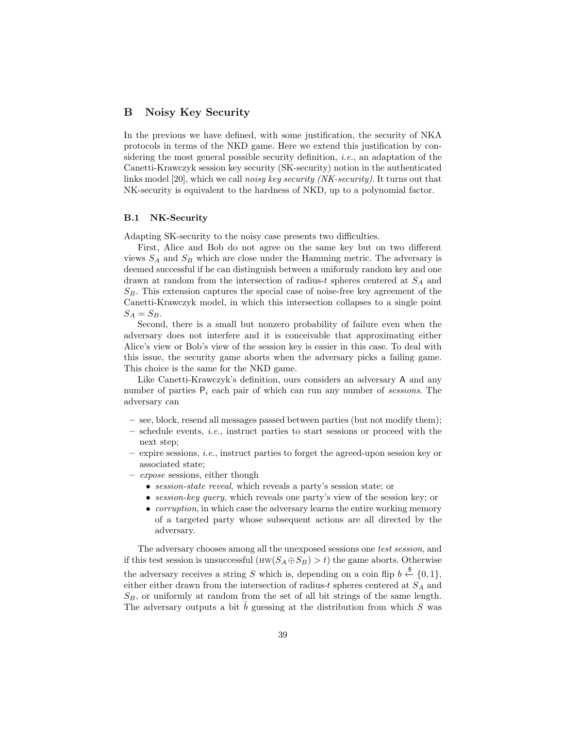# B Noisy Key Security

In the previous we have defined, with some justification, the security of NKA protocols in terms of the NKD game. Here we extend this justification by considering the most general possible security definition, *i.e.*, an adaptation of the Canetti-Krawczyk session key security (SK-security) notion in the authenticated links model [20], which we call noisy key security (NK-security). It turns out that NK-security is equivalent to the hardness of NKD, up to a polynomial factor.

#### B.1 NK-Security

Adapting SK-security to the noisy case presents two difficulties.

First, Alice and Bob do not agree on the same key but on two different views  $S_A$  and  $S_B$  which are close under the Hamming metric. The adversary is deemed successful if he can distinguish between a uniformly random key and one drawn at random from the intersection of radius-t spheres centered at  $S_A$  and  $S_B$ . This extension captures the special case of noise-free key agreement of the Canetti-Krawczyk model, in which this intersection collapses to a single point  $S_A = S_B.$ 

Second, there is a small but nonzero probability of failure even when the adversary does not interfere and it is conceivable that approximating either Alice's view or Bob's view of the session key is easier in this case. To deal with this issue, the security game aborts when the adversary picks a failing game. This choice is the same for the NKD game.

Like Canetti-Krawczyk's definition, ours considers an adversary A and any number of parties  $P_i$  each pair of which can run any number of sessions. The adversary can

- see, block, resend all messages passed between parties (but not modify them);
- $-$  schedule events, *i.e.*, instruct parties to start sessions or proceed with the next step;
- expire sessions, i.e., instruct parties to forget the agreed-upon session key or associated state;
- expose sessions, either though
	- session-state reveal, which reveals a party's session state; or
	- session-key query, which reveals one party's view of the session key; or
	- *corruption*, in which case the adversary learns the entire working memory of a targeted party whose subsequent actions are all directed by the adversary.

The adversary chooses among all the unexposed sessions one test session, and if this test session is unsuccessful ( $HW(S_A \oplus S_B) > t$ ) the game aborts. Otherwise the adversary receives a string S which is, depending on a coin flip  $b \stackrel{\$}{\leftarrow} \{0,1\},\$ either either drawn from the intersection of radius-t spheres centered at  $S_A$  and  $S_B$ , or uniformly at random from the set of all bit strings of the same length. The adversary outputs a bit  $\hat{b}$  guessing at the distribution from which S was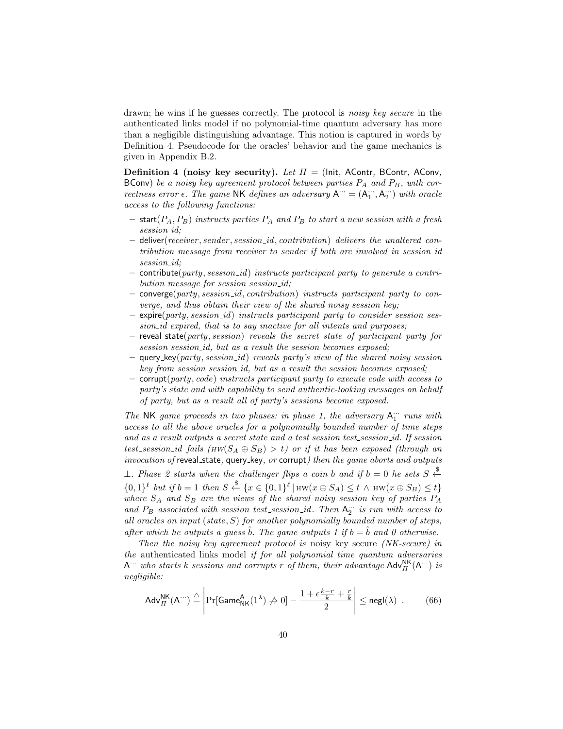drawn; he wins if he guesses correctly. The protocol is *noisy key secure* in the authenticated links model if no polynomial-time quantum adversary has more than a negligible distinguishing advantage. This notion is captured in words by Definition 4. Pseudocode for the oracles' behavior and the game mechanics is given in Appendix B.2.

Definition 4 (noisy key security). Let  $\Pi =$  (Init, AContr, BContr, AConv, BConv) be a noisy key agreement protocol between parties  $P_A$  and  $P_B$ , with correctness error  $\epsilon$ . The game NK defines an adversary  $A^{\cdots} = (A^{\cdots}_1, A^{\cdots}_2)$  with oracle access to the following functions:

- start( $P_A, P_B$ ) instructs parties  $P_A$  and  $P_B$  to start a new session with a fresh session *id*:
- deliver(receiver, sender, session\_id, contribution) delivers the unaltered contribution message from receiver to sender if both are involved in session id session\_id;
- $\mathsf{continue}(\textit{party}, \textit{session\_id})$  instructs participant party to generate a contribution message for session session\_id;
- $-$  converge(party, session id, contribution) instructs participant party to converge, and thus obtain their view of the shared noisy session key;
- $\exp(\text{party}, \text{session}_id)$  instructs participant party to consider session session id expired, that is to say inactive for all intents and purposes;
- $-$  reveal state(party, session) reveals the secret state of participant party for session session id, but as a result the session becomes exposed;
- query  $key(party, session_id)$  reveals party's view of the shared noisy session key from session session id, but as a result the session becomes exposed;
- corrupt(party, code) instructs participant party to execute code with access to party's state and with capability to send authentic-looking messages on behalf of party, but as a result all of party's sessions become exposed.

The NK game proceeds in two phases: in phase 1, the adversary  $A_{1}^{\cdots}$  runs with access to all the above oracles for a polynomially bounded number of time steps and as a result outputs a secret state and a test session test session id. If session test session id fails  $(HW(S_A \oplus S_B) > t)$  or if it has been exposed (through an invocation of reveal state, query key, or corrupt) then the game aborts and outputs

⊥. Phase 2 starts when the challenger flips a coin b and if  $b = 0$  he sets  $S \xleftarrow{\$}$  $\{0,1\}^{\ell}$  but if  $b=1$  then  $S \stackrel{\$}{\leftarrow} \{x \in \{0,1\}^{\ell} | \text{HW}(x \oplus S_A) \leq t \land \text{HW}(x \oplus S_B) \leq t\}$ where  $S_A$  and  $S_B$  are the views of the shared noisy session key of parties  $P_A$ and  $P_B$  associated with session test\_session\_id. Then  $A_2^{\cdots}$  is run with access to all oracles on input (state,  $S$ ) for another polynomially bounded number of steps, after which he outputs a guess  $\hat{b}$ . The game outputs 1 if  $b = \hat{b}$  and 0 otherwise.

Then the noisy key agreement protocol is noisy key secure *(NK-secure)* in the authenticated links model if for all polynomial time quantum adversaries  $A^{\cdots}$  who starts k sessions and corrupts r of them, their advantage  $\mathsf{Adv}_{\Pi}^{\mathsf{NK}}(A^{\cdots})$  is negligible:

$$
\mathsf{Adv}_{II}^{\mathsf{NK}}(\mathsf{A}^{\cdots}) \stackrel{\triangle}{=} \left| \Pr[\mathsf{Game}_{\mathsf{NK}}^{\mathsf{A}}(1^{\lambda}) \neq 0] - \frac{1 + \epsilon \frac{k-r}{k} + \frac{r}{k}}{2} \right| \le \mathsf{negl}(\lambda) \quad . \tag{66}
$$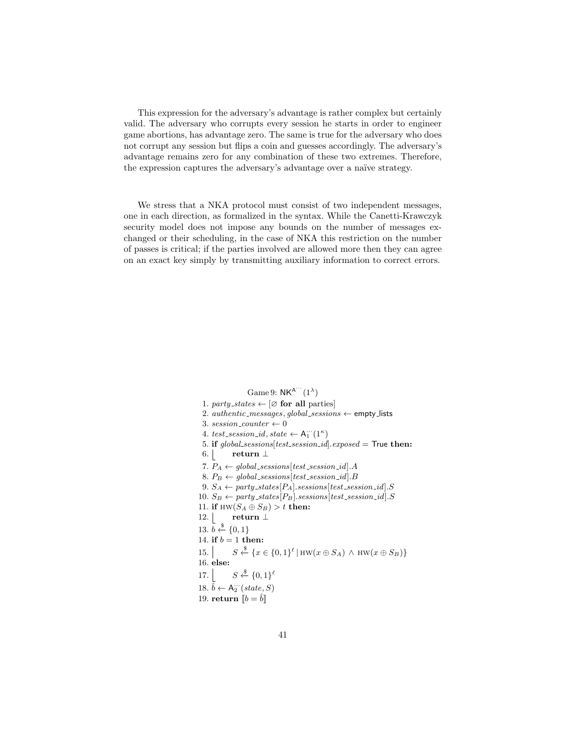This expression for the adversary's advantage is rather complex but certainly valid. The adversary who corrupts every session he starts in order to engineer game abortions, has advantage zero. The same is true for the adversary who does not corrupt any session but flips a coin and guesses accordingly. The adversary's advantage remains zero for any combination of these two extremes. Therefore, the expression captures the adversary's advantage over a naïve strategy.

We stress that a NKA protocol must consist of two independent messages, one in each direction, as formalized in the syntax. While the Canetti-Krawczyk security model does not impose any bounds on the number of messages exchanged or their scheduling, in the case of NKA this restriction on the number of passes is critical; if the parties involved are allowed more then they can agree on an exact key simply by transmitting auxiliary information to correct errors.

> Game 9:  $NK^{A'''}(1^{\lambda})$ 1. party\_states  $\leftarrow [\emptyset]$  for all parties 2.  $\textit{authortic\_messages}, \textit{global\_sessions} \leftarrow \textsf{empty\_lists}$ 3. session\_counter  $\leftarrow 0$ 4. test\_session\_id, state  $\leftarrow A_1^{\cdots}(1^{\kappa})$ 5. if global\_sessions[test\_session\_id].exposed = True then: 6. return  $\perp$ 7.  $P_A \leftarrow global\_sessions[test\_session\_id].A$ 8. P<sup>B</sup> ← global sessions[test session id].B 9.  $S_A \leftarrow$  party\_states[ $P_A$ ].sessions[test\_session\_id].S 10.  $S_B \leftarrow$  party\_states[ $P_B$ ].sessions[test\_session\_id].S 11. if HW $(S_A \oplus S_B) > t$  then: 12. return  $\perp$ 13.  $b \leftarrow \{0, 1\}$ 14. if  $b = 1$  then: 15.  $S \xleftarrow{\$} \{x \in \{0,1\}^{\ell} \mid \text{HW}(x \oplus S_A) \land \text{HW}(x \oplus S_B)\}\$ 16. else:  $17.$  $\xi$ <sup>§</sup>  $\{0,1\}$ <sup>ℓ</sup> 18.  $\hat{b} \leftarrow A_2^{\cdots} (state, S)$ 19. return  $\llbracket b = \hat{b} \rrbracket$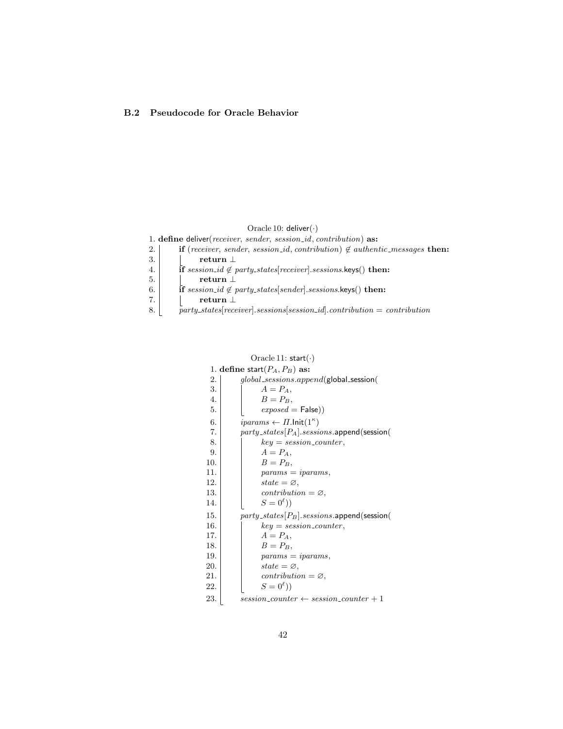# B.2 Pseudocode for Oracle Behavior

### Oracle 10: deliver $(\cdot)$

|    | 1. define deliver (receiver, sender, session_id, contribution) as:                              |
|----|-------------------------------------------------------------------------------------------------|
| 2. | <b>if</b> (receiver, sender, session_id, contribution) $\notin$ authentic_messages <b>then:</b> |
| 3. | return 1                                                                                        |
| 4. | <b>if</b> session_id $\notin$ party_states[receiver].sessions.keys() then:                      |
| 5. | return $\perp$                                                                                  |
| 6. | if session_id $\notin$ party_states[sender].sessions.keys() then:                               |
| 7. | return 1                                                                                        |
| 8. | $party\_states[receiver]. sessions[session_id]. contribution = contribution$                    |

|     | Oracle 11: $start(\cdot)$                            |
|-----|------------------------------------------------------|
|     | 1. define start $(P_A, P_B)$ as:                     |
| 2.  | global_sessions.append(global_session(               |
| 3.  | $A = PA$ .                                           |
| 4.  | $B = P_B$                                            |
| 5.  | $exposed = False)$                                   |
| 6.  | <i>iparams</i> $\leftarrow \Pi$ .lnit $(1^{\kappa})$ |
| 7.  | $party\_states[P_A].sessions.append(session)$        |
| 8.  | $key = session\_counter,$                            |
| 9.  | $A = P_A$ .                                          |
| 10. | $B = P_B$ ,                                          |
| 11. | $params = iparams,$                                  |
| 12. | state $=\varnothing$ ,                               |
| 13. | $contribution = \varnothing,$                        |
| 14. | $S=0^{\ell})$                                        |
| 15. | $party\_states[P_B].sessions.append(session)$        |
| 16. | $key = session\_counter,$                            |
| 17. | $A = P_A$ ,                                          |
| 18. | $B = P_B$ ,                                          |
| 19. | $params = iparams,$                                  |
| 20. | state $=\varnothing$ ,                               |
| 21. | $contribution = \varnothing,$                        |
| 22. | $S=0^{\ell})$                                        |
| 23. | $session\_counter \leftarrow session\_counter + 1$   |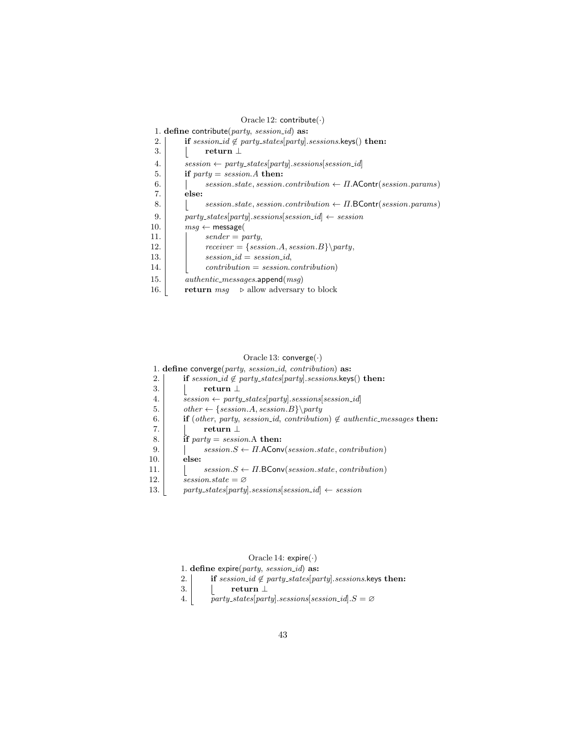| Oracle 12: contribute( $\cdot$ ) |                                                                                |
|----------------------------------|--------------------------------------------------------------------------------|
|                                  | 1. define contribute( $party, session_id)$ as:                                 |
| 2.                               | if session_id $\notin$ party_states[party].sessions.keys() then:               |
| 3.                               | return $\perp$                                                                 |
| 4.                               | $session \leftarrow$ party_states[party].sessions[session_id]                  |
| 5.                               | if $party = session.A$ then:                                                   |
| 6.                               | session.state, session.contribution $\leftarrow \Pi$ . A Contr(session.params) |
| 7.                               | else:                                                                          |
| 8.                               | session.state, session.contribution $\leftarrow \Pi$ . BContr(session.params)  |
| 9.                               | $party\_states[party].sessions[session\_id] \leftarrow session$                |
| 10.                              | $msq \leftarrow$ message(                                                      |
| 11.                              | $sender = party,$                                                              |
| 12.                              | $receiver = { session.A, session.B} \$                                         |
| 13.                              | $session\_id = session\_id$ ,                                                  |
| 14.                              | $contribution = session.contribution)$                                         |
| 15.                              | $\it authentic\_messages.append(msg)$                                          |
| 16.                              | <b>return</b> $msq \rightarrow$ allow adversary to block                       |

### Oracle 13: converge(·)

1. define converge $(party, session_id, contribution)$  as:

- 2. **if** session\_id  $\notin$  party\_states[party].sessions.keys() then:
- 3.  $\vert \qquad \vert \qquad$  return  $\bot$
- 4.  $\Big|$  session  $\leftarrow$  party\_states[party].sessions[session\_id]
- 5. other ← {session.A, session.B}\party
- 6. if (other, party, session\_id, contribution)  $\notin$  authentic\_messages then:
- 7.  $\vert$  return  $\bot$
- 8. **if** party = session. A then:
- 9.  $\vert$  session.S  $\leftarrow \Pi$ .AConv(session.state, contribution)
- 10. else:
- 11.  $\Big|$  session.S  $\leftarrow$  *I*I.BConv(session.state, contribution)
- 12.  $\overline{\text{ }s}$  session.state =  $\varnothing$
- 13. party\_states[party].sessions[session\_id]  $\leftarrow$  session

# Oracle 14: expire(·)

1. define  $expire(party, session_id)$  as:

- 2.  $\vert$  if session\_id  $\notin$  party\_states[party].sessions.keys then:
- 3.  $\vert \qquad \vert \qquad$  return  $\bot$
- 4.  $\bar{p}$  party\_states[party].sessions[session\_id]. $S = \emptyset$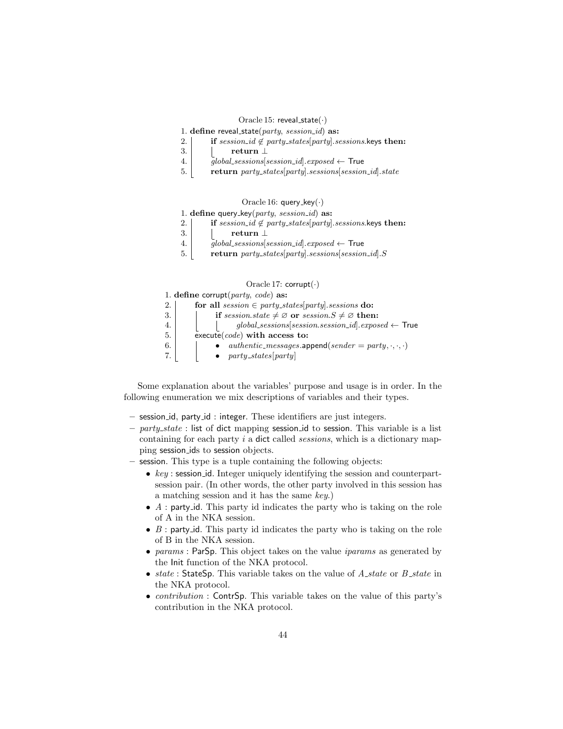#### Oracle 15: reveal\_state $(\cdot)$

- 1. define reveal\_state( $party, session_id)$  as:
- 2. if session\_id  $\notin$  party\_states[party].sessions.keys then:
- 3.  $\vert$  return  $\bot$
- 4.  $\boxed{global_sessions[session_id].exposed \leftarrow True}$
- 5. return party\_states[party].sessions[session\_id].state

### Oracle 16: query\_key $(\cdot)$

- 1. define query\_key $(party, session_id)$  as:
- 2. if session\_id  $\notin$  party\_states[party].sessions.keys then:
- 3.  $\vert$  return  $\bot$
- 4.  $q_{\text{global} \text{}}$  global sessions session id exposed  $\leftarrow$  True
- 5. return party\_states[party].sessions[session\_id]. $S$

#### Oracle 17:  $\text{corrupt}(\cdot)$

|      | 1. define corrupt $\text{party}, \text{code}$ as:                      |
|------|------------------------------------------------------------------------|
| 2. l | for all session $\in$ party_states[party]. sessions do:                |
| 3.   | if session.state $\neq \emptyset$ or session. $S \neq \emptyset$ then: |
| 4.   |                                                                        |
| 5.   | execute $(code)$ with access to:                                       |
| 6.   | <i>authentic_messages.append(sender = party, .,)</i>                   |
| 7.   | $\bullet$ party_states[party]                                          |

Some explanation about the variables' purpose and usage is in order. In the following enumeration we mix descriptions of variables and their types.

- session id, party id : integer. These identifiers are just integers.
- $-$  party state : list of dict mapping session id to session. This variable is a list containing for each party i a dict called sessions, which is a dictionary mapping session ids to session objects.
- session. This type is a tuple containing the following objects:
	- $key:$  session id. Integer uniquely identifying the session and counterpartsession pair. (In other words, the other party involved in this session has a matching session and it has the same key.)
	- $A$ : party id. This party id indicates the party who is taking on the role of A in the NKA session.
	- $B$ : party id. This party id indicates the party who is taking on the role of B in the NKA session.
	- params: ParSp. This object takes on the value *iparams* as generated by the Init function of the NKA protocol.
	- state: StateSp. This variable takes on the value of  $A$ -state or  $B$ -state in the NKA protocol.
	- *contribution* : ContrSp. This variable takes on the value of this party's contribution in the NKA protocol.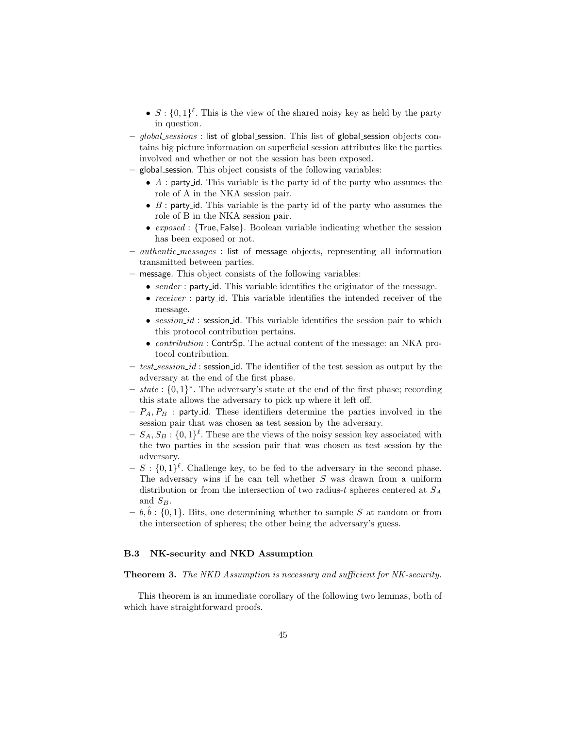- $S: \{0,1\}^{\ell}$ . This is the view of the shared noisy key as held by the party in question.
- global\_sessions : list of global\_session. This list of global\_session objects contains big picture information on superficial session attributes like the parties involved and whether or not the session has been exposed.
- global session. This object consists of the following variables:
	- $\bullet$  A : party id. This variable is the party id of the party who assumes the role of A in the NKA session pair.
	- $B$ : party\_id. This variable is the party id of the party who assumes the role of B in the NKA session pair.
	- exposed : {True, False}. Boolean variable indicating whether the session has been exposed or not.
- authentic messages : list of message objects, representing all information transmitted between parties.
- message. This object consists of the following variables:
	- sender : party id. This variable identifies the originator of the message.
	- receiver : party\_id. This variable identifies the intended receiver of the message.
	- $session_id$ : session id. This variable identifies the session pair to which this protocol contribution pertains.
	- *contribution* : ContrSp. The actual content of the message: an NKA protocol contribution.
- $-$  test session id: session id. The identifier of the test session as output by the adversary at the end of the first phase.
- $state: \{0,1\}^*$ . The adversary's state at the end of the first phase; recording this state allows the adversary to pick up where it left off.
- $-P_A, P_B$ : party id. These identifiers determine the parties involved in the session pair that was chosen as test session by the adversary.
- $S_A, S_B: \{0,1\}^{\ell}$ . These are the views of the noisy session key associated with the two parties in the session pair that was chosen as test session by the adversary.
- $S : \{0,1\}^{\ell}$ . Challenge key, to be fed to the adversary in the second phase. The adversary wins if he can tell whether S was drawn from a uniform distribution or from the intersection of two radius-t spheres centered at  $S_A$ and  $S_B$ .
- $b, \hat{b}$ : {0, 1}. Bits, one determining whether to sample S at random or from the intersection of spheres; the other being the adversary's guess.

### B.3 NK-security and NKD Assumption

#### Theorem 3. The NKD Assumption is necessary and sufficient for NK-security.

This theorem is an immediate corollary of the following two lemmas, both of which have straightforward proofs.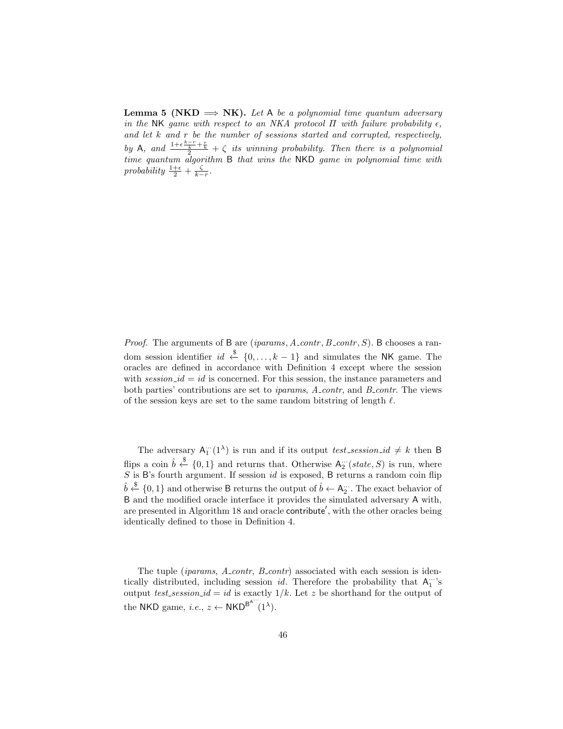**Lemma 5 (NKD**  $\Rightarrow$  **NK).** Let A be a polynomial time quantum adversary in the NK game with respect to an NKA protocol  $\Pi$  with failure probability  $\epsilon$ , and let  $k$  and  $r$  be the number of sessions started and corrupted, respectively, by A, and  $\frac{1+\epsilon\frac{k-r}{2}+\frac{r}{k}}{2}+\zeta$  its winning probability. Then there is a polynomial time quantum algorithm B that wins the NKD game in polynomial time with probability  $\frac{1+\epsilon}{2} + \frac{\zeta}{k-r}$ .

*Proof.* The arguments of B are (*iparams*,  $A_{\text{contr}}$ ,  $B_{\text{contr}}$ ,  $S$ ). B chooses a random session identifier  $id \stackrel{\$}{\leftarrow} \{0, \ldots, k-1\}$  and simulates the NK game. The oracles are defined in accordance with Definition 4 except where the session with  $session\_id = id$  is concerned. For this session, the instance parameters and both parties' contributions are set to *iparams*, A\_contr, and B\_contr. The views of the session keys are set to the same random bitstring of length  $\ell$ .

The adversary  $A_{1}^{\dots}(1^{\lambda})$  is run and if its output *test\_session\_id*  $\neq k$  then B flips a coin  $\hat{b} \stackrel{\$}{\leftarrow} \{0,1\}$  and returns that. Otherwise  $A_2^{\cdots}(state, S)$  is run, where  $S$  is B's fourth argument. If session  $id$  is exposed, B returns a random coin flip  $\hat{b} \stackrel{\$}{\leftarrow} \{0,1\}$  and otherwise B returns the output of  $\hat{b} \leftarrow A_2^{\dots}$ . The exact behavior of B and the modified oracle interface it provides the simulated adversary A with, are presented in Algorithm 18 and oracle contribute', with the other oracles being identically defined to those in Definition 4.

The tuple *(iparams, A\_contr, B\_contr)* associated with each session is identically distributed, including session  $id$ . Therefore the probability that  $A_1^{\dots}$ 's output test session id = id is exactly  $1/k$ . Let z be shorthand for the output of the NKD game, *i.e.*,  $z \leftarrow \text{NKD}^{\text{B}^{\text{A}'''}}(1^{\lambda}).$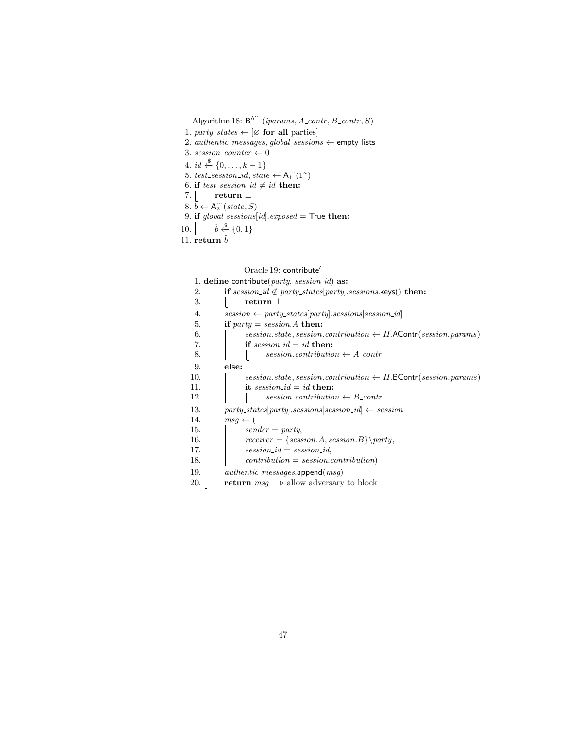Algorithm 18:  $B^{A'''}(iparams, A_{contr}, B_{contr}, S)$ 

- 1. party\_states  $\leftarrow [\emptyset]$  for all parties
- 2.  $\emph{authoric\_messages}, global\_sessions \leftarrow \textsf{empty\_lists}$
- 3. session\_counter  $\leftarrow 0$
- 4. *id*  $\stackrel{\$}{\leftarrow} \{0, \ldots, k-1\}$
- 5. test\_session\_id, state  $\leftarrow A_1^{\cdots}(1^{\kappa})$
- 6. if test\_session\_id  $\neq id$  then:
- 7.  $\lfloor$  return  $\perp$
- 8.  $\tilde{b} \leftarrow A_2^{\cdots} (state, S)$
- 9. if  $global_s \lessdot \space{0.1cm}$   $[id].exposed = True then$ :
- 10.  $\lfloor$  $\hat{b} \stackrel{\$}{\leftarrow} \{0,1\}$
- 11. return  $\hat{b}$

Oracle 19:  $\sf contract'$ 

|     | 1. define contribute(party, session_id) as:                                   |
|-----|-------------------------------------------------------------------------------|
| 2.  | if $session_id \notin party\_states[party].sessions.\nkeys() then:$           |
| 3.  | return $\perp$                                                                |
| 4.  | $session \leftarrow$ party_states[party].sessions[session_id]                 |
| 5.  | if $party = session.A$ then:                                                  |
| 6.  | session.state, session.contribution $\leftarrow \Pi$ . AContr(session.params) |
| 7.  | if $session_id = id$ then:                                                    |
| 8.  | $session.contribution \leftarrow A\_contr$                                    |
| 9.  | else:                                                                         |
| 10. | session.state, session.contribution $\leftarrow \Pi$ . BContr(session.params) |
| 11. | it session_id = id then:                                                      |
| 12. | $session.contribution \leftarrow B\_contr$                                    |
| 13. | $party\_states[party]. sessions[session\_id] \leftarrow session$              |
| 14. | $msq \leftarrow ($                                                            |
| 15. | $sender = party,$                                                             |
| 16. | $receiver = { session.A, session.B} \$                                        |
| 17. | $session\_id = session\_id$ ,                                                 |
| 18. | $contribution = session.contribution)$                                        |
| 19. | $\it authentic\_messages.append(msg)$                                         |
| 20. | <b>return</b> $msg \rightarrow$ allow adversary to block                      |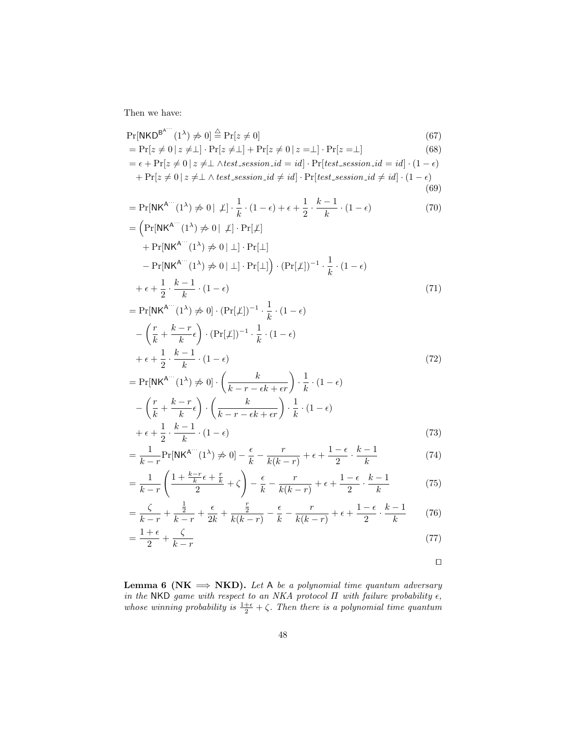Then we have:

$$
Pr[NKD^{B^{A...}}(1^{\lambda}) \neq 0] \stackrel{\triangle}{=} Pr[z \neq 0]
$$
\n
$$
= Pr[z \neq 0 | z \neq \bot] \cdot Pr[z \neq \bot] + Pr[z \neq 0 | z = \bot] \cdot Pr[z = \bot]
$$
\n(68)\n
$$
= \epsilon + Pr[z \neq 0 | z \neq \bot \land test \cdot session_id = id] \cdot Pr[test \cdot session_id = id] \cdot (1 - \epsilon)
$$
\n
$$
+ Pr[z \neq 0 | z \neq \bot \land test \cdot session_id \neq id] \cdot Pr[test \cdot session_id \neq id] \cdot (1 - \epsilon)
$$
\n(69)\n
$$
= Pr[NK^{A...}(1^{\lambda}) \neq 0 | \neq] \cdot \frac{1}{k} \cdot (1 - \epsilon) + \epsilon + \frac{1}{2} \cdot \frac{k - 1}{k} \cdot (1 - \epsilon)
$$
\n(70)\n
$$
= \left( Pr[NK^{A...}(1^{\lambda}) \neq 0 | \neq] \cdot Pr[\neq]
$$
\n
$$
+ Pr[NK^{A...}(1^{\lambda}) \neq 0 | \neq] \cdot Pr[\perp]
$$
\n
$$
- Pr[NK^{A...}(1^{\lambda}) \neq 0 | \neq] \cdot Pr[\perp]
$$
\n
$$
- Pr[NK^{A...}(1^{\lambda}) \neq 0 | \neq] \cdot Pr[\perp]
$$
\n
$$
= Pr[NK^{A...}(1^{\lambda}) \neq 0] \cdot (Pr[\neq])^{-1} \cdot \frac{1}{k} \cdot (1 - \epsilon)
$$
\n
$$
= Pr[NK^{A...}(1^{\lambda}) \neq 0] \cdot (Pr[\neq])^{-1} \cdot \frac{1}{k} \cdot (1 - \epsilon)
$$
\n
$$
- \left( \frac{r}{k} + \frac{k - r}{k} \epsilon \right) \cdot (Pr[\neq])^{-1} \cdot \frac{1}{k} \cdot (1 - \epsilon)
$$
\n(71)

$$
+ \epsilon + \frac{1}{2} \cdot \frac{k-1}{k} \cdot (1 - \epsilon)
$$
\n
$$
= \Pr[\mathsf{NK}^{\mathsf{A}} \cdot (1^{\lambda}) \neq 0] \cdot \left(\frac{k}{k-r - \epsilon k + \epsilon r}\right) \cdot \frac{1}{k} \cdot (1 - \epsilon)
$$
\n
$$
- \left(\frac{r}{k} + \frac{k-r}{k} \epsilon\right) \cdot \left(\frac{k}{k-r - \epsilon k + \epsilon r}\right) \cdot \frac{1}{k} \cdot (1 - \epsilon)
$$
\n
$$
+ \epsilon + \frac{1}{2} \cdot \frac{k-1}{k} \cdot (1 - \epsilon)
$$
\n(73)

$$
= \frac{1}{k-r} \Pr[NK^{A^{...}}(1^{\lambda}) \neq 0] - \frac{\epsilon}{k} - \frac{r}{k(k-r)} + \epsilon + \frac{1-\epsilon}{2} \cdot \frac{k-1}{k}
$$
(74)

$$
= \frac{1}{k-r} \left( \frac{1 + \frac{k-r}{k} \epsilon + \frac{r}{k}}{2} + \zeta \right) - \frac{\epsilon}{k} - \frac{r}{k(k-r)} + \epsilon + \frac{1-\epsilon}{2} \cdot \frac{k-1}{k} \tag{75}
$$

$$
= \frac{\zeta}{k-r} + \frac{\frac{1}{2}}{k-r} + \frac{\epsilon}{2k} + \frac{\frac{r}{2}}{k(k-r)} - \frac{\epsilon}{k} - \frac{r}{k(k-r)} + \epsilon + \frac{1-\epsilon}{2} \cdot \frac{k-1}{k} \tag{76}
$$

$$
=\frac{1+\epsilon}{2}+\frac{\zeta}{k-r}\tag{77}
$$

 $\Box$ 

**Lemma 6 (NK**  $\implies$  **NKD).** Let A be a polynomial time quantum adversary in the NKD game with respect to an NKA protocol  $\Pi$  with failure probability  $\epsilon$ , whose winning probability is  $\frac{1+\epsilon}{2} + \zeta$ . Then there is a polynomial time quantum